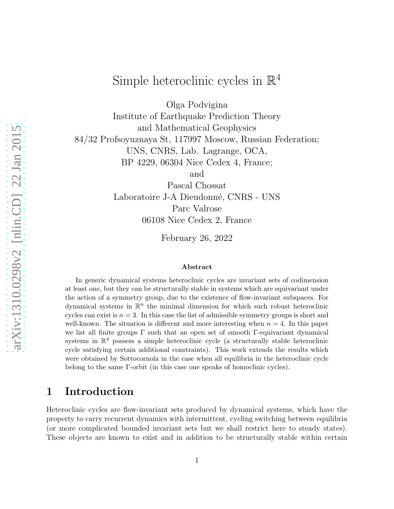# Simple heteroclinic cycles in  $\mathbb{R}^4$

Olga Podvigina

Institute of Earthquake Prediction Theory and Mathematical Geophysics 84/32 Profsoyuznaya St, 117997 Moscow, Russian Federation; UNS, CNRS, Lab. Lagrange, OCA, BP 4229, 06304 Nice Cedex 4, France;

and

Pascal Chossat Laboratoire J-A Dieudonné, CNRS - UNS Parc Valrose 06108 Nice Cedex 2, France

February 26, 2022

#### Abstract

In generic dynamical systems heteroclinic cycles are invariant sets of codimension at least one, but they can be structurally stable in systems which are equivariant under the action of a symmetry group, due to the existence of flow-invariant subspaces. For dynamical systems in  $\mathbb{R}^n$  the minimal dimension for which such robust heteroclinic cycles can exist is  $n = 3$ . In this case the list of admissible symmetry groups is short and well-known. The situation is different and more interesting when  $n = 4$ . In this paper we list all finite groups  $\Gamma$  such that an open set of smooth  $\Gamma$ -equivariant dynamical systems in  $\mathbb{R}^4$  possess a simple heteroclinic cycle (a structurally stable heteroclinic cycle satisfying certain additional constraints). This work extends the results which were obtained by Sottocornola in the case when all equilibria in the heteroclinic cycle belong to the same Γ-orbit (in this case one speaks of homoclinic cycles).

# 1 Introduction

Heteroclinic cycles are flow-invariant sets produced by dynamical systems, which have the property to carry recurrent dynamics with intermittent, cycling switching between equilibria (or more complicated bounded invariant sets but we shall restrict here to steady states). These objects are known to exist and in addition to be structurally stable within certain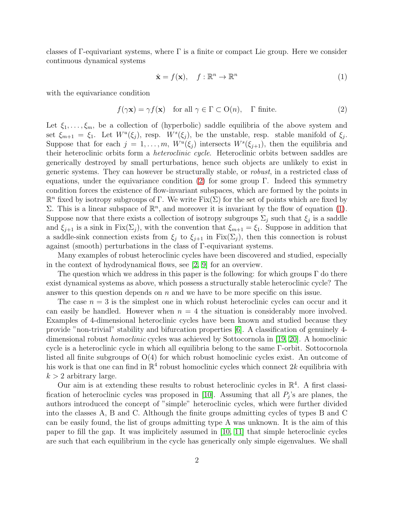classes of Γ-equivariant systems, where  $\Gamma$  is a finite or compact Lie group. Here we consider continuous dynamical systems

<span id="page-1-1"></span>
$$
\dot{\mathbf{x}} = f(\mathbf{x}), \quad f: \mathbb{R}^n \to \mathbb{R}^n \tag{1}
$$

with the equivariance condition

<span id="page-1-0"></span>
$$
f(\gamma \mathbf{x}) = \gamma f(\mathbf{x}) \quad \text{for all } \gamma \in \Gamma \subset \text{O}(n), \quad \Gamma \text{ finite.} \tag{2}
$$

Let  $\xi_1, \ldots, \xi_m$ , be a collection of (hyperbolic) saddle equilibria of the above system and set  $\xi_{m+1} = \xi_1$ . Let  $W^u(\xi_j)$ , resp.  $W^s(\xi_j)$ , be the unstable, resp. stable manifold of  $\xi_j$ . Suppose that for each  $j = 1, \ldots, m$ ,  $W^u(\xi_j)$  intersects  $W^s(\xi_{j+1})$ , then the equilibria and their heteroclinic orbits form a heteroclinic cycle. Heteroclinic orbits between saddles are generically destroyed by small perturbations, hence such objects are unlikely to exist in generic systems. They can however be structurally stable, or robust, in a restricted class of equations, under the equivariance condition [\(2\)](#page-1-0) for some group  $\Gamma$ . Indeed this symmetry condition forces the existence of flow-invariant subspaces, which are formed by the points in  $\mathbb{R}^n$  fixed by isotropy subgroups of  $\Gamma$ . We write  $Fix(\Sigma)$  for the set of points which are fixed by Σ. This is a linear subspace of  $\mathbb{R}^n$ , and moreover it is invariant by the flow of equation [\(1\)](#page-1-1). Suppose now that there exists a collection of isotropy subgroups  $\Sigma_j$  such that  $\xi_j$  is a saddle and  $\xi_{j+1}$  is a sink in Fix( $\Sigma_j$ ), with the convention that  $\xi_{m+1} = \xi_1$ . Suppose in addition that a saddle-sink connection exists from  $\xi_i$  to  $\xi_{i+1}$  in  $Fix(\Sigma_i)$ , then this connection is robust against (smooth) perturbations in the class of Γ-equivariant systems.

Many examples of robust heteroclinic cycles have been discovered and studied, especially in the context of hydrodynamical flows, see [\[2,](#page-28-0) [9\]](#page-28-1) for an overview.

The question which we address in this paper is the following: for which groups  $\Gamma$  do there exist dynamical systems as above, which possess a structurally stable heteroclinic cycle? The answer to this question depends on  $n$  and we have to be more specific on this issue.

The case  $n = 3$  is the simplest one in which robust heteroclinic cycles can occur and it can easily be handled. However when  $n = 4$  the situation is considerably more involved. Examples of 4-dimensional heteroclinic cycles have been known and studied because they provide "non-trivial" stability and bifurcation properties [\[6\]](#page-28-2). A classification of genuinely 4 dimensional robust homoclinic cycles was achieved by Sottocornola in [\[19,](#page-29-0) [20\]](#page-29-1). A homoclinic cycle is a heteroclinic cycle in which all equilibria belong to the same Γ-orbit. Sottocornola listed all finite subgroups of  $O(4)$  for which robust homoclinic cycles exist. An outcome of his work is that one can find in  $\mathbb{R}^4$  robust homoclinic cycles which connect  $2k$  equilibria with  $k > 2$  arbitrary large.

Our aim is at extending these results to robust heteroclinic cycles in  $\mathbb{R}^4$ . A first classi-fication of heteroclinic cycles was proposed in [\[10\]](#page-28-3). Assuming that all  $P_j$ 's are planes, the authors introduced the concept of "simple" heteroclinic cycles, which were further divided into the classes A, B and C. Although the finite groups admitting cycles of types B and C can be easily found, the list of groups admitting type A was unknown. It is the aim of this paper to fill the gap. It was implicitely assumed in [\[10,](#page-28-3) [11\]](#page-29-2) that simple heteroclinic cycles are such that each equilibrium in the cycle has generically only simple eigenvalues. We shall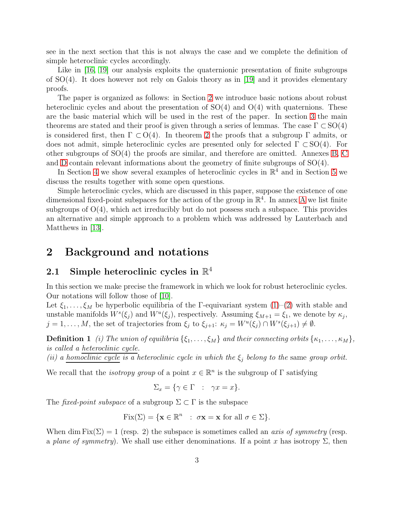see in the next section that this is not always the case and we complete the definition of simple heteroclinic cycles accordingly.

Like in [\[16,](#page-29-3) [19\]](#page-29-0) our analysis exploits the quaternionic presentation of finite subgroups of SO(4). It does however not rely on Galois theory as in [\[19\]](#page-29-0) and it provides elementary proofs.

The paper is organized as follows: in Section [2](#page-2-0) we introduce basic notions about robust heteroclinic cycles and about the presentation of  $SO(4)$  and  $O(4)$  with quaternions. These are the basic material which will be used in the rest of the paper. In section [3](#page-9-0) the main theorems are stated and their proof is given through a series of lemmas. The case  $\Gamma \subset SO(4)$ is considered first, then  $\Gamma \subset O(4)$ . In theorem [2](#page-10-0) the proofs that a subgroup  $\Gamma$  admits, or does not admit, simple heteroclinic cycles are presented only for selected  $\Gamma \subset SO(4)$ . For other subgroups of SO(4) the proofs are similar, and therefore are omitted. Annexes [B,](#page-33-0) [C](#page-35-0) and [D](#page-39-0) contain relevant informations about the geometry of finite subgroups of SO(4).

In Section [4](#page-24-0) we show several examples of heteroclinic cycles in  $\mathbb{R}^4$  and in Section [5](#page-27-0) we discuss the results together with some open questions.

Simple heteroclinic cycles, which are discussed in this paper, suppose the existence of one dimensional fixed-point subspaces for the action of the group in  $\mathbb{R}^4$ . In annex [A](#page-30-0) we list finite subgroups of  $O(4)$ , which act irreducibly but do not possess such a subspace. This provides an alternative and simple approach to a problem which was addressed by Lauterbach and Matthews in [\[13\]](#page-29-4).

# <span id="page-2-0"></span>2 Background and notations

# 2.1 Simple heteroclinic cycles in  $\mathbb{R}^4$

In this section we make precise the framework in which we look for robust heteroclinic cycles. Our notations will follow those of [\[10\]](#page-28-3).

Let  $\xi_1, \ldots, \xi_M$  be hyperbolic equilibria of the Γ-equivariant system  $(1)-(2)$  $(1)-(2)$  with stable and unstable manifolds  $W^s(\xi_j)$  and  $W^u(\xi_j)$ , respectively. Assuming  $\xi_{M+1} = \xi_1$ , we denote by  $\kappa_j$ ,  $j = 1, \ldots, M$ , the set of trajectories from  $\xi_j$  to  $\xi_{j+1}$ :  $\kappa_j = W^u(\xi_j) \cap W^s(\xi_{j+1}) \neq \emptyset$ .

<span id="page-2-1"></span>**Definition 1** (i) The union of equilibria  $\{\xi_1, \ldots, \xi_M\}$  and their connecting orbits  $\{\kappa_1, \ldots, \kappa_M\}$ , is called a heteroclinic cycle.

(ii) a homoclinic cycle is a heteroclinic cycle in which the  $\xi_i$  belong to the same group orbit.

We recall that the *isotropy group* of a point  $x \in \mathbb{R}^n$  is the subgroup of  $\Gamma$  satisfying

$$
\Sigma_x = \{ \gamma \in \Gamma \ : \ \gamma x = x \}.
$$

The fixed-point subspace of a subgroup  $\Sigma \subset \Gamma$  is the subspace

$$
Fix(\Sigma) = \{ \mathbf{x} \in \mathbb{R}^n : \sigma \mathbf{x} = \mathbf{x} \text{ for all } \sigma \in \Sigma \}.
$$

When dim Fix( $\Sigma$ ) = 1 (resp. 2) the subspace is sometimes called an *axis of symmetry* (resp. a plane of symmetry). We shall use either denominations. If a point x has isotropy  $\Sigma$ , then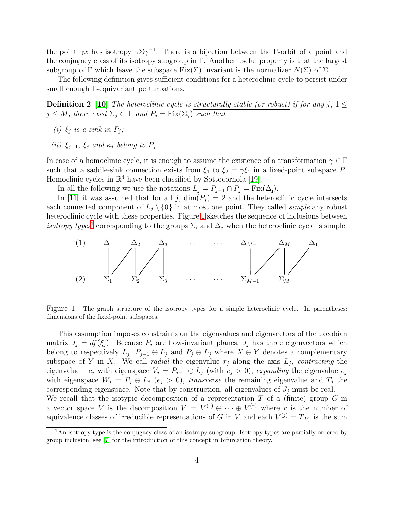the point  $\gamma x$  has isotropy  $\gamma \Sigma \gamma^{-1}$ . There is a bijection between the Γ-orbit of a point and the conjugacy class of its isotropy subgroup in Γ. Another useful property is that the largest subgroup of Γ which leave the subspace Fix(Σ) invariant is the normalizer  $N(\Sigma)$  of Σ.

The following definition gives sufficient conditions for a heteroclinic cycle to persist under small enough Γ-equivariant perturbations.

**Definition 2** [\[10\]](#page-28-3) The heteroclinic cycle is structurally stable (or robust) if for any j,  $1 \leq$  $j \leq M$ , there exist  $\Sigma_j \subset \Gamma$  and  $P_j = \text{Fix}(\Sigma_j)$  such that

- (i)  $\xi_j$  is a sink in  $P_j$ ;
- (ii)  $\xi_{j-1}, \xi_j$  and  $\kappa_j$  belong to  $P_j$ .

In case of a homoclinic cycle, it is enough to assume the existence of a transformation  $\gamma \in \Gamma$ such that a saddle-sink connection exists from  $\xi_1$  to  $\xi_2 = \gamma \xi_1$  in a fixed-point subspace P. Homoclinic cycles in  $\mathbb{R}^4$  have been classified by Sottocornola [\[19\]](#page-29-0).

In all the following we use the notations  $L_j = P_{j-1} \cap P_j = \text{Fix}(\Delta_j)$ .

In [\[11\]](#page-29-2) it was assumed that for all j,  $\dim(P_i) = 2$  and the heteroclinic cycle intersects each connected component of  $L_i \setminus \{0\}$  in at most one point. They called *simple* any robust heteroclinic cycle with these properties. Figure [1](#page-3-0) sketches the sequence of inclusions between isotropy types<sup>[1](#page-3-1)</sup> corresponding to the groups  $\Sigma_i$  and  $\Delta_j$  when the heteroclinic cycle is simple.



<span id="page-3-0"></span>Figure 1: The graph structure of the isotropy types for a simple heteroclinic cycle. In parentheses: dimensions of the fixed-point subspaces.

This assumption imposes constraints on the eigenvalues and eigenvectors of the Jacobian matrix  $J_j = df(\xi_j)$ . Because  $P_j$  are flow-invariant planes,  $J_j$  has three eigenvectors which belong to respectively  $L_j$ ,  $P_{j-1} \oplus L_j$  and  $P_j \oplus L_j$  where  $X \oplus Y$  denotes a complementary subspace of Y in X. We call *radial* the eigenvalue  $r_j$  along the axis  $L_j$ , *contracting* the eigenvalue  $-c_j$  with eigenspace  $V_j = P_{j-1} \oplus L_j$  (with  $c_j > 0$ ), expanding the eigenvalue  $e_j$ with eigenspace  $W_j = P_j \oplus L_j$  ( $e_j > 0$ ), transverse the remaining eigenvalue and  $T_j$  the corresponding eigenspace. Note that by construction, all eigenvalues of  $J_i$  must be real. We recall that the isotypic decomposition of a representation  $T$  of a (finite) group  $G$  in

a vector space V is the decomposition  $V = V^{(1)} \oplus \cdots \oplus V^{(r)}$  where r is the number of equivalence classes of irreducible representations of G in V and each  $V^{(j)} = T_{|V_j|}$  is the sum

<span id="page-3-1"></span><sup>&</sup>lt;sup>1</sup>An isotropy type is the conjugacy class of an isotropy subgroup. Isotropy types are partially ordered by group inclusion, see [\[7\]](#page-28-4) for the introduction of this concept in bifurcation theory.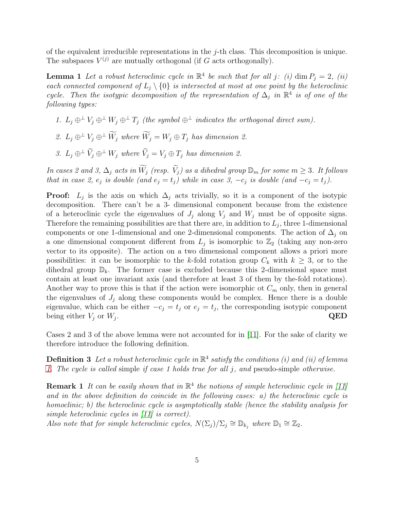of the equivalent irreducible representations in the  $j$ -th class. This decomposition is unique. The subspaces  $V^{(j)}$  are mutually orthogonal (if G acts orthogonally).

**Lemma 1** Let a robust heteroclinic cycle in  $\mathbb{R}^4$  be such that for all j: (i) dim  $P_j = 2$ , (ii) each connected component of  $L_i \setminus \{0\}$  is intersected at most at one point by the heteroclinic cycle. Then the isotypic decomposition of the representation of  $\Delta_j$  in  $\mathbb{R}^4$  is of one of the following types:

- <span id="page-4-0"></span>1.  $L_i \oplus^{\perp} V_i \oplus^{\perp} W_i \oplus^{\perp} T_j$  (the symbol  $\oplus^{\perp}$  indicates the orthogonal direct sum).
- 2.  $L_j \oplus^{\perp} V_j \oplus^{\perp} \widetilde{W}_j$  where  $\widetilde{W}_j = W_j \oplus T_j$  has dimension 2.
- 3.  $L_i \oplus^{\perp} \widetilde{V}_i \oplus^{\perp} W_i$  where  $\widetilde{V}_i = V_i \oplus T_i$  has dimension 2.

In cases 2 and 3,  $\Delta_j$  acts in  $\widetilde{W}_j$  (resp.  $\widetilde{V}_j$ ) as a dihedral group  $\mathbb{D}_m$  for some  $m \geq 3$ . It follows that in case 2,  $e_j$  is double (and  $e_j = t_j$ ) while in case 3,  $-c_j$  is double (and  $-c_j = t_j$ ).

**Proof:**  $L_j$  is the axis on which  $\Delta_j$  acts trivially, so it is a component of the isotypic decomposition. There can't be a 3- dimensional component because from the existence of a heteroclinic cycle the eigenvalues of  $J_j$  along  $V_j$  and  $W_j$  must be of opposite signs. Therefore the remaining possibilities are that there are, in addition to  $L_j$ , three 1-dimensional components or one 1-dimensional and one 2-dimensional components. The action of  $\Delta_i$  on a one dimensional component different from  $L_j$  is isomorphic to  $\mathbb{Z}_2$  (taking any non-zero vector to its opposite). The action on a two dimensional component allows a priori more possibilities: it can be isomorphic to the k-fold rotation group  $C_k$  with  $k \geq 3$ , or to the dihedral group  $\mathbb{D}_k$ . The former case is excluded because this 2-dimensional space must contain at least one invariant axis (and therefore at least 3 of them by the-fold rotations). Another way to prove this is that if the action were isomorphic ot  $C_m$  only, then in general the eigenvalues of  $J_j$  along these components would be complex. Hence there is a double eigenvalue, which can be either  $-c_j = t_j$  or  $e_j = t_j$ , the corresponding isotypic component being either  $V_i$  or  $W_i$ . . The contract of the contract of the contract of  $\mathbf{QED}$ 

<span id="page-4-1"></span>Cases 2 and 3 of the above lemma were not accounted for in [\[11\]](#page-29-2). For the sake of clarity we therefore introduce the following definition.

**Definition 3** Let a robust heteroclinic cycle in  $\mathbb{R}^4$  satisfy the conditions (i) and (ii) of lemma [1.](#page-4-0) The cycle is called simple if case 1 holds true for all j, and pseudo-simple otherwise.

**Remark 1** It can be easily shown that in  $\mathbb{R}^4$  the notions of simple heteroclinic cycle in [\[11\]](#page-29-2) and in the above definition do coincide in the following cases: a) the heteroclinic cycle is homoclinic; b) the heteroclinic cycle is asymptotically stable (hence the stability analysis for simple heteroclinic cycles in [\[11\]](#page-29-2) is correct).

Also note that for simple heteroclinic cycles,  $N(\Sigma_j)/\Sigma_j \cong \mathbb{D}_{k_j}$  where  $\mathbb{D}_1 \cong \mathbb{Z}_2$ .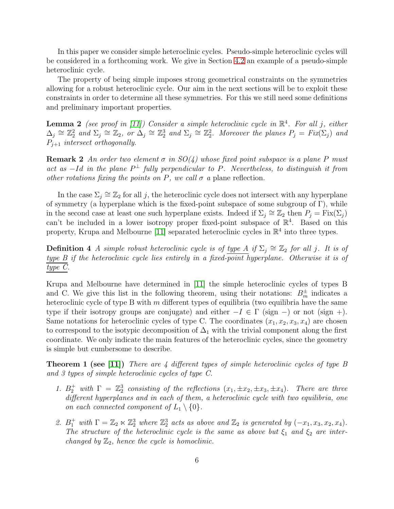In this paper we consider simple heteroclinic cycles. Pseudo-simple heteroclinic cycles will be considered in a forthcoming work. We give in Section [4.2](#page-26-0) an example of a pseudo-simple heteroclinic cycle.

The property of being simple imposes strong geometrical constraints on the symmetries allowing for a robust heteroclinic cycle. Our aim in the next sections will be to exploit these constraints in order to determine all these symmetries. For this we still need some definitions and preliminary important properties.

<span id="page-5-2"></span>**Lemma 2** (see proof in [\[11\]](#page-29-2)) Consider a simple heteroclinic cycle in  $\mathbb{R}^4$ . For all j, either  $\Delta_j \cong \mathbb{Z}_2^2$  and  $\Sigma_j \cong \mathbb{Z}_2$ , or  $\Delta_j \cong \mathbb{Z}_2^3$  and  $\Sigma_j \cong \mathbb{Z}_2^2$ . Moreover the planes  $P_j = Fix(\Sigma_j)$  and  $P_{j+1}$  intersect orthogonally.

<span id="page-5-0"></span>**Remark 2** An order two element  $\sigma$  in  $SO(4)$  whose fixed point subspace is a plane P must act as  $-Id$  in the plane  $P^{\perp}$  fully perpendicular to P. Nevertheless, to distinguish it from other rotations fixing the points on P, we call  $\sigma$  a plane reflection.

In the case  $\Sigma_j \cong \mathbb{Z}_2$  for all j, the heteroclinic cycle does not intersect with any hyperplane of symmetry (a hyperplane which is the fixed-point subspace of some subgroup of  $\Gamma$ ), while in the second case at least one such hyperplane exists. Indeed if  $\Sigma_j \cong \mathbb{Z}_2$  then  $P_j = \text{Fix}(\Sigma_j)$ can't be included in a lower isotropy proper fixed-point subspace of  $\mathbb{R}^4$ . Based on this property, Krupa and Melbourne [\[11\]](#page-29-2) separated heteroclinic cycles in  $\mathbb{R}^4$  into three types.

**Definition 4** A simple robust heteroclinic cycle is of type  $\overline{A}$  if  $\Sigma_j \cong \mathbb{Z}_2$  for all j. It is of type B if the heteroclinic cycle lies entirely in a fixed-point hyperplane. Otherwise it is of type C.

Krupa and Melbourne have determined in [\[11\]](#page-29-2) the simple heteroclinic cycles of types B and C. We give this list in the following theorem, using their notations:  $B_m^{\pm}$  indicates a heteroclinic cycle of type B with  $m$  different types of equilibria (two equilibria have the same type if their isotropy groups are conjugate) and either  $-I \in \Gamma$  (sign –) or not (sign +). Same notations for heteroclinic cycles of type C. The coordinates  $(x_1, x_2, x_3, x_4)$  are chosen to correspond to the isotypic decomposition of  $\Delta_1$  with the trivial component along the first coordinate. We only indicate the main features of the heteroclinic cycles, since the geometry is simple but cumbersome to describe.

**Theorem 1 (see [\[11\]](#page-29-2))** There are 4 different types of simple heteroclinic cycles of type B and 3 types of simple heteroclinic cycles of type C.

- <span id="page-5-1"></span>1.  $B_2^+$  with  $\Gamma = \mathbb{Z}_2^3$  consisting of the reflections  $(x_1, \pm x_2, \pm x_3, \pm x_4)$ . There are three different hyperplanes and in each of them, a heteroclinic cycle with two equilibria, one on each connected component of  $L_1 \setminus \{0\}.$
- 2.  $B_1^+$  with  $\Gamma = \mathbb{Z}_2 \ltimes \mathbb{Z}_2^3$  where  $\mathbb{Z}_2^3$  acts as above and  $\mathbb{Z}_2$  is generated by  $(-x_1, x_3, x_2, x_4)$ . The structure of the heteroclinic cycle is the same as above but  $\xi_1$  and  $\xi_2$  are interchanged by  $\mathbb{Z}_2$ , hence the cycle is homoclinic.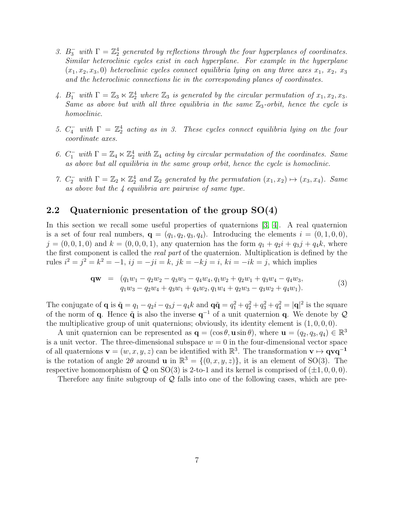- 3.  $B_3^-$  with  $\Gamma = \mathbb{Z}_2^4$  generated by reflections through the four hyperplanes of coordinates. Similar heteroclinic cycles exist in each hyperplane. For example in the hyperplane  $(x_1, x_2, x_3, 0)$  heteroclinic cycles connect equilibria lying on any three axes  $x_1, x_2, x_3$ and the heteroclinic connections lie in the corresponding planes of coordinates.
- 4.  $B_1^-$  with  $\Gamma = \mathbb{Z}_3 \ltimes \mathbb{Z}_2^4$  where  $\mathbb{Z}_3$  is generated by the circular permutation of  $x_1, x_2, x_3$ . Same as above but with all three equilibria in the same  $\mathbb{Z}_3$ -orbit, hence the cycle is homoclinic.
- 5.  $C_4^-$  with  $\Gamma = \mathbb{Z}_2^4$  acting as in 3. These cycles connect equilibria lying on the four coordinate axes.
- 6.  $C_1^-$  with  $\Gamma = \mathbb{Z}_4 \ltimes \mathbb{Z}_2^4$  with  $\mathbb{Z}_4$  acting by circular permutation of the coordinates. Same as above but all equilibria in the same group orbit, hence the cycle is homoclinic.
- 7.  $C_2^-$  with  $\Gamma = \mathbb{Z}_2 \ltimes \mathbb{Z}_2^4$  and  $\mathbb{Z}_2$  generated by the permutation  $(x_1, x_2) \mapsto (x_3, x_4)$ . Same as above but the 4 equilibria are pairwise of same type.

## <span id="page-6-0"></span>2.2 Quaternionic presentation of the group SO(4)

In this section we recall some useful properties of quaternions [\[3,](#page-28-5) [4\]](#page-28-6). A real quaternion is a set of four real numbers,  $\mathbf{q} = (q_1, q_2, q_3, q_4)$ . Introducing the elements  $i = (0, 1, 0, 0)$ ,  $j = (0, 0, 1, 0)$  and  $k = (0, 0, 0, 1)$ , any quaternion has the form  $q_1 + q_2i + q_3j + q_4k$ , where the first component is called the real part of the quaternion. Multiplication is defined by the rules  $i^2 = j^2 = k^2 = -1$ ,  $ij = -ji = k$ ,  $jk = -kj = i$ ,  $ki = -ik = j$ , which implies

$$
\mathbf{qw} = (q_1w_1 - q_2w_2 - q_3w_3 - q_4w_4, q_1w_2 + q_2w_1 + q_3w_4 - q_4w_3, q_1w_3 - q_2w_4 + q_3w_1 + q_4w_2, q_1w_4 + q_2w_3 - q_3w_2 + q_4w_1).
$$
\n(3)

The conjugate of **q** is  $\tilde{\mathbf{q}} = q_1 - q_2 i - q_3 j - q_4 k$  and  $\mathbf{q}\tilde{\mathbf{q}} = q_1^2 + q_2^2 + q_3^2 + q_4^2 = |\mathbf{q}|^2$  is the square of the norm of **q**. Hence  $\tilde{\mathbf{q}}$  is also the inverse  $\mathbf{q}^{-1}$  of a unit quaternion **q**. We denote by  $\mathcal{Q}$ the multiplicative group of unit quaternions; obviously, its identity element is  $(1, 0, 0, 0)$ .

A unit quaternion can be represented as  $\mathbf{q} = (\cos \theta, \mathbf{u} \sin \theta)$ , where  $\mathbf{u} = (q_2, q_3, q_4) \in \mathbb{R}^3$ is a unit vector. The three-dimensional subspace  $w = 0$  in the four-dimensional vector space of all quaternions  $\mathbf{v} = (w, x, y, z)$  can be identified with  $\mathbb{R}^3$ . The transformation  $\mathbf{v} \mapsto \mathbf{q} \mathbf{v} \mathbf{q}^{-1}$ is the rotation of angle  $2\theta$  around **u** in  $\mathbb{R}^3 = \{(0, x, y, z)\}$ , it is an element of SO(3). The respective homomorphism of Q on SO(3) is 2-to-1 and its kernel is comprised of  $(\pm 1, 0, 0, 0)$ .

Therefore any finite subgroup of  $\mathcal{Q}$  falls into one of the following cases, which are pre-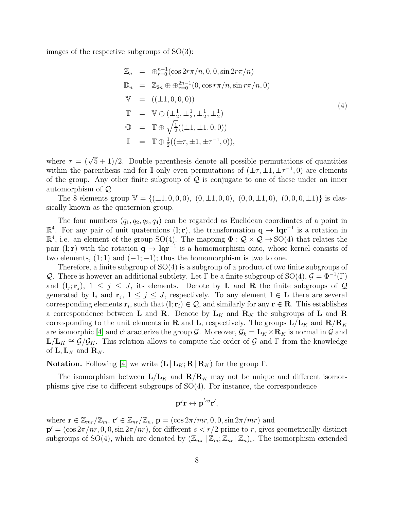images of the respective subgroups of  $SO(3)$ :

<span id="page-7-0"></span>
$$
\mathbb{Z}_n = \bigoplus_{r=0}^{n-1} (\cos 2r\pi/n, 0, 0, \sin 2r\pi/n) \n\mathbb{D}_n = \mathbb{Z}_{2n} \oplus \bigoplus_{r=0}^{2n-1} (0, \cos r\pi/n, \sin r\pi/n, 0) \n\mathbb{V} = ((\pm 1, 0, 0, 0)) \n\mathbb{T} = \mathbb{V} \oplus (\pm \frac{1}{2}, \pm \frac{1}{2}, \pm \frac{1}{2}, \pm \frac{1}{2}) \n\mathbb{O} = \mathbb{T} \oplus \sqrt{\frac{1}{2}} ((\pm 1, \pm 1, 0, 0)) \n\mathbb{I} = \mathbb{T} \oplus \frac{1}{2} ((\pm \tau, \pm 1, \pm \tau^{-1}, 0)),
$$
\n(4)

where  $\tau = (\sqrt{5} + 1)/2$ . Double parenthesis denote all possible permutations of quantities within the parenthesis and for  $\mathbb I$  only even permutations of  $(\pm \tau, \pm 1, \pm \tau^{-1}, 0)$  are elements of the group. Any other finite subgroup of  $Q$  is conjugate to one of these under an inner automorphism of Q.

The 8 elements group  $\mathbb{V} = \{(\pm 1, 0, 0, 0), (0, \pm 1, 0, 0), (0, 0, \pm 1, 0), (0, 0, 0, \pm 1)\}\$ is classically known as the quaternion group.

The four numbers  $(q_1, q_2, q_3, q_4)$  can be regarded as Euclidean coordinates of a point in  $\mathbb{R}^4$ . For any pair of unit quaternions (l; r), the transformation  $\mathbf{q} \to \mathbf{q}\mathbf{q}^{-1}$  is a rotation in  $\mathbb{R}^4$ , i.e. an element of the group SO(4). The mapping  $\Phi : \mathcal{Q} \times \mathcal{Q} \to$  SO(4) that relates the pair (l; r) with the rotation  $q \to lqr^{-1}$  is a homomorphism onto, whose kernel consists of two elements,  $(1; 1)$  and  $(-1; -1)$ ; thus the homomorphism is two to one.

Therefore, a finite subgroup of SO(4) is a subgroup of a product of two finite subgroups of Q. There is however an additional subtlety. Let Γ be a finite subgroup of SO(4),  $G = \Phi^{-1}(\Gamma)$ and  $(l_j; \mathbf{r}_j)$ ,  $1 \leq j \leq J$ , its elements. Denote by **L** and **R** the finite subgroups of Q generated by  $\mathbf{l}_j$  and  $\mathbf{r}_j$ ,  $1 \leq j \leq J$ , respectively. To any element  $\mathbf{l} \in \mathbf{L}$  there are several corresponding elements  $\mathbf{r}_i$ , such that  $(\mathbf{l}; \mathbf{r}_i) \in \mathcal{Q}$ , and similarly for any  $\mathbf{r} \in \mathbf{R}$ . This establishes a correspondence between **L** and **R**. Denote by  $L_K$  and  $R_K$  the subgroups of **L** and **R** corresponding to the unit elements in **R** and **L**, respectively. The groups  $L/L_K$  and  $R/R_K$ are isomorphic [\[4\]](#page-28-6) and characterize the group G. Moreover,  $\mathcal{G}_k = \mathbf{L}_K \times \mathbf{R}_K$  is normal in G and  $\mathbf{L}/\mathbf{L}_K \cong \mathcal{G}/\mathcal{G}_K$ . This relation allows to compute the order of G and  $\Gamma$  from the knowledge of  $L, L_K$  and  $\mathbf{R}_K$ .

**Notation.** Following [\[4\]](#page-28-6) we write  $(L|L_K; R | R_K)$  for the group Γ.

The isomorphism between  $L/L_K$  and  $R/R_K$  may not be unique and different isomorphisms give rise to different subgroups of SO(4). For instance, the correspondence

$$
\mathbf{p}^j\mathbf{r} \leftrightarrow \mathbf{p}^{'sj}\mathbf{r}',
$$

where  $\mathbf{r} \in \mathbb{Z}_{mr}/\mathbb{Z}_m$ ,  $\mathbf{r}' \in \mathbb{Z}_{nr}/\mathbb{Z}_n$ ,  $\mathbf{p} = (\cos 2\pi/mr, 0, 0, \sin 2\pi/mr)$  and  $\mathbf{p}' = (\cos 2\pi/nr, 0, 0, \sin 2\pi/nr)$ , for different  $s < r/2$  prime to r, gives geometrically distinct subgroups of SO(4), which are denoted by  $(\mathbb{Z}_{mr} | \mathbb{Z}_m; \mathbb{Z}_{nr} | \mathbb{Z}_n)_s$ . The isomorphism extended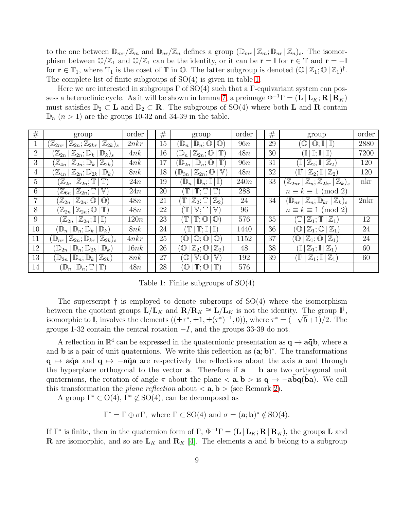to the one between  $\mathbb{D}_{mr}/\mathbb{Z}_m$  and  $\mathbb{D}_{nr}/\mathbb{Z}_n$  defines a group  $(\mathbb{D}_{mr} | \mathbb{Z}_m; \mathbb{D}_{nr} | \mathbb{Z}_n)_s$ . The isomorphism between  $\mathbb{O}/\mathbb{Z}_1$  and  $\mathbb{O}/\mathbb{Z}_1$  can be the identity, or it can be  $\mathbf{r} = \mathbf{l}$  for  $\mathbf{r} \in \mathbb{T}$  and  $\mathbf{r} = -\mathbf{l}$ for  $\mathbf{r} \in \mathbb{T}_1$ , where  $\mathbb{T}_1$  is the coset of  $\mathbb{T}$  in  $\mathbb{O}$ . The latter subgroup is denoted  $(\mathbb{O} | \mathbb{Z}_1; \mathbb{O} | \mathbb{Z}_1)^{\dagger}$ . The complete list of finite subgroups of SO(4) is given in table [1.](#page-8-0)

Here we are interested in subgroups  $\Gamma$  of  $SO(4)$  such that a  $\Gamma$ -equivariant system can pos-sess a heteroclinic cycle. As it will be shown in lemma [7,](#page-15-0) a preimage  $\Phi^{-1}\Gamma = (\mathbf{L} | \mathbf{L}_K; \mathbf{R} | \mathbf{R}_K)$ must satisfies  $\mathbb{D}_2 \subset \mathbf{L}$  and  $\mathbb{D}_2 \subset \mathbf{R}$ . The subgroups of SO(4) where both **L** and **R** contain  $\mathbb{D}_n$  (*n* > 1) are the groups 10-32 and 34-39 in the table.

| #               | group                                                                                                                                                            | order | $^{\#}$ | group                                                                        | order | #  | group                                                                          | order |
|-----------------|------------------------------------------------------------------------------------------------------------------------------------------------------------------|-------|---------|------------------------------------------------------------------------------|-------|----|--------------------------------------------------------------------------------|-------|
|                 | $(\mathbb{Z}_{2k})_s$<br>$\mathbb{Z}_{2nr}$<br>$\mathbb{Z}_{2n};\mathbb{Z}_{2kr}$                                                                                | 2nkr  | 15      | $\mathbb{O}$<br>$\mathbb{D}_n$ ; $\mathbb{O}$<br>$\mathbb{D}_n$              | 96n   | 29 | $\mathbb I$<br>' (L)<br>$\mathbb{O}$ :                                         | 2880  |
| $\overline{2}$  | $\mathbb{Z}_{2n};\mathbb{D}_k$<br>$\mathbb{Z}_{2n}$<br>$\mathbb{D}_k$ <sub>s</sub>                                                                               | 4nk   | 16      | $\mathbb{Z}_{2n};\mathbb{O}$<br>$\mathbb{D}_n$                               | 48n   | 30 | $\mathbb{I}$ ; $\mathbb{I}$<br>$\mathbb{I}$<br>I                               | 7200  |
| 3               | $\mathbb{Z}_{2n};\mathbb{D}_k$  <br>$\mathbb{Z}_{2k}$<br>$\mathbb{Z}_{4n}$                                                                                       | 4nk   | 17      | $\mathbb{D}_{2n}$<br>$\mathbb{D}_n$ ; $\mathbb{O}$                           | 96n   | 31 | $\mathbb{Z}_2)$<br>I<br>$\mathbb{Z}_2$ ; I                                     | 120   |
| $\overline{4}$  | $\mathbb{Z}_{2n};\mathbb{D}_{2k}$<br>$\left \mathbb{Z}_{4n}\right $<br>$\mathbb{D}_k$                                                                            | 8nk   | 18      | $\mathbb{V}$<br>$\mathbb{Z}_{2n};\mathbb{O}$<br>$\mathbb{D}_{3n}$            | 48n   | 32 | ΊĻ<br>$\mathbb{Z}_2$ ; $\mathbb{I}$<br>$(\mathbb{Z}_2)$                        | 120   |
| $5\overline{)}$ | $\left\lfloor \mathbb{Z}_{2n} \right\rfloor$<br>$\mathbb{Z}_{2n};\mathbb{T}% _{2n+1},\mathbb{Z}_{2n}^{\ast}\times\mathbb{Z}_{2n}^{\ast\prime}$<br>$\mathbb{T}$ , | 24n   | 19      | $\mathbb{D}_n;\mathbb{I}$ )<br>$\mathbb{D}_n$                                | 240n  | 33 | $(\mathbb{Z}_{2nr} \, \, \mathbb{Z}_n; \mathbb{Z}_{2kr} \, \, \mathbb{Z}_k)_s$ | nkr   |
| 6               | $\mathbb{Z}_{2n};\mathbb{T}^{\, \,}$<br>$\mathbb{V}$<br>$\left \mathbb{Z}_{6n}\right $                                                                           | 24n   | 20      | T<br>$\mathbb{T}^n$                                                          | 288   |    | $n \equiv k \equiv 1 \pmod{2}$                                                 |       |
| 7               | $\mathbb{Z}_{2n} \mid$<br>$\mathbb{O}$<br>$\mathbb{Z}_{2n};\mathbb{O}$                                                                                           | 48n   | 21      | $\mathbb{Z}_2)$<br>$\mathbb T$<br>$\mathbb{Z}_2; \mathbb{T}$                 | 24    | 34 | $(\mathbb{D}_{nr} \, \, \mathbb{Z}_n; \mathbb{D}_{kr} \, \, \mathbb{Z}_k)_s$   | 2nkr  |
| 8               | $\mathbb{Z}_{2n};\mathbb{O}$<br>$\mathbb{T}$ ,<br>$\mathbb{Z}_{2n}$                                                                                              | 48n   | 22      | $\mathbb{V}; \mathbb{T}$<br>$\mathbb {V}$                                    | 96    |    | $n \equiv k \equiv 1 \pmod{2}$                                                 |       |
| 9               | $(\mathbb{Z}_{2n})$<br>$\mathbb{Z}_{2n};\mathbb{I}$<br>$\mathbb{I}$                                                                                              | 120n  | 23      | $\mathbb{T}$ : $\mathbb{O}$<br>$\mathbb{O}$                                  | 576   | 35 | $\mathbb{Z}_1$ ; T<br>$\mathbb{Z}_1$                                           | 12    |
| 10              | $\mathbb{D}_n$<br>$\mathbb{D}_n$ ; $\mathbb{D}_k$<br>$\mathbb{D}_k$                                                                                              | 8nk   | 24      | $\mathbb{T}^n$<br>$\mathbb{T}$ : I<br>$\mathbb{I}$                           | 1440  | 36 | $\mathbb{Z}_1$ ; $\mathbb{O}$<br>$\mathbb{Z}_1$<br>$\circledcirc$              | 24    |
| 11              | $\mathbb{Z}_{2n};\mathbb{D}_{kr}$  <br>$(\mathbb{Z}_{2k})_s$<br>$\mathbb{D}_{nr}$                                                                                | 4nkr  | 25      | $\mathbb{O}$<br>$\mathbb{O}$<br>$\circlearrowright$<br>$\cdot$ (Q) $\cdot$ . | 1152  | 37 | $(\mathbb{Z}_1)^{\mathbb{Z}}$<br>$\mathbb{Z}_1$ ; $\mathbb{O}$<br>$\omega$     | 24    |
| 12              | $\mathbb{D}_n$ ; $\mathbb{D}_{2k}$<br>$\mathbb{D}_{2n}$<br>$\mathbb{D}_k$                                                                                        | 16nk  | 26      | $\mathbb{Z}_2$ ; $\mathbb{O}$<br>$\mathbb{Z}_2)$<br>$\omega$                 | 48    | 38 | $\mathbb{Z}_1$<br>Ί<br>$\mathbb{Z}_1; \mathbb{I}$                              | 60    |
| 13              | $\mathbb{Z}_{2k}$<br>$\mathbb{D}_n$ ; $\mathbb{D}_k$<br>$\mathbb{D}_{2n}$                                                                                        | 8nk   | 27      | $\mathbb{V};\mathbb{O}$<br>$\mathbb {V}$<br>O)                               | 192   | 39 | $\mathbb{Z}_1$ ; $\mathbb{I}   \mathbb{Z}_1$<br>Ï١                             | 60    |
| 14              | $\mathbb{D}_n \,   \, \mathbb{D}_n; \mathbb{T}$                                                                                                                  | 48n   | 28      | $\circlearrowright$<br>$T: \mathbb{O}$<br>$\mathbb{T}$                       | 576   |    |                                                                                |       |

<span id="page-8-0"></span>Table 1: Finite subgroups of SO(4)

The superscript  $\dagger$  is employed to denote subgroups of  $SO(4)$  where the isomorphism between the quotient groups  $\mathbf{L}/\mathbf{L}_K$  and  $\mathbf{R}/\mathbf{R}_K \cong \mathbf{L}/\mathbf{L}_K$  is not the identity. The group  $\mathbb{I}^{\dagger}$ , isomorphic to I, involves the elements  $((\pm \tau^*, \pm 1, \pm (\tau^*)^{-1}, 0))$ , where  $\tau^* = (-\sqrt{5}+1)/2$ . The groups 1-32 contain the central rotation  $-I$ , and the groups 33-39 do not.

A reflection in  $\mathbb{R}^4$  can be expressed in the quaternionic presentation as  $\mathbf{q} \to \mathbf{a}\tilde{\mathbf{q}}\mathbf{b}$ , where  $\mathbf{a}$ and **b** is a pair of unit quaternions. We write this reflection as  $(\mathbf{a}; \mathbf{b})^*$ . The transformations  $q \mapsto a\tilde{q}a$  and  $q \mapsto -a\tilde{q}a$  are respectively the reflections about the axis a and through the hyperplane orthogonal to the vector **a**. Therefore if **a**  $\perp$  **b** are two orthogonal unit quaternions, the rotation of angle  $\pi$  about the plane  $\langle a, b \rangle$  is  $q \rightarrow -abq(ba)$ . We call this transformation the *plane reflection* about  $\langle \mathbf{a}, \mathbf{b} \rangle$  (see Remark [2\)](#page-5-0).

A group  $\Gamma^* \subset O(4)$ ,  $\Gamma^* \not\subset SO(4)$ , can be decomposed as

 $\Gamma^* = \Gamma \oplus \sigma \Gamma$ , where  $\Gamma \subset SO(4)$  and  $\sigma = (\mathbf{a}; \mathbf{b})^* \notin SO(4)$ .

If  $\Gamma^*$  is finite, then in the quaternion form of  $\Gamma$ ,  $\Phi^{-1}\Gamma = (\mathbf{L} | \mathbf{L}_K; \mathbf{R} | \mathbf{R}_K)$ , the groups **L** and **R** are isomorphic, and so are  $\mathbf{L}_K$  and  $\mathbf{R}_K$  [\[4\]](#page-28-6). The elements **a** and **b** belong to a subgroup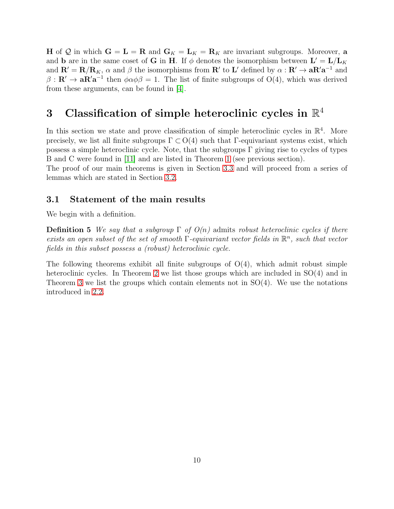**H** of Q in which  $G = L = R$  and  $G_K = L_K = R_K$  are invariant subgroups. Moreover, a and **b** are in the same coset of **G** in **H**. If  $\phi$  denotes the isomorphism between  $\mathbf{L}' = \mathbf{L}/\mathbf{L}_K$ and  $\mathbf{R}' = \mathbf{R}/\mathbf{R}_K$ ,  $\alpha$  and  $\beta$  the isomorphisms from  $\mathbf{R}'$  to  $\mathbf{L}'$  defined by  $\alpha : \mathbf{R}' \to \mathbf{a} \mathbf{R}' \mathbf{a}^{-1}$  and  $\beta : \mathbf{R}' \to \mathbf{a} \mathbf{R}' \mathbf{a}^{-1}$  then  $\phi \alpha \phi \beta = 1$ . The list of finite subgroups of O(4), which was derived from these arguments, can be found in [\[4\]](#page-28-6).

# <span id="page-9-0"></span>3 Classification of simple heteroclinic cycles in  $\mathbb{R}^4$

In this section we state and prove classification of simple heteroclinic cycles in  $\mathbb{R}^4$ . More precisely, we list all finite subgroups  $\Gamma \subset O(4)$  such that  $\Gamma$ -equivariant systems exist, which possess a simple heteroclinic cycle. Note, that the subgroups  $\Gamma$  giving rise to cycles of types B and C were found in [\[11\]](#page-29-2) and are listed in Theorem [1](#page-5-1) (see previous section).

The proof of our main theorems is given in Section [3.3](#page-16-0) and will proceed from a series of lemmas which are stated in Section [3.2.](#page-11-0)

## 3.1 Statement of the main results

<span id="page-9-1"></span>We begin with a definition.

**Definition 5** We say that a subgroup  $\Gamma$  of  $O(n)$  admits robust heteroclinic cycles if there exists an open subset of the set of smooth  $\Gamma$ -equivariant vector fields in  $\mathbb{R}^n$ , such that vector fields in this subset possess a (robust) heteroclinic cycle.

The following theorems exhibit all finite subgroups of  $O(4)$ , which admit robust simple heteroclinic cycles. In Theorem [2](#page-10-0) we list those groups which are included in  $SO(4)$  and in Theorem [3](#page-11-1) we list the groups which contain elements not in  $SO(4)$ . We use the notations introduced in [2.2.](#page-6-0)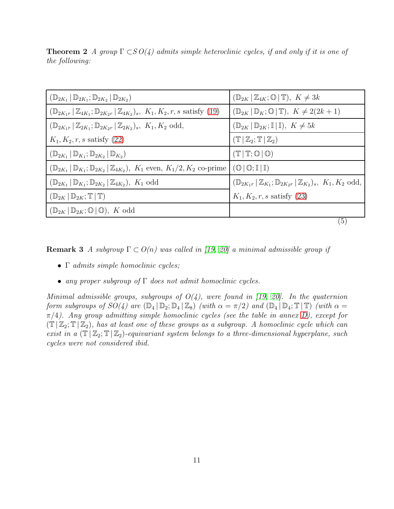| $(\mathbb{D}_{2K_1}   \mathbb{D}_{2K_1}; \mathbb{D}_{2K_2}   \mathbb{D}_{2K_2})$                                     | $(\mathbb{D}_{2K}   \mathbb{Z}_{4K}; \mathbb{O}   \mathbb{T}), K \neq 3k$                                 |
|----------------------------------------------------------------------------------------------------------------------|-----------------------------------------------------------------------------------------------------------|
| $(\mathbb{D}_{2K_1r}   \mathbb{Z}_{4K_1}; \mathbb{D}_{2K_2r}   \mathbb{Z}_{4K_2})_s$ , $K_1, K_2, r, s$ satisfy (19) | $(\mathbb{D}_{2K}   \mathbb{D}_K; \mathbb{O}   \mathbb{T}), K \neq 2(2k+1)$                               |
| $(\mathbb{D}_{2K_1r}   \mathbb{Z}_{2K_1}; \mathbb{D}_{2K_2r}   \mathbb{Z}_{2K_2})_s$ , $K_1, K_2$ odd,               | $(\mathbb{D}_{2K}   \mathbb{D}_{2K}; \mathbb{I}   \mathbb{I}), K \neq 5k$                                 |
| $K_1, K_2, r, s$ satisfy (22)                                                                                        | $(\mathbb{T}   \mathbb{Z}_2; \mathbb{T}   \mathbb{Z}_2)$                                                  |
| $(\mathbb{D}_{2K_1}   \mathbb{D}_{K_1}; \mathbb{D}_{2K_2}   \mathbb{D}_{K_2})$                                       | $(T   T; \mathbb{O}   \mathbb{O})$                                                                        |
| $(\mathbb{D}_{2K_1}   \mathbb{D}_{K_1}; \mathbb{D}_{2K_2}   \mathbb{Z}_{4K_2}), K_1$ even, $K_1/2, K_2$ co-prime     | $(\mathbb{O} \mid \mathbb{O}; \mathbb{I} \mid \mathbb{I})$                                                |
| $(\mathbb{D}_{2K_1}   \mathbb{D}_{K_1}; \mathbb{D}_{2K_2}   \mathbb{Z}_{4K_2}), K_1$ odd                             | $(\mathbb{D}_{2K_1r}   \mathbb{Z}_{K_1}; \mathbb{D}_{2K_2r}   \mathbb{Z}_{K_2})_s, K_1, K_2 \text{ odd},$ |
| $(\mathbb{D}_{2K}   \mathbb{D}_{2K}; \mathbb{T}   \mathbb{T})$                                                       | $K_1, K_2, r, s$ satisfy (23)                                                                             |
| $(\mathbb{D}_{2K}   \mathbb{D}_{2K}; \mathbb{O}   \mathbb{O}), K$ odd                                                |                                                                                                           |
|                                                                                                                      | $\mathfrak{b}$                                                                                            |

<span id="page-10-0"></span>**Theorem 2** A group  $\Gamma \subset SO(4)$  admits simple heteroclinic cycles, if and only if it is one of the following:

**Remark 3** A subgroup  $\Gamma \subset O(n)$  was called in [\[19,](#page-29-0) [20\]](#page-29-1) a minimal admissible group if

- Γ admits simple homoclinic cycles;
- any proper subgroup of  $\Gamma$  does not admit homoclinic cycles.

Minimal admissible groups, subgroups of  $O(4)$ , were found in [\[19,](#page-29-0) [20\]](#page-29-1). In the quaternion form subgroups of  $SO(4)$  are  $(\mathbb{D}_4 | \mathbb{D}_2; \mathbb{D}_4 | \mathbb{Z}_8)$  (with  $\alpha = \pi/2$ ) and  $(\mathbb{D}_4 | \mathbb{D}_4; \mathbb{T} | \mathbb{T})$  (with  $\alpha =$  $\pi/4$ ). Any group admitting simple homoclinic cycles (see the table in annex [D\)](#page-39-0), except for  $(\mathbb{T} \mid \mathbb{Z}_2; \mathbb{T} \mid \mathbb{Z}_2)$ , has at least one of these groups as a subgroup. A homoclinic cycle which can exist in a  $(\mathbb{T} | \mathbb{Z}_2; \mathbb{T} | \mathbb{Z}_2)$ -equivariant system belongs to a three-dimensional hyperplane, such cycles were not considered ibid.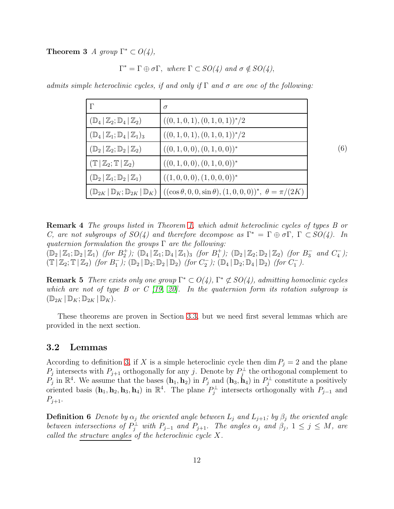<span id="page-11-1"></span>**Theorem 3** A group  $\Gamma^* \subset O(4)$ ,

$$
\Gamma^* = \Gamma \oplus \sigma \Gamma, \text{ where } \Gamma \subset SO(4) \text{ and } \sigma \notin SO(4),
$$

admits simple heteroclinic cycles, if and only if  $\Gamma$  and  $\sigma$  are one of the following:

| $\Gamma$                                                       | $\sigma$                                                                                                                                     |     |
|----------------------------------------------------------------|----------------------------------------------------------------------------------------------------------------------------------------------|-----|
| $(\mathbb{D}_4   \mathbb{Z}_2; \mathbb{D}_4   \mathbb{Z}_2)$   | $((0,1,0,1),(0,1,0,1))^{*}/2$                                                                                                                |     |
| $(\mathbb{D}_4   \mathbb{Z}_1; \mathbb{D}_4   \mathbb{Z}_1)_3$ | $((0, 1, 0, 1), (0, 1, 0, 1))^*/2$                                                                                                           |     |
| $(\mathbb{D}_2   \mathbb{Z}_2; \mathbb{D}_2   \mathbb{Z}_2)$   | $((0,1,0,0),(0,1,0,0))^*$                                                                                                                    | (6) |
| $(\mathbb{T}   \mathbb{Z}_2; \mathbb{T}   \mathbb{Z}_2)$       | $((0,1,0,0),(0,1,0,0))^*$                                                                                                                    |     |
| $(\mathbb{D}_2   \mathbb{Z}_1; \mathbb{D}_2   \mathbb{Z}_1)$   | $((1,0,0,0),(1,0,0,0))^*$                                                                                                                    |     |
|                                                                | $(\mathbb{D}_{2K}   \mathbb{D}_K; \mathbb{D}_{2K}   \mathbb{D}_K)$ $((\cos \theta, 0, 0, \sin \theta), (1, 0, 0, 0))^*, \ \theta = \pi/(2K)$ |     |

Remark 4 The groups listed in Theorem [1,](#page-5-1) which admit heteroclinic cycles of types B or C, are not subgroups of  $SO(4)$  and therefore decompose as  $\Gamma^* = \Gamma \oplus \sigma \Gamma$ ,  $\Gamma \subset SO(4)$ . In quaternion formulation the groups  $\Gamma$  are the following:

 $(\mathbb{D}_2 | \mathbb{Z}_1; \mathbb{D}_2 | \mathbb{Z}_1)$  (for  $B_2^+$ );  $(\mathbb{D}_4 | \mathbb{Z}_1; \mathbb{D}_4 | \mathbb{Z}_1)$ <sub>3</sub> (for  $B_1^+$ );  $(\mathbb{D}_2 | \mathbb{Z}_2; \mathbb{D}_2 | \mathbb{Z}_2)$  (for  $B_3^-$  and  $C_4^-$ );  $(\mathbb{T} | \mathbb{Z}_2; \mathbb{T} | \mathbb{Z}_2)$  (for  $B_1^-$ );  $(\mathbb{D}_2 | \mathbb{D}_2; \mathbb{D}_2 | \mathbb{D}_2)$  (for  $C_2^-$ );  $(\mathbb{D}_4 | \mathbb{D}_2; \mathbb{D}_4 | \mathbb{D}_2)$  (for  $C_1^-$ ).

**Remark 5** There exists only one group  $\Gamma^* \subset O(4)$ ,  $\Gamma^* \not\subset SO(4)$ , admitting homoclinic cycles which are not of type B or C  $(19, 20)$ . In the quaternion form its rotation subgroup is  $(\mathbb{D}_{2K} | \mathbb{D}_K; \mathbb{D}_{2K} | \mathbb{D}_K).$ 

These theorems are proven in Section [3.3,](#page-16-0) but we need first several lemmas which are provided in the next section.

## <span id="page-11-0"></span>3.2 Lemmas

According to definition [3,](#page-4-1) if X is a simple heteroclinic cycle then dim  $P_j = 2$  and the plane  $P_j$  intersects with  $P_{j+1}$  orthogonally for any j. Denote by  $P_j^{\perp}$  the orthogonal complement to  $P_j$  in  $\mathbb{R}^4$ . We assume that the bases  $(\mathbf{h}_1, \mathbf{h}_2)$  in  $P_j$  and  $(\mathbf{h}_3, \mathbf{h}_4)$  in  $P_j^{\perp}$  constitute a positively oriented basis  $(h_1, h_2, h_3, h_4)$  in  $\mathbb{R}^4$ . The plane  $P_j^{\perp}$  intersects orthogonally with  $P_{j-1}$  and  $P_{j+1}.$ 

<span id="page-11-2"></span>**Definition 6** Denote by  $\alpha_j$  the oriented angle between  $L_j$  and  $L_{j+1}$ ; by  $\beta_j$  the oriented angle between intersections of  $P_j^{\perp}$  with  $P_{j-1}$  and  $P_{j+1}$ . The angles  $\alpha_j$  and  $\beta_j$ ,  $1 \leq j \leq M$ , are called the structure angles of the heteroclinic cycle X.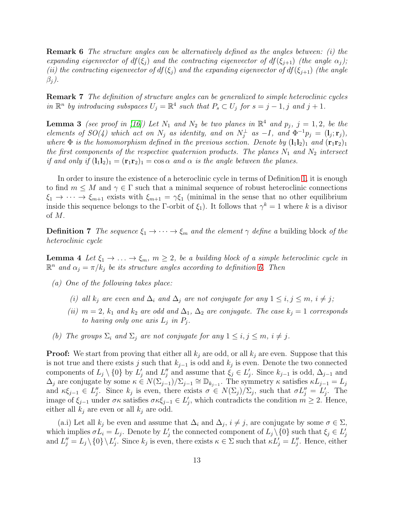Remark 6 The structure angles can be alternatively defined as the angles between: (i) the expanding eigenvector of  $df(\xi_i)$  and the contracting eigenvector of  $df(\xi_{i+1})$  (the angle  $\alpha_i$ ); (ii) the contracting eigenvector of  $df(\xi_j)$  and the expanding eigenvector of  $df(\xi_{j+1})$  (the angle  $\beta_i$ ).

Remark 7 The definition of structure angles can be generalized to simple heteroclinic cycles in  $\mathbb{R}^n$  by introducing subspaces  $U_j = \mathbb{R}^4$  such that  $P_s \subset U_j$  for  $s = j - 1, j$  and  $j + 1$ .

<span id="page-12-1"></span>**Lemma 3** (see proof in [\[16\]](#page-29-3)) Let  $N_1$  and  $N_2$  be two planes in  $\mathbb{R}^4$  and  $p_j$ ,  $j = 1, 2$ , be the elements of  $SO(4)$  which act on  $N_j$  as identity, and on  $N_j^{\perp}$  as  $-I$ , and  $\Phi^{-1}p_j = (l_j; \mathbf{r}_j)$ , where  $\Phi$  is the homomorphism defined in the previous section. Denote by  $(l_1l_2)_1$  and  $(\mathbf{r}_1\mathbf{r}_2)_1$ the first components of the respective quaternion products. The planes  $N_1$  and  $N_2$  intersect if and only if  $(l_1l_2)_1 = (\mathbf{r}_1\mathbf{r}_2)_1 = \cos \alpha$  and  $\alpha$  is the angle between the planes.

In order to insure the existence of a heteroclinic cycle in terms of Definition [1,](#page-2-1) it is enough to find  $m \leq M$  and  $\gamma \in \Gamma$  such that a minimal sequence of robust heteroclinic connections  $\xi_1 \to \cdots \to \xi_{m+1}$  exists with  $\xi_{m+1} = \gamma \xi_1$  (minimal in the sense that no other equilibrium inside this sequence belongs to the Γ-orbit of  $\xi_1$ ). It follows that  $\gamma^k = 1$  where k is a divisor of M.

<span id="page-12-0"></span>**Definition 7** The sequence  $\xi_1 \to \cdots \to \xi_m$  and the element  $\gamma$  define a building block of the heteroclinic cycle

**Lemma 4** Let  $\xi_1 \to \ldots \to \xi_m$ ,  $m \geq 2$ , be a building block of a simple heteroclinic cycle in  $\mathbb{R}^n$  and  $\alpha_j = \pi/k_j$  be its structure angles according to definition [6.](#page-11-2) Then

- (a) One of the following takes place:
	- (i) all  $k_j$  are even and  $\Delta_i$  and  $\Delta_j$  are not conjugate for any  $1 \leq i, j \leq m, i \neq j;$
	- (ii)  $m = 2$ ,  $k_1$  and  $k_2$  are odd and  $\Delta_1$ ,  $\Delta_2$  are conjugate. The case  $k_j = 1$  corresponds to having only one axis  $L_j$  in  $P_j$ .
- (b) The groups  $\Sigma_i$  and  $\Sigma_j$  are not conjugate for any  $1 \leq i, j \leq m, i \neq j$ .

**Proof:** We start from proving that either all  $k_j$  are odd, or all  $k_j$  are even. Suppose that this is not true and there exists j such that  $k_{j-1}$  is odd and  $k_j$  is even. Denote the two connected components of  $L_j \setminus \{0\}$  by  $L'_j$  and  $L''_j$  and assume that  $\xi_j \in L'_j$ . Since  $k_{j-1}$  is odd,  $\Delta_{j-1}$  and  $\Delta_j$  are conjugate by some  $\kappa \in N(\Sigma_{j-1})/\Sigma_{j-1} \cong \mathbb{D}_{k_{j-1}}$ . The symmetry  $\kappa$  satisfies  $\kappa L_{j-1} = L_j$ and  $\kappa \xi_{j-1} \in L''_j$ . Since  $k_j$  is even, there exists  $\sigma \in N(\Sigma_j)/\Sigma_j$ , such that  $\sigma L''_j = L'_j$ . The image of  $\xi_{j-1}$  under  $\sigma \kappa$  satisfies  $\sigma \kappa \xi_{j-1} \in L'_j$ , which contradicts the condition  $m \geq 2$ . Hence, either all  $k_j$  are even or all  $k_j$  are odd.

(a.i) Let all  $k_j$  be even and assume that  $\Delta_i$  and  $\Delta_j$ ,  $i \neq j$ , are conjugate by some  $\sigma \in \Sigma$ , which implies  $\sigma L_i = L_j$ . Denote by  $L'_j$  the connected component of  $L_j \setminus \{0\}$  such that  $\xi_j \in L'_j$ and  $L''_j = L_j \setminus \{0\} \setminus L'_j$ . Since  $k_j$  is even, there exists  $\kappa \in \Sigma$  such that  $\kappa L'_j = L''_j$ . Hence, either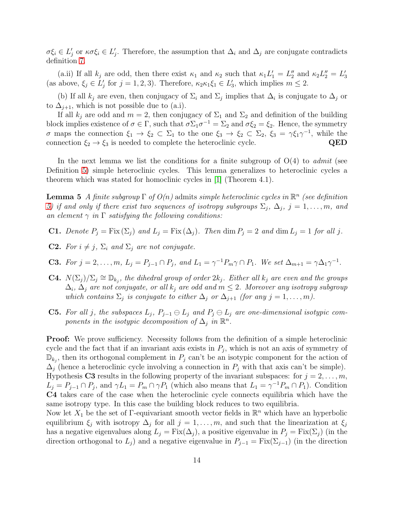$\sigma \xi_i \in L'_j$  or  $\kappa \sigma \xi_i \in L'_j$ . Therefore, the assumption that  $\Delta_i$  and  $\Delta_j$  are conjugate contradicts definition [7.](#page-12-0)

(a.ii) If all  $k_j$  are odd, then there exist  $\kappa_1$  and  $\kappa_2$  such that  $\kappa_1 L'_1 = L''_2$  and  $\kappa_2 L''_2 = L'_3$ (as above,  $\xi_j \in L'_j$  for  $j = 1, 2, 3$ ). Therefore,  $\kappa_2 \kappa_1 \xi_1 \in L'_3$ , which implies  $m \leq 2$ .

(b) If all  $k_j$  are even, then conjugacy of  $\Sigma_i$  and  $\Sigma_j$  implies that  $\Delta_i$  is conjugate to  $\Delta_j$  or to  $\Delta_{i+1}$ , which is not possible due to (a.i).

If all  $k_j$  are odd and  $m = 2$ , then conjugacy of  $\Sigma_1$  and  $\Sigma_2$  and definition of the building block implies existence of  $\sigma \in \Gamma$ , such that  $\sigma \Sigma_1 \sigma^{-1} = \Sigma_2$  and  $\sigma \xi_2 = \xi_2$ . Hence, the symmetry  $\sigma$  maps the connection  $\xi_1 \to \xi_2 \subset \Sigma_1$  to the one  $\xi_3 \to \xi_2 \subset \Sigma_2$ ,  $\xi_3 = \gamma \xi_1 \gamma^{-1}$ , while the connection  $\xi_2 \to \xi_3$  is needed to complete the heteroclinic cycle. QED

In the next lemma we list the conditions for a finite subgroup of  $O(4)$  to *admit* (see Definition [5\)](#page-9-1) simple heteroclinic cycles. This lemma generalizes to heteroclinic cycles a theorem which was stated for homoclinic cycles in [\[1\]](#page-28-7) (Theorem 4.1).

<span id="page-13-0"></span>**Lemma 5** A finite subgroup  $\Gamma$  of  $O(n)$  admits simple heteroclinic cycles in  $\mathbb{R}^n$  (see definition) [5\)](#page-9-1) if and only if there exist two sequences of isotropy subgroups  $\Sigma_j$ ,  $\Delta_j$ ,  $j = 1, \ldots, m$ , and an element  $\gamma$  in  $\Gamma$  satisfying the following conditions:

- **C1.** Denote  $P_i = \text{Fix}(\Sigma_i)$  and  $L_i = \text{Fix}(\Delta_i)$ . Then  $\dim P_i = 2$  and  $\dim L_i = 1$  for all j.
- **C2.** For  $i \neq j$ ,  $\Sigma_i$  and  $\Sigma_j$  are not conjugate.
- **C3.** For  $j = 2, \ldots, m$ ,  $L_j = P_{j-1} \cap P_j$ , and  $L_1 = \gamma^{-1} P_m \gamma \cap P_1$ . We set  $\Delta_{m+1} = \gamma \Delta_1 \gamma^{-1}$ .
- **C4.**  $N(\Sigma_j)/\Sigma_j \cong \mathbb{D}_{k_j}$ , the dihedral group of order  $2k_j$ . Either all  $k_j$  are even and the groups  $\Delta_i$ ,  $\Delta_j$  are not conjugate, or all  $k_j$  are odd and  $m\leq 2.$  Moreover any isotropy subgroup which contains  $\Sigma_j$  is conjugate to either  $\Delta_j$  or  $\Delta_{j+1}$  (for any  $j = 1, \ldots, m$ ).
- **C5.** For all j, the subspaces  $L_j$ ,  $P_{j-1} \ominus L_j$  and  $P_j \ominus L_j$  are one-dimensional isotypic components in the isotypic decomposition of  $\Delta_j$  in  $\mathbb{R}^n$ .

Proof: We prove sufficiency. Necessity follows from the definition of a simple heteroclinic cycle and the fact that if an invariant axis exists in  $P_j$ , which is not an axis of symmetry of  $\mathbb{D}_{k_j}$ , then its orthogonal complement in  $P_j$  can't be an isotypic component for the action of  $\Delta_j$  (hence a heteroclinic cycle involving a connection in  $P_j$  with that axis can't be simple). Hypothesis C3 results in the following property of the invariant subspaces: for  $j = 2, \ldots, m$ ,  $L_j = P_{j-1} \cap P_j$ , and  $\gamma L_1 = P_m \cap \gamma P_1$  (which also means that  $L_1 = \gamma^{-1} P_m \cap P_1$ ). Condition C4 takes care of the case when the heteroclinic cycle connects equilibria which have the same isotropy type. In this case the building block reduces to two equilibria.

Now let  $X_1$  be the set of Γ-equivariant smooth vector fields in  $\mathbb{R}^n$  which have an hyperbolic equilibrium  $\xi_j$  with isotropy  $\Delta_j$  for all  $j = 1, \ldots, m$ , and such that the linearization at  $\xi_j$ has a negative eigenvalues along  $L_j = Fix(\Delta_j)$ , a positive eigenvalue in  $P_j = Fix(\Sigma_j)$  (in the direction orthogonal to  $L_j$ ) and a negative eigenvalue in  $P_{j-1} = Fix(\Sigma_{j-1})$  (in the direction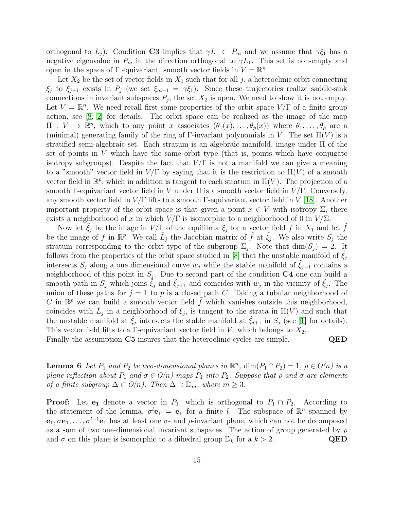orthogonal to  $L_j$ ). Condition C3 implies that  $\gamma L_1 \subset P_m$  and we assume that  $\gamma \xi_1$  has a negative eigenvalue in  $P_m$  in the direction orthogonal to  $\gamma L_1$ . This set is non-empty and open in the space of  $\Gamma$  equivariant, smooth vector fields in  $V = \mathbb{R}^n$ .

Let  $X_2$  be the set of vector fields in  $X_1$  such that for all j, a heteroclinic orbit connecting  $\xi_j$  to  $\xi_{j+1}$  exists in  $P_j$  (we set  $\xi_{m+1} = \gamma \xi_1$ ). Since these trajectories realize saddle-sink connections in invariant subspaces  $P_j$ , the set  $X_2$  is open. We need to show it is not empty. Let  $V = \mathbb{R}^n$ . We need recall first some properties of the orbit space  $V/\Gamma$  of a finite group action, see [\[8,](#page-28-8) [2\]](#page-28-0) for details. The orbit space can be realized as the image of the map  $\Pi : V \to \mathbb{R}^p$ , which to any point x associates  $(\theta_1(x), \ldots, \theta_p(x))$  where  $\theta_1, \ldots, \theta_p$  are a (minimal) generating family of the ring of  $\Gamma$ -invariant polynomials in V. The set  $\Pi(V)$  is a stratified semi-algebraic set. Each stratum is an algebraic manifold, image under Π of the set of points in  $V$  which have the same orbit type (that is, points which have conjugate isotropy subgroups). Despite the fact that  $V/\Gamma$  is not a manifold we can give a meaning to a "smooth" vector field in  $V/\Gamma$  by saying that it is the restriction to  $\Pi(V)$  of a smooth vector field in  $\mathbb{R}^p$ , which in addition is tangent to each stratum in  $\Pi(V)$ . The projection of a smooth Γ-equivariant vector field in V under  $\Pi$  is a smooth vector field in  $V/\Gamma$ . Conversely, any smooth vector field in  $V/\Gamma$  lifts to a smooth Γ-equivariant vector field in V [\[18\]](#page-29-5). Another important property of the orbit space is that given a point  $x \in V$  with isotropy  $\Sigma$ , there exists a neighborhood of x in which  $V/\Gamma$  is isomorphic to a neighborhood of 0 in  $V/\Sigma$ .

Now let  $\tilde{\xi}_j$  be the image in  $V/\Gamma$  of the equilibria  $\xi_j$  for a vector field f in  $X_1$  and let  $\tilde{f}$ be the image of f in  $\mathbb{R}^p$ . We call  $\tilde{L}_j$  the Jacobian matrix of  $\tilde{f}$  at  $\tilde{\xi}_j$ . We also write  $S_j$  the stratum corresponding to the orbit type of the subgroup  $\Sigma_j$ . Note that  $\dim(S_j) = 2$ . It follows from the properties of the orbit space studied in [\[8\]](#page-28-8) that the unstable manifold of  $\xi_i$ intersects  $S_i$  along a one dimensional curve  $w_j$  while the stable manifold of  $\xi_{j+1}$  contains a neighborhood of this point in  $S_j$ . Due to second part of the condition C4 one can build a smooth path in  $S_j$  which joins  $\tilde{\xi}_j$  and  $\tilde{\xi}_{j+1}$  and coincides with  $w_j$  in the vicinity of  $\tilde{\xi}_j$ . The union of these paths for  $j = 1$  to p is a closed path C. Taking a tubular neighborhood of C in  $\mathbb{R}^p$  we can build a smooth vector field  $\tilde{f}$  which vanishes outside this neighborhood, coincides with  $\tilde{L}_j$  in a neighborhood of  $\xi_j$ , is tangent to the strata in  $\Pi(V)$  and such that the unstable manifold at  $\tilde{\xi}_j$  intersects the stable manifold at  $\tilde{\xi}_{j+1}$  in  $S_j$  (see [\[1\]](#page-28-7) for details). This vector field lifts to a Γ-equivariant vector field in  $V$ , which belongs to  $X_2$ .

Finally the assumption C5 insures that the heteroclinic cycles are simple. QED

**Lemma 6** Let  $P_1$  and  $P_2$  be two-dimensional planes in  $\mathbb{R}^n$ ,  $\dim(P_1 \cap P_2) = 1$ ,  $\rho \in O(n)$  is a plane reflection about  $P_1$  and  $\sigma \in O(n)$  maps  $P_1$  into  $P_2$ . Suppose that  $\rho$  and  $\sigma$  are elements of a finite subgroup  $\Delta \subset O(n)$ . Then  $\Delta \supset \mathbb{D}_m$ , where  $m \geq 3$ .

**Proof:** Let  $e_1$  denote a vector in  $P_1$ , which is orthogonal to  $P_1 \cap P_2$ . According to the statement of the lemma,  $\sigma^{l}$ **e**<sub>1</sub> = **e**<sub>1</sub> for a finite *l*. The subspace of  $\mathbb{R}^{n}$  spanned by  $e_1, \sigma e_1, \ldots, \sigma^{l-1}e_1$  has at least one  $\sigma$ - and  $\rho$ -invariant plane, which can not be decomposed as a sum of two one-dimensional invariant subspaces. The action of group generated by  $\rho$ and  $\sigma$  on this plane is isomorphic to a dihedral group  $\mathbb{D}_k$  for a  $k > 2$ . QED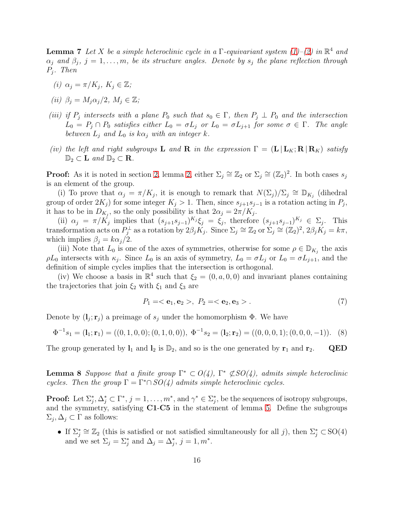<span id="page-15-0"></span>**Lemma 7** Let X be a simple heteroclinic cycle in a  $\Gamma$ -equivariant system [\(1\)](#page-1-1)–[\(2\)](#page-1-0) in  $\mathbb{R}^4$  and  $\alpha_j$  and  $\beta_j$ ,  $j = 1, \ldots, m$ , be its structure angles. Denote by  $s_j$  the plane reflection through Pj . Then

- (i)  $\alpha_j = \pi/K_j, K_j \in \mathbb{Z}$ ;
- (ii)  $\beta_i = M_i \alpha_i / 2, M_i \in \mathbb{Z}$ ;
- (iii) if  $P_j$  intersects with a plane  $P_0$  such that  $s_0 \in \Gamma$ , then  $P_j \perp P_0$  and the intersection  $L_0 = P_j \cap P_0$  satisfies either  $L_0 = \sigma L_j$  or  $L_0 = \sigma L_{j+1}$  for some  $\sigma \in \Gamma$ . The angle between  $L_i$  and  $L_0$  is  $k\alpha_j$  with an integer k.
- (iv) the left and right subgroups **L** and **R** in the expression  $\Gamma = (\mathbf{L} | \mathbf{L}_K; \mathbf{R} | \mathbf{R}_K)$  satisfy  $\mathbb{D}_2 \subset \mathbf{L}$  and  $\mathbb{D}_2 \subset \mathbf{R}$ .

**Proof:** As it is noted in section [2,](#page-5-2) lemma 2, either  $\Sigma_j \cong \mathbb{Z}_2$  or  $\Sigma_j \cong (\mathbb{Z}_2)^2$ . In both cases  $s_j$ is an element of the group.

(i) To prove that  $\alpha_j = \pi/K_j$ , it is enough to remark that  $N(\Sigma_j)/\Sigma_j \cong \mathbb{D}_{K_j}$  (dihedral group of order  $2K_j$ ) for some integer  $K_j > 1$ . Then, since  $s_{j+1} s_{j-1}$  is a rotation acting in  $P_j$ , it has to be in  $D_{K_j}$ , so the only possibility is that  $2\alpha_j = 2\pi/K_j$ .

(ii)  $\alpha_j = \pi/K_j$  implies that  $(s_{j+1}s_{j-1})^{K_j}\xi_j = \xi_j$ , therefore  $(s_{j+1}s_{j-1})^{K_j} \in \Sigma_j$ . This transformation acts on  $P_j^{\perp}$  as a rotation by  $2\beta_j K_j$ . Since  $\Sigma_j \cong \mathbb{Z}_2$  or  $\Sigma_j \cong (\mathbb{Z}_2)^2$ ,  $2\beta_j K_j = k\pi$ , which implies  $\beta_j = k\alpha_j/2$ .

(iii) Note that  $L_0$  is one of the axes of symmetries, otherwise for some  $\rho \in \mathbb{D}_{K_j}$  the axis  $\rho L_0$  intersects with  $\kappa_j$ . Since  $L_0$  is an axis of symmetry,  $L_0 = \sigma L_j$  or  $L_0 = \sigma L_{j+1}$ , and the definition of simple cycles implies that the intersection is orthogonal.

(iv) We choose a basis in  $\mathbb{R}^4$  such that  $\xi_2 = (0, a, 0, 0)$  and invariant planes containing the trajectories that join  $\xi_2$  with  $\xi_1$  and  $\xi_3$  are

$$
P_1 = \langle e_1, e_2 \rangle, \ P_2 = \langle e_2, e_3 \rangle. \tag{7}
$$

Denote by  $(\mathbf{l}_j; \mathbf{r}_j)$  a preimage of  $s_j$  under the homomorphism  $\Phi$ . We have

$$
\Phi^{-1}s_1 = (\mathbf{l}_1; \mathbf{r}_1) = ((0, 1, 0, 0); (0, 1, 0, 0)), \ \Phi^{-1}s_2 = (\mathbf{l}_2; \mathbf{r}_2) = ((0, 0, 0, 1); (0, 0, 0, -1)). \tag{8}
$$

<span id="page-15-1"></span>The group generated by  $\mathbf{l}_1$  and  $\mathbf{l}_2$  is  $\mathbb{D}_2$ , and so is the one generated by  $\mathbf{r}_1$  and  $\mathbf{r}_2$ . QED

**Lemma 8** Suppose that a finite group  $\Gamma^* \subset O(4)$ ,  $\Gamma^* \not\subset SO(4)$ , admits simple heteroclinic cycles. Then the group  $\Gamma = \Gamma^* \cap SO(4)$  admits simple heteroclinic cycles.

**Proof:** Let  $\Sigma_j^*, \Delta_j^* \subset \Gamma^*, j = 1, \ldots, m^*$ , and  $\gamma^* \in \Sigma_j^*$ , be the sequences of isotropy subgroups, and the symmetry, satisfying C1-C5 in the statement of lemma [5.](#page-13-0) Define the subgroups  $\Sigma_j, \Delta_j \subset \Gamma$  as follows:

• If  $\Sigma_j^* \cong \mathbb{Z}_2$  (this is satisfied or not satisfied simultaneously for all j), then  $\Sigma_j^* \subset SO(4)$ and we set  $\Sigma_j = \Sigma_j^*$  and  $\Delta_j = \Delta_j^*, j = 1, m^*.$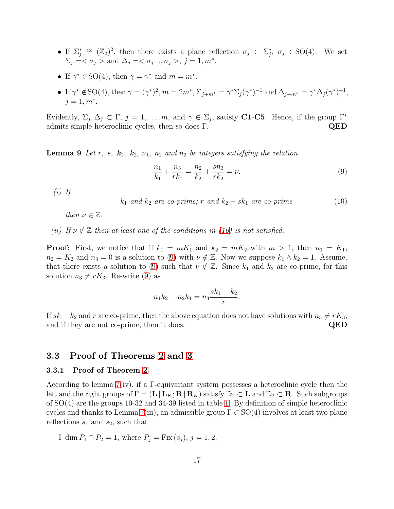- If  $\Sigma_j^* \cong (\mathbb{Z}_2)^2$ , then there exists a plane reflection  $\sigma_j \in \Sigma_j^*$ ,  $\sigma_j \in SO(4)$ . We set  $\Sigma_j = \langle \sigma_j \rangle$  and  $\Delta_j = \langle \sigma_{j-1}, \sigma_j \rangle, j = 1, m^*$ .
- If  $\gamma^* \in SO(4)$ , then  $\gamma = \gamma^*$  and  $m = m^*$ .
- If  $\gamma^* \notin SO(4)$ , then  $\gamma = (\gamma^*)^2$ ,  $m = 2m^*$ ,  $\Sigma_{j+m^*} = \gamma^* \Sigma_j (\gamma^*)^{-1}$  and  $\Delta_{j+m^*} = \gamma^* \Delta_j (\gamma^*)^{-1}$ ,  $j = 1, m^*$ .

<span id="page-16-3"></span>Evidently,  $\Sigma_j, \Delta_j \subset \Gamma$ ,  $j = 1, ..., m$ , and  $\gamma \in \Sigma_j$ , satisfy **C1-C5**. Hence, if the group  $\Gamma^*$ admits simple heteroclinic cycles, then so does Γ.  $QED$ 

**Lemma 9** Let r, s,  $k_1$ ,  $k_2$ ,  $n_1$ ,  $n_2$  and  $n_3$  be integers satisfying the relation

<span id="page-16-2"></span>
$$
\frac{n_1}{k_1} + \frac{n_3}{rk_1} = \frac{n_2}{k_2} + \frac{sn_3}{rk_2} = \nu.
$$
\n(9)

 $(i)$  If

<span id="page-16-1"></span> $k_1$  and  $k_2$  are co-prime; r and  $k_2 - sk_1$  are co-prime (10)

then  $\nu \in \mathbb{Z}$ .

(ii) If  $\nu \notin \mathbb{Z}$  then at least one of the conditions in [\(10\)](#page-16-1) is not satisfied.

**Proof:** First, we notice that if  $k_1 = mK_1$  and  $k_2 = mK_2$  with  $m > 1$ , then  $n_1 = K_1$ ,  $n_2 = K_2$  and  $n_3 = 0$  is a solution to [\(9\)](#page-16-2) with  $\nu \notin \mathbb{Z}$ . Now we suppose  $k_1 \wedge k_2 = 1$ . Assume, that there exists a solution to [\(9\)](#page-16-2) such that  $\nu \notin \mathbb{Z}$ . Since  $k_1$  and  $k_2$  are co-prime, for this solution  $n_3 \neq rK_3$ . Re-write [\(9\)](#page-16-2) as

$$
n_1k_2 - n_2k_1 = n_3 \frac{sk_1 - k_2}{r}.
$$

If  $sk_1-k_2$  and r are co-prime, then the above equation does not have solutions with  $n_3 \neq rK_3$ ;<br>and if they are not co-prime, then it does. QED and if they are not co-prime, then it does.

### <span id="page-16-0"></span>3.3 Proof of Theorems [2](#page-10-0) and [3](#page-11-1)

#### 3.3.1 Proof of Theorem [2](#page-10-0)

According to lemma [7\(](#page-15-0)iv), if a Γ-equivariant system possesses a heteroclinic cycle then the left and the right groups of  $\Gamma = (\mathbf{L} | \mathbf{L}_K; \mathbf{R} | \mathbf{R}_K)$  satisfy  $\mathbb{D}_2 \subset \mathbf{L}$  and  $\mathbb{D}_2 \subset \mathbf{R}$ . Such subgroups of SO(4) are the groups 10-32 and 34-39 listed in table [1.](#page-8-0) By definition of simple heteroclinic cycles and thanks to Lemma [7\(](#page-15-0)iii), an admissible group  $\Gamma \subset SO(4)$  involves at least two plane reflections  $s_1$  and  $s_2$ , such that

I dim 
$$
P_1 \cap P_2 = 1
$$
, where  $P_j = \text{Fix}(s_j), j = 1, 2$ ;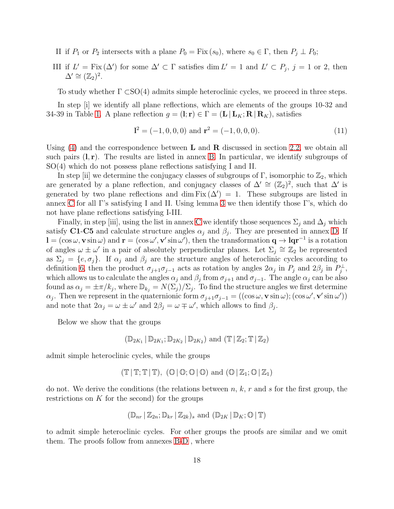- II if  $P_1$  or  $P_2$  intersects with a plane  $P_0 = Fix(s_0)$ , where  $s_0 \in \Gamma$ , then  $P_j \perp P_0$ ;
- III if  $L' = \text{Fix}(\Delta')$  for some  $\Delta' \subset \Gamma$  satisfies dim  $L' = 1$  and  $L' \subset P_j$ ,  $j = 1$  or 2, then  $\Delta' \cong (\mathbb{Z}_2)^2$ .

To study whether  $\Gamma \subset SO(4)$  admits simple heteroclinic cycles, we proceed in three steps.

In step [i] we identify all plane reflections, which are elements of the groups 10-32 and 34-39 in Table [1.](#page-8-0) A plane reflection  $g = (l; \mathbf{r}) \in \Gamma = (\mathbf{L} | \mathbf{L}_K; \mathbf{R} | \mathbf{R}_K)$ , satisfies

<span id="page-17-0"></span>
$$
\mathbf{l}^2 = (-1, 0, 0, 0) \text{ and } \mathbf{r}^2 = (-1, 0, 0, 0). \tag{11}
$$

Using  $(4)$  and the correspondence between **L** and **R** discussed in section [2.2,](#page-6-0) we obtain all such pairs  $(l, r)$ . The results are listed in annex [B.](#page-33-0) In particular, we identify subgroups of SO(4) which do not possess plane reflections satisfying I and II.

In step [ii] we determine the conjugacy classes of subgroups of  $\Gamma$ , isomorphic to  $\mathbb{Z}_2$ , which are generated by a plane reflection, and conjugacy classes of  $\Delta' \cong (\mathbb{Z}_2)^2$ , such that  $\Delta'$  is generated by two plane reflections and dim Fix  $(\Delta') = 1$ . These subgroups are listed in annex [C](#page-35-0) for all Γ's satisfying I and II. Using lemma [3](#page-12-1) we then identify those Γ's, which do not have plane reflections satisfying I-III.

Finally, in step [iii], using the list in annex [C](#page-35-0) we identify those sequences  $\Sigma_i$  and  $\Delta_j$  which satisfy C1-C5 and calculate structure angles  $\alpha_j$  and  $\beta_j$ . They are presented in annex [D.](#page-39-0) If  $\mathbf{l} = (\cos \omega, \mathbf{v} \sin \omega)$  and  $\mathbf{r} = (\cos \omega', \mathbf{v}' \sin \omega')$ , then the transformation  $\mathbf{q} \to \mathbf{lqr}^{-1}$  is a rotation of angles  $\omega \pm \omega'$  in a pair of absolutely perpendicular planes. Let  $\Sigma_j \cong \mathbb{Z}_2$  be represented as  $\Sigma_j = \{e, \sigma_j\}$ . If  $\alpha_j$  and  $\beta_j$  are the structure angles of heteroclinic cycles according to definition [6,](#page-11-2) then the product  $\sigma_{j+1}\sigma_{j-1}$  acts as rotation by angles  $2\alpha_j$  in  $P_j$  and  $2\beta_j$  in  $P_j^{\perp}$ , which allows us to calculate the angles  $\alpha_j$  and  $\beta_j$  from  $\sigma_{j+1}$  and  $\sigma_{j-1}$ . The angle  $\alpha_j$  can be also found as  $\alpha_j = \pm \pi/k_j$ , where  $\mathbb{D}_{k_j} = N(\Sigma_j)/\Sigma_j$ . To find the structure angles we first determine  $\alpha_j$ . Then we represent in the quaternionic form  $\sigma_{j+1}\sigma_{j-1} = ((\cos \omega, \mathbf{v} \sin \omega); (\cos \omega', \mathbf{v}' \sin \omega'))$ and note that  $2\alpha_j = \omega \pm \omega'$  and  $2\beta_j = \omega \mp \omega'$ , which allows to find  $\beta_j$ .

Below we show that the groups

$$
(\mathbb{D}_{2K_1} \,|\, \mathbb{D}_{2K_1}; \mathbb{D}_{2K_2} \,|\, \mathbb{D}_{2K_2}) \text{ and } (\mathbb{T} \,|\, \mathbb{Z}_2; \mathbb{T} \,|\, \mathbb{Z}_2)
$$

admit simple heteroclinic cycles, while the groups

$$
(\mathbb{T}\,|\,\mathbb{T};\mathbb{T}\,|\,\mathbb{T}),\,\,(\mathbb{O}\,|\,\mathbb{O};\mathbb{O}\,|\,\mathbb{O})\,\,\text{and}\,\,(\mathbb{O}\,|\,\mathbb{Z}_1;\mathbb{O}\,|\,\mathbb{Z}_1)
$$

do not. We derive the conditions (the relations between  $n, k, r$  and s for the first group, the restrictions on  $K$  for the second) for the groups

$$
(\mathbb{D}_{nr} \,|\, \mathbb{Z}_{2n}; \mathbb{D}_{kr} \,|\, \mathbb{Z}_{2k})_s \text{ and } (\mathbb{D}_{2K} \,|\, \mathbb{D}_K; \mathbb{O} \,|\, \mathbb{T})
$$

to admit simple heteroclinic cycles. For other groups the proofs are similar and we omit them. The proofs follow from annexes [B](#page-33-0)[-D](#page-39-0) , where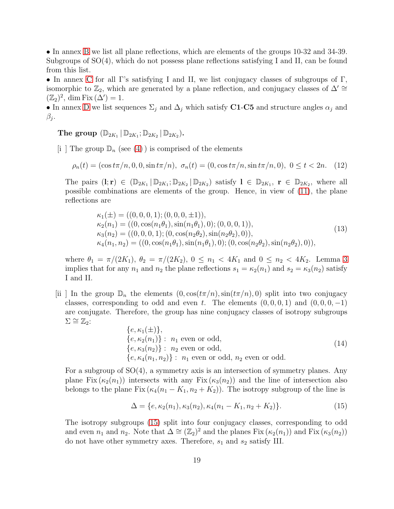• In annex [B](#page-33-0) we list all plane reflections, which are elements of the groups 10-32 and 34-39. Subgroups of SO(4), which do not possess plane reflections satisfying I and II, can be found from this list.

• In annex [C](#page-35-0) for all Γ's satisfying I and II, we list conjugacy classes of subgroups of Γ, isomorphic to  $\mathbb{Z}_2$ , which are generated by a plane reflection, and conjugacy classes of  $\Delta' \cong$  $(\mathbb{Z}_2)^2$ , dim Fix  $(\Delta') = 1$ .

• In annex [D](#page-39-0) we list sequences  $\Sigma_j$  and  $\Delta_j$  which satisfy C1-C5 and structure angles  $\alpha_j$  and  $\beta_j$  .

The group  $(\mathbb{D}_{2K_1} | \mathbb{D}_{2K_1}; \mathbb{D}_{2K_2} | \mathbb{D}_{2K_2}).$ 

[i ] The group  $\mathbb{D}_n$  (see [\(4\)](#page-7-0)) is comprised of the elements

<span id="page-18-1"></span>
$$
\rho_n(t) = (\cos t\pi/n, 0, 0, \sin t\pi/n), \ \sigma_n(t) = (0, \cos t\pi/n, \sin t\pi/n, 0), \ 0 \le t < 2n. \tag{12}
$$

The pairs  $(l; r) \in (\mathbb{D}_{2K_1} | \mathbb{D}_{2K_1}; \mathbb{D}_{2K_2} | \mathbb{D}_{2K_2})$  satisfy  $l \in \mathbb{D}_{2K_1}$ ,  $r \in \mathbb{D}_{2K_2}$ , where all possible combinations are elements of the group. Hence, in view of [\(11\)](#page-17-0), the plane reflections are

$$
\kappa_1(\pm) = ((0, 0, 0, 1); (0, 0, 0, \pm 1)),\n\kappa_2(n_1) = ((0, \cos(n_1\theta_1), \sin(n_1\theta_1), 0); (0, 0, 0, 1)),\n\kappa_3(n_2) = ((0, 0, 0, 1); (0, \cos(n_2\theta_2), \sin(n_2\theta_2), 0)),\n\kappa_4(n_1, n_2) = ((0, \cos(n_1\theta_1), \sin(n_1\theta_1), 0); (0, \cos(n_2\theta_2), \sin(n_2\theta_2), 0)),
$$
\n(13)

where  $\theta_1 = \pi/(2K_1)$ ,  $\theta_2 = \pi/(2K_2)$ ,  $0 \leq n_1 < 4K_1$  and  $0 \leq n_2 < 4K_2$ . Lemma [3](#page-12-1) implies that for any  $n_1$  and  $n_2$  the plane reflections  $s_1 = \kappa_2(n_1)$  and  $s_2 = \kappa_3(n_2)$  satisfy I and II.

[ii] In the group  $\mathbb{D}_n$  the elements  $(0, \cos(t\pi/n), \sin(t\pi/n), 0)$  split into two conjugacy classes, corresponding to odd and even t. The elements  $(0, 0, 0, 1)$  and  $(0, 0, 0, -1)$ are conjugate. Therefore, the group has nine conjugacy classes of isotropy subgroups  $\Sigma \cong \mathbb{Z}_2$ :

$$
\{e, \kappa_1(\pm)\},\n\{e, \kappa_2(n_1)\}: n_1 \text{ even or odd},\n\{e, \kappa_3(n_2)\}: n_2 \text{ even or odd},\n\{e, \kappa_4(n_1, n_2)\}: n_1 \text{ even or odd}, n_2 \text{ even or odd}.
$$
\n(14)

For a subgroup of  $SO(4)$ , a symmetry axis is an intersection of symmetry planes. Any plane Fix  $(\kappa_2(n_1))$  intersects with any Fix  $(\kappa_3(n_2))$  and the line of intersection also belongs to the plane Fix  $(\kappa_4(n_1 - K_1, n_2 + K_2))$ . The isotropy subgroup of the line is

<span id="page-18-0"></span>
$$
\Delta = \{e, \kappa_2(n_1), \kappa_3(n_2), \kappa_4(n_1 - K_1, n_2 + K_2)\}.
$$
 (15)

The isotropy subgroups [\(15\)](#page-18-0) split into four conjugacy classes, corresponding to odd and even  $n_1$  and  $n_2$ . Note that  $\Delta \cong (\mathbb{Z}_2)^2$  and the planes Fix  $(\kappa_2(n_1))$  and Fix  $(\kappa_3(n_2))$ do not have other symmetry axes. Therefore,  $s_1$  and  $s_2$  satisfy III.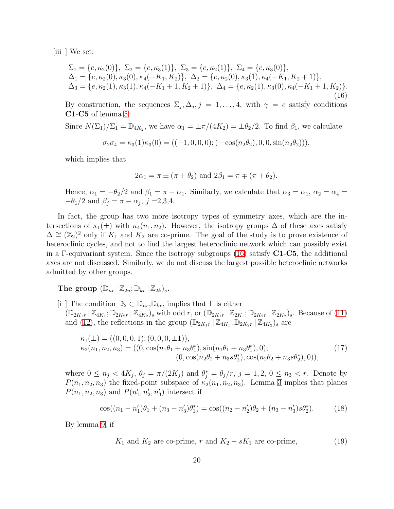$\left| \text{iii} \right|$  We set:

<span id="page-19-1"></span>
$$
\Sigma_1 = \{e, \kappa_2(0)\}, \ \Sigma_2 = \{e, \kappa_3(1)\}, \ \Sigma_3 = \{e, \kappa_2(1)\}, \ \Sigma_4 = \{e, \kappa_3(0)\}, \n\Delta_1 = \{e, \kappa_2(0), \kappa_3(0), \kappa_4(-K_1, K_2)\}, \ \Delta_2 = \{e, \kappa_2(0), \kappa_3(1), \kappa_4(-K_1, K_2 + 1)\}, \n\Delta_3 = \{e, \kappa_2(1), \kappa_3(1), \kappa_4(-K_1 + 1, K_2 + 1)\}, \ \Delta_4 = \{e, \kappa_2(1), \kappa_3(0), \kappa_4(-K_1 + 1, K_2)\}.
$$
\n(16)

By construction, the sequences  $\Sigma_j, \Delta_j, j = 1, \ldots, 4$ , with  $\gamma = e$  satisfy conditions C1-C5 of lemma [5.](#page-13-0)

Since  $N(\Sigma_1)/\Sigma_1 = \mathbb{D}_{4K_2}$ , we have  $\alpha_1 = \pm \pi/(4K_2) = \pm \theta_2/2$ . To find  $\beta_1$ , we calculate

$$
\sigma_2 \sigma_4 = \kappa_3(1)\kappa_3(0) = ((-1, 0, 0, 0); (-\cos(n_2 \theta_2), 0, 0, \sin(n_2 \theta_2))),
$$

which implies that

$$
2\alpha_1 = \pi \pm (\pi + \theta_2)
$$
 and  $2\beta_1 = \pi \mp (\pi + \theta_2)$ .

Hence,  $\alpha_1 = -\theta_2/2$  and  $\beta_1 = \pi - \alpha_1$ . Similarly, we calculate that  $\alpha_3 = \alpha_1$ ,  $\alpha_2 = \alpha_4 =$  $-\theta_1/2$  and  $\beta_j = \pi - \alpha_j$ ,  $j = 2,3,4$ .

In fact, the group has two more isotropy types of symmetry axes, which are the intersections of  $\kappa_1(\pm)$  with  $\kappa_4(n_1, n_2)$ . However, the isotropy groups  $\Delta$  of these axes satisfy  $\Delta \cong (\mathbb{Z}_2)^2$  only if  $K_1$  and  $K_2$  are co-prime. The goal of the study is to prove existence of heteroclinic cycles, and not to find the largest heteroclinic network which can possibly exist in a Γ-equivariant system. Since the isotropy subgroups  $(16)$  satisfy C1-C5, the additional axes are not discussed. Similarly, we do not discuss the largest possible heteroclinic networks admitted by other groups.

The group  $(\mathbb{D}_{nr} | \mathbb{Z}_{2n}; \mathbb{D}_{kr} | \mathbb{Z}_{2k})_s$ .

[i ] The condition  $\mathbb{D}_2 \subset \mathbb{D}_{nr}$ ,  $\mathbb{D}_{kr}$ , implies that  $\Gamma$  is either  $(\mathbb{D}_{2K_1r} | \mathbb{Z}_{4K_1}; \mathbb{D}_{2K_2r} | \mathbb{Z}_{4K_2})_s$  with odd  $r$ , or  $(\mathbb{D}_{2K_1r} | \mathbb{Z}_{2K_1}; \mathbb{D}_{2K_2r} | \mathbb{Z}_{2K_2})_s$ . Because of [\(11\)](#page-17-0) and [\(12\)](#page-18-1), the reflections in the group  $(\mathbb{D}_{2K_1r} | \mathbb{Z}_{4K_1}; \mathbb{D}_{2K_2r} | \mathbb{Z}_{4K_2})_s$  are

<span id="page-19-3"></span>
$$
\kappa_1(\pm) = ((0, 0, 0, 1); (0, 0, 0, \pm 1)),\n\kappa_2(n_1, n_2, n_3) = ((0, \cos(n_1\theta_1 + n_3\theta_1^*), \sin(n_1\theta_1 + n_3\theta_1^*), 0);\n(0, \cos(n_2\theta_2 + n_3s\theta_2^*), \cos(n_2\theta_2 + n_3s\theta_2^*), 0)),
$$
\n(17)

where  $0 \leq n_j < 4K_j$ ,  $\theta_j = \pi/(2K_j)$  and  $\theta_j^* = \theta_j/r$ ,  $j = 1, 2, 0 \leq n_3 < r$ . Denote by  $P(n_1, n_2, n_3)$  the fixed-point subspace of  $\kappa_2(n_1, n_2, n_3)$ . Lemma [3](#page-12-1) implies that planes  $P(n_1, n_2, n_3)$  and  $P(n'_1, n'_2, n'_3)$  intersect if

<span id="page-19-2"></span>
$$
\cos((n_1 - n'_1)\theta_1 + (n_3 - n'_3)\theta_1^*) = \cos((n_2 - n'_2)\theta_2 + (n_3 - n'_3)s\theta_2^*).
$$
 (18)

By lemma [9,](#page-16-3) if

<span id="page-19-0"></span>
$$
K_1
$$
 and  $K_2$  are co-prime, r and  $K_2 - sK_1$  are co-prime, (19)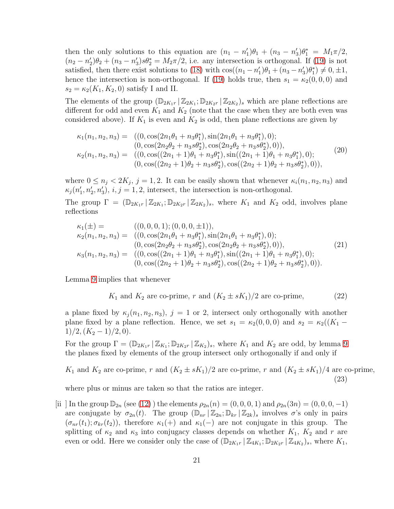then the only solutions to this equation are  $(n_1 - n'_1)\theta_1 + (n_3 - n'_3)\theta_1^* = M_1\pi/2$ ,  $(n_2 - n'_2)\theta_2 + (n_3 - n'_3)s\theta_2^* = M_2\pi/2$ , i.e. any intersection is orthogonal. If [\(19\)](#page-19-0) is not satisfied, then there exist solutions to [\(18\)](#page-19-2) with  $\cos((n_1 - n'_1)\theta_1 + (n_3 - n'_3)\theta_1^*) \neq 0, \pm 1$ , hence the intersection is non-orthogonal. If [\(19\)](#page-19-0) holds true, then  $s_1 = \kappa_2(0, 0, 0)$  and  $s_2 = \kappa_2(K_1, K_2, 0)$  satisfy I and II.

The elements of the group  $(\mathbb{D}_{2K_1r} | \mathbb{Z}_{2K_1}; \mathbb{D}_{2K_2r} | \mathbb{Z}_{2K_2})$ , which are plane reflections are different for odd and even  $K_1$  and  $K_2$  (note that the case when they are both even was considered above). If  $K_1$  is even and  $K_2$  is odd, then plane reflections are given by

$$
\kappa_1(n_1, n_2, n_3) = ( (0, \cos(2n_1\theta_1 + n_3\theta_1^*), \sin(2n_1\theta_1 + n_3\theta_1^*), 0);(0, \cos(2n_2\theta_2 + n_3s\theta_2^*), \cos(2n_2\theta_2 + n_3s\theta_2^*), 0)),\n\kappa_2(n_1, n_2, n_3) = ( (0, \cos((2n_1 + 1)\theta_1 + n_3\theta_1^*), \sin((2n_1 + 1)\theta_1 + n_3\theta_1^*), 0);(0, \cos((2n_2 + 1)\theta_2 + n_3s\theta_2^*), \cos((2n_2 + 1)\theta_2 + n_3s\theta_2^*), 0)),
$$
\n(20)

where  $0 \le n_j < 2K_j$ ,  $j = 1, 2$ . It can be easily shown that whenever  $\kappa_i(n_1, n_2, n_3)$  and  $\kappa_j(n'_1, n'_2, n'_3), i, j = 1, 2$ , intersect, the intersection is non-orthogonal.

The group  $\Gamma = (\mathbb{D}_{2K_1r} | \mathbb{Z}_{2K_1}; \mathbb{D}_{2K_2r} | \mathbb{Z}_{2K_2})_s$ , where  $K_1$  and  $K_2$  odd, involves plane reflections

$$
\kappa_1(\pm) = \n\begin{aligned}\n& (\mathbf{0}, \mathbf{0}, \mathbf{0}, \mathbf{1}); (\mathbf{0}, \mathbf{0}, \mathbf{0}, \pm 1)), \\
& \kappa_2(n_1, n_2, n_3) = \n\begin{aligned}\n& ((0, \cos(2n_1\theta_1 + n_3\theta_1^*), \sin(2n_1\theta_1 + n_3\theta_1^*), 0); \\
& (0, \cos(2n_2\theta_2 + n_3 s\theta_2^*), \cos(2n_2\theta_2 + n_3 s\theta_2^*), 0)), \\
& (\mathbf{0}, \cos((2n_1 + 1)\theta_1 + n_3\theta_1^*), \sin((2n_1 + 1)\theta_1 + n_3\theta_1^*), 0); \\
& (0, \cos((2n_2 + 1)\theta_2 + n_3 s\theta_2^*), \cos((2n_2 + 1)\theta_2 + n_3 s\theta_2^*), 0)).\n\end{aligned}\n\end{aligned}
$$
\n(21)

Lemma [9](#page-16-3) implies that whenever

<span id="page-20-0"></span>
$$
K_1
$$
 and  $K_2$  are co-prime, r and  $(K_2 \pm sK_1)/2$  are co-prime, (22)

a plane fixed by  $\kappa_i(n_1, n_2, n_3)$ ,  $j = 1$  or 2, intersect only orthogonally with another plane fixed by a plane reflection. Hence, we set  $s_1 = \kappa_2(0,0,0)$  and  $s_2 = \kappa_2((K_1 1)/2$ ,  $(K_2-1)/2$ , 0).

For the group  $\Gamma = (\mathbb{D}_{2K_1r} | \mathbb{Z}_{K_1}; \mathbb{D}_{2K_2r} | \mathbb{Z}_{K_2})_s$ , where  $K_1$  and  $K_2$  are odd, by lemma [9](#page-16-3) the planes fixed by elements of the group intersect only orthogonally if and only if

<span id="page-20-1"></span> $K_1$  and  $K_2$  are co-prime, r and  $(K_2 \pm sK_1)/2$  are co-prime, r and  $(K_2 \pm sK_1)/4$  are co-prime, (23)

where plus or minus are taken so that the ratios are integer.

[ii ] In the group  $\mathbb{D}_{2n}$  (see [\(12\)](#page-18-1)) the elements  $\rho_{2n}(n) = (0,0,0,1)$  and  $\rho_{2n}(3n) = (0,0,0,-1)$ are conjugate by  $\sigma_{2n}(t)$ . The group  $(\mathbb{D}_{nr} | \mathbb{Z}_{2n}; \mathbb{D}_{kr} | \mathbb{Z}_{2k})_s$  involves  $\sigma$ 's only in pairs  $(\sigma_{nr}(t_1); \sigma_{kr}(t_2))$ , therefore  $\kappa_1(+)$  and  $\kappa_1(-)$  are not conjugate in this group. The splitting of  $\kappa_2$  and  $\kappa_3$  into conjugacy classes depends on whether  $K_1$ ,  $K_2$  and r are even or odd. Here we consider only the case of  $(\mathbb{D}_{2K_1r} | \mathbb{Z}_{4K_1}; \mathbb{D}_{2K_2r} | \mathbb{Z}_{4K_2})_s$ , where  $K_1$ ,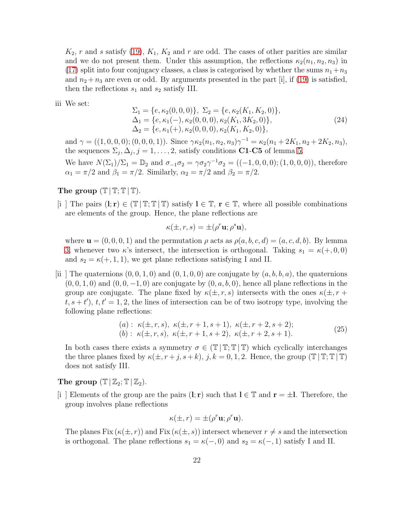$K_2$ , r and s satisfy [\(19\)](#page-19-0),  $K_1$ ,  $K_2$  and r are odd. The cases of other parities are similar and we do not present them. Under this assumption, the reflections  $\kappa_2(n_1, n_2, n_3)$  in [\(17\)](#page-19-3) split into four conjugacy classes, a class is categorised by whether the sums  $n_1+n_3$ and  $n_2 + n_3$  are even or odd. By arguments presented in the part [i], if [\(19\)](#page-19-0) is satisfied, then the reflections  $s_1$  and  $s_2$  satisfy III.

iii We set:

$$
\Sigma_1 = \{e, \kappa_2(0, 0, 0)\}, \ \Sigma_2 = \{e, \kappa_2(K_1, K_2, 0)\},
$$
  
\n
$$
\Delta_1 = \{e, \kappa_1(-), \kappa_2(0, 0, 0), \kappa_2(K_1, 3K_2, 0)\},
$$
  
\n
$$
\Delta_2 = \{e, \kappa_1(+), \kappa_2(0, 0, 0), \kappa_2(K_1, K_2, 0)\},
$$
\n(24)

and  $\gamma = ((1,0,0,0);(0,0,0,1))$ . Since  $\gamma \kappa_2(n_1, n_2, n_3) \gamma^{-1} = \kappa_2(n_1 + 2K_1, n_2 + 2K_2, n_3)$ , the sequences  $\Sigma_j, \Delta_j, j = 1, \ldots, 2$ , satisfy conditions **C1-C5** of lemma [5.](#page-13-0)

We have  $N(\Sigma_1)/\Sigma_1 = \mathbb{D}_2$  and  $\sigma_{-1}\sigma_2 = \gamma \sigma_2 \gamma^{-1} \sigma_2 = ((-1, 0, 0, 0); (1, 0, 0, 0)),$  therefore  $\alpha_1 = \pi/2$  and  $\beta_1 = \pi/2$ . Similarly,  $\alpha_2 = \pi/2$  and  $\beta_2 = \pi/2$ .

## The group  $(\mathbb{T} | \mathbb{T}; \mathbb{T} | \mathbb{T})$ .

[i ] The pairs  $(\mathbf{l}; \mathbf{r}) \in (\mathbb{T} | \mathbb{T}; \mathbb{T} | \mathbb{T})$  satisfy  $\mathbf{l} \in \mathbb{T}$ ,  $\mathbf{r} \in \mathbb{T}$ , where all possible combinations are elements of the group. Hence, the plane reflections are

$$
\kappa(\pm, r, s) = \pm (\rho^r \mathbf{u}; \rho^s \mathbf{u}),
$$

where  $\mathbf{u} = (0, 0, 0, 1)$  and the permutation  $\rho$  acts as  $\rho(a, b, c, d) = (a, c, d, b)$ . By lemma [3,](#page-12-1) whenever two  $\kappa$ 's intersect, the intersection is orthogonal. Taking  $s_1 = \kappa(+,0,0)$ and  $s_2 = \kappa(+, 1, 1)$ , we get plane reflections satisfying I and II.

[ii] The quaternions  $(0, 0, 1, 0)$  and  $(0, 1, 0, 0)$  are conjugate by  $(a, b, b, a)$ , the quaternions  $(0, 0, 1, 0)$  and  $(0, 0, -1, 0)$  are conjugate by  $(0, a, b, 0)$ , hence all plane reflections in the group are conjugate. The plane fixed by  $\kappa(\pm, r, s)$  intersects with the ones  $\kappa(\pm, r + s)$  $(t, s + t')$ ,  $t, t' = 1, 2$ , the lines of intersection can be of two isotropy type, involving the following plane reflections:

(a): 
$$
\kappa(\pm, r, s)
$$
,  $\kappa(\pm, r+1, s+1)$ ,  $\kappa(\pm, r+2, s+2)$ ;  
(b):  $\kappa(\pm, r, s)$ ,  $\kappa(\pm, r+1, s+2)$ ,  $\kappa(\pm, r+2, s+1)$ . (25)

In both cases there exists a symmetry  $\sigma \in (\mathbb{T} | \mathbb{T}; \mathbb{T} | \mathbb{T})$  which cyclically interchanges the three planes fixed by  $\kappa(\pm, r+j, s+k)$ ,  $j, k = 0, 1, 2$ . Hence, the group  $(\mathbb{T} | \mathbb{T}; \mathbb{T} | \mathbb{T})$ does not satisfy III.

The group  $(\mathbb{T} | \mathbb{Z}_2; \mathbb{T} | \mathbb{Z}_2)$ .

[i ] Elements of the group are the pairs  $(l; r)$  such that  $l \in \mathbb{T}$  and  $r = \pm l$ . Therefore, the group involves plane reflections

$$
\kappa(\pm, r) = \pm (\rho^r \mathbf{u}; \rho^r \mathbf{u}).
$$

The planes Fix  $(\kappa(\pm, r))$  and Fix  $(\kappa(\pm, s))$  intersect whenever  $r \neq s$  and the intersection is orthogonal. The plane reflections  $s_1 = \kappa(-, 0)$  and  $s_2 = \kappa(-, 1)$  satisfy I and II.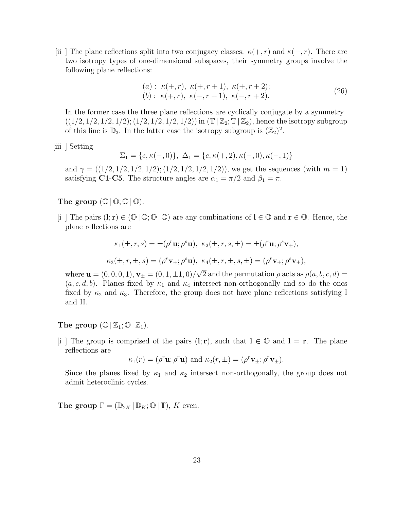[ii] The plane reflections split into two conjugacy classes:  $\kappa(+, r)$  and  $\kappa(-, r)$ . There are two isotropy types of one-dimensional subspaces, their symmetry groups involve the following plane reflections:

(a): 
$$
\kappa(+,r), \kappa(+,r+1), \kappa(+,r+2);
$$
  
(b):  $\kappa(+,r), \kappa(-,r+1), \kappa(-,r+2).$  (26)

In the former case the three plane reflections are cyclically conjugate by a symmetry  $((1/2, 1/2, 1/2, 1/2); (1/2, 1/2, 1/2, 1/2))$  in  $(\mathbb{T} | \mathbb{Z}_2; \mathbb{T} | \mathbb{Z}_2)$ , hence the isotropy subgroup of this line is  $\mathbb{D}_3$ . In the latter case the isotropy subgroup is  $(\mathbb{Z}_2)^2$ .

|iii | Setting

$$
\Sigma_1 = \{e, \kappa(-,0)\}, \ \Delta_1 = \{e, \kappa(+,2), \kappa(-,0), \kappa(-,1)\}
$$

and  $\gamma = ((1/2, 1/2, 1/2, 1/2); (1/2, 1/2, 1/2, 1/2))$ , we get the sequences (with  $m = 1$ ) satisfying **C1-C5**. The structure angles are  $\alpha_1 = \pi/2$  and  $\beta_1 = \pi$ .

## The group  $(\mathbb{O} \mid \mathbb{O}; \mathbb{O} \mid \mathbb{O})$ .

[i ] The pairs  $(l; r) \in (\mathbb{O} \setminus \mathbb{O} \setminus \mathbb{O} \setminus \mathbb{O})$  are any combinations of  $l \in \mathbb{O}$  and  $r \in \mathbb{O}$ . Hence, the plane reflections are

$$
\kappa_1(\pm, r, s) = \pm(\rho^r \mathbf{u}; \rho^s \mathbf{u}), \ \kappa_2(\pm, r, s, \pm) = \pm(\rho^r \mathbf{u}; \rho^s \mathbf{v}_{\pm}),
$$
  

$$
\kappa_3(\pm, r, \pm, s) = (\rho^r \mathbf{v}_{\pm}; \rho^s \mathbf{u}), \ \kappa_4(\pm, r, \pm, s, \pm) = (\rho^r \mathbf{v}_{\pm}; \rho^s \mathbf{v}_{\pm}),
$$

where  $\mathbf{u} = (0, 0, 0, 1), \mathbf{v}_{\pm} = (0, 1, \pm 1, 0) / \sqrt{2}$  and the permutation  $\rho$  acts as  $\rho(a, b, c, d) =$  $(a, c, d, b)$ . Planes fixed by  $\kappa_1$  and  $\kappa_4$  intersect non-orthogonally and so do the ones fixed by  $\kappa_2$  and  $\kappa_3$ . Therefore, the group does not have plane reflections satisfying I and II.

### The group  $(\mathbb{O} \mid \mathbb{Z}_1; \mathbb{O} \mid \mathbb{Z}_1)$ .

 $|i|$  The group is comprised of the pairs  $(l; r)$ , such that  $l \in \mathbb{O}$  and  $l = r$ . The plane reflections are

$$
\kappa_1(r) = (\rho^r \mathbf{u}; \rho^r \mathbf{u})
$$
 and  $\kappa_2(r, \pm) = (\rho^r \mathbf{v}_{\pm}; \rho^r \mathbf{v}_{\pm}).$ 

Since the planes fixed by  $\kappa_1$  and  $\kappa_2$  intersect non-orthogonally, the group does not admit heteroclinic cycles.

**The group**  $\Gamma = (\mathbb{D}_{2K} | \mathbb{D}_K; \mathbb{O} | \mathbb{T})$ , K even.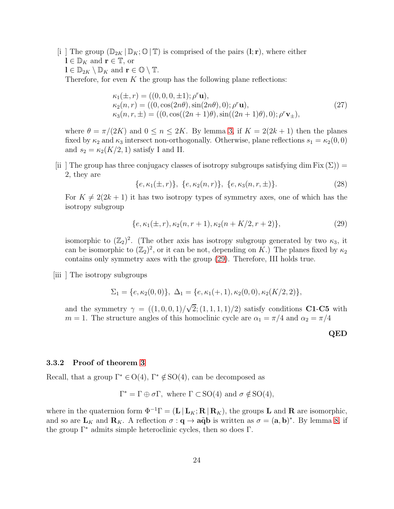[i ] The group  $(\mathbb{D}_{2K} | \mathbb{D}_K; \mathbb{O} | \mathbb{T})$  is comprised of the pairs  $(l; r)$ , where either  $\mathbf{l} \in \mathbb{D}_K$  and  $\mathbf{r} \in \mathbb{T}$ , or  $\mathbf{l} \in \mathbb{D}_{2K} \setminus \mathbb{D}_K$  and  $\mathbf{r} \in \mathbb{O} \setminus \mathbb{T}$ . Therefore, for even  $K$  the group has the following plane reflections:

$$
\kappa_1(\pm, r) = ((0, 0, 0, \pm 1); \rho^r \mathbf{u}),\n\kappa_2(n, r) = ((0, \cos(2n\theta), \sin(2n\theta), 0); \rho^r \mathbf{u}),\n\kappa_3(n, r, \pm) = ((0, \cos((2n + 1)\theta), \sin((2n + 1)\theta), 0); \rho^r \mathbf{v}_{\pm}),
$$
\n(27)

where  $\theta = \pi/(2K)$  and  $0 \le n \le 2K$ . By lemma [3,](#page-12-1) if  $K = 2(2k+1)$  then the planes fixed by  $\kappa_2$  and  $\kappa_3$  intersect non-orthogonally. Otherwise, plane reflections  $s_1 = \kappa_2(0, 0)$ and  $s_2 = \kappa_2(K/2, 1)$  satisfy I and II.

[ii] The group has three conjugacy classes of isotropy subgroups satisfying dim Fix  $(\Sigma)$  = 2, they are

$$
\{e, \kappa_1(\pm, r)\}, \ \{e, \kappa_2(n, r)\}, \ \{e, \kappa_3(n, r, \pm)\}.
$$
 (28)

For  $K \neq 2(2k+1)$  it has two isotropy types of symmetry axes, one of which has the isotropy subgroup

<span id="page-23-0"></span>
$$
\{e, \kappa_1(\pm, r), \kappa_2(n, r+1), \kappa_2(n+K/2, r+2)\},\tag{29}
$$

isomorphic to  $(\mathbb{Z}_2)^2$ . (The other axis has isotropy subgroup generated by two  $\kappa_3$ , it can be isomorphic to  $(\mathbb{Z}_2)^2$ , or it can be not, depending on K.) The planes fixed by  $\kappa_2$ contains only symmetry axes with the group [\(29\)](#page-23-0). Therefore, III holds true.

[iii ] The isotropy subgroups

$$
\Sigma_1 = \{e, \kappa_2(0,0)\}, \ \Delta_1 = \{e, \kappa_1(+,1), \kappa_2(0,0), \kappa_2(K/2,2)\},\
$$

and the symmetry  $\gamma = ((1,0,0,1)/\sqrt{2};(1,1,1,1)/2)$  satisfy conditions C1-C5 with  $m = 1$ . The structure angles of this homoclinic cycle are  $\alpha_1 = \pi/4$  and  $\alpha_2 = \pi/4$ 

QED

#### 3.3.2 Proof of theorem [3](#page-11-1)

Recall, that a group  $\Gamma^* \in O(4)$ ,  $\Gamma^* \notin SO(4)$ , can be decomposed as

$$
\Gamma^* = \Gamma \oplus \sigma \Gamma, \text{ where } \Gamma \subset \text{SO}(4) \text{ and } \sigma \notin \text{SO}(4),
$$

where in the quaternion form  $\Phi^{-1}\Gamma = (\mathbf{L} | \mathbf{L}_K; \mathbf{R} | \mathbf{R}_K)$ , the groups **L** and **R** are isomorphic, and so are  $\mathbf{L}_K$  and  $\mathbf{R}_K$ . A reflection  $\sigma : \mathbf{q} \to \mathbf{a\tilde{q}b}$  is written as  $\sigma = (\mathbf{a}, \mathbf{b})^*$ . By lemma [8,](#page-15-1) if the group  $\Gamma^*$  admits simple heteroclinic cycles, then so does  $\Gamma$ .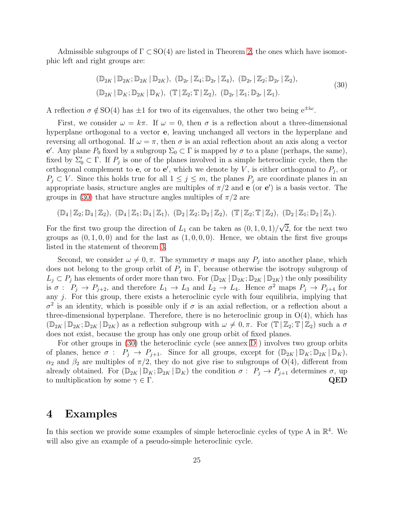Admissible subgroups of  $\Gamma \subset SO(4)$  are listed in Theorem [2,](#page-10-0) the ones which have isomorphic left and right groups are:

<span id="page-24-1"></span>
$$
(\mathbb{D}_{2K} | \mathbb{D}_{2K}; \mathbb{D}_{2K} | \mathbb{D}_{2K}), (\mathbb{D}_{2r} | \mathbb{Z}_4; \mathbb{D}_{2r} | \mathbb{Z}_4), (\mathbb{D}_{2r} | \mathbb{Z}_2; \mathbb{D}_{2r} | \mathbb{Z}_2),
$$
  
\n
$$
(\mathbb{D}_{2K} | \mathbb{D}_K; \mathbb{D}_{2K} | \mathbb{D}_K), (\mathbb{T} | \mathbb{Z}_2; \mathbb{T} | \mathbb{Z}_2), (\mathbb{D}_{2r} | \mathbb{Z}_1; \mathbb{D}_{2r} | \mathbb{Z}_1).
$$
\n(30)

A reflection  $\sigma \notin SO(4)$  has  $\pm 1$  for two of its eigenvalues, the other two being  $e^{\pm i\omega}$ .

First, we consider  $\omega = k\pi$ . If  $\omega = 0$ , then  $\sigma$  is a reflection about a three-dimensional hyperplane orthogonal to a vector e, leaving unchanged all vectors in the hyperplane and reversing all orthogonal. If  $\omega = \pi$ , then  $\sigma$  is an axial reflection about an axis along a vector e'. Any plane  $P_0$  fixed by a subgroup Σ<sub>0</sub> ⊂ Γ is mapped by  $\sigma$  to a plane (perhaps, the same), fixed by  $\Sigma'_0 \subset \Gamma$ . If  $P_j$  is one of the planes involved in a simple heteroclinic cycle, then the orthogonal complement to **e**, or to **e'**, which we denote by V, is either orthogonal to  $P_j$ , or  $P_j \subset V$ . Since this holds true for all  $1 \leq j \leq m$ , the planes  $P_j$  are coordinate planes in an appropriate basis, structure angles are multiples of  $\pi/2$  and **e** (or **e'**) is a basis vector. The groups in [\(30\)](#page-24-1) that have structure angles multiples of  $\pi/2$  are

$$
(\mathbb{D}_4 \,|\, \mathbb{Z}_2; \mathbb{D}_4 \,|\, \mathbb{Z}_2), \ (\mathbb{D}_4 \,|\, \mathbb{Z}_1; \mathbb{D}_4 \,|\, \mathbb{Z}_1), \ (\mathbb{D}_2 \,|\, \mathbb{Z}_2; \mathbb{D}_2 \,|\, \mathbb{Z}_2), \ (\mathbb{T} \,|\, \mathbb{Z}_2; \mathbb{T} \,|\, \mathbb{Z}_2), \ (\mathbb{D}_2 \,|\, \mathbb{Z}_1; \mathbb{D}_2 \,|\, \mathbb{Z}_1).
$$

For the first two group the direction of  $L_1$  can be taken as  $(0, 1, 0, 1)/\sqrt{2}$ , for the next two groups as  $(0, 1, 0, 0)$  and for the last as  $(1, 0, 0, 0)$ . Hence, we obtain the first five groups listed in the statement of theorem [3.](#page-11-1)

Second, we consider  $\omega \neq 0, \pi$ . The symmetry  $\sigma$  maps any  $P_j$  into another plane, which does not belong to the group orbit of  $P_j$  in  $\Gamma$ , because otherwise the isotropy subgroup of  $L_j \subset P_j$  has elements of order more than two. For  $(\mathbb{D}_{2K} | \mathbb{D}_{2K}; \mathbb{D}_{2K} | \mathbb{D}_{2K})$  the only possibility is  $\sigma: P_j \to P_{j+2}$ , and therefore  $L_1 \to L_3$  and  $L_2 \to L_4$ . Hence  $\sigma^2$  maps  $P_j \to P_{j+4}$  for any  $j$ . For this group, there exists a heteroclinic cycle with four equilibria, implying that  $\sigma^2$  is an identity, which is possible only if  $\sigma$  is an axial reflection, or a reflection about a three-dimensional hyperplane. Therefore, there is no heteroclinic group in  $O(4)$ , which has  $(\mathbb{D}_{2K} | \mathbb{D}_{2K}; \mathbb{D}_{2K} | \mathbb{D}_{2K})$  as a reflection subgroup with  $\omega \neq 0, \pi$ . For  $(\mathbb{T} | \mathbb{Z}_2; \mathbb{T} | \mathbb{Z}_2)$  such a  $\sigma$ does not exist, because the group has only one group orbit of fixed planes.

For other groups in [\(30\)](#page-24-1) the heteroclinic cycle (see annex [D](#page-39-0) ) involves two group orbits of planes, hence  $\sigma: P_j \to P_{j+1}$ . Since for all groups, except for  $(\mathbb{D}_{2K} | \mathbb{D}_K; \mathbb{D}_{2K} | \mathbb{D}_K)$ ,  $\alpha_2$  and  $\beta_2$  are multiples of  $\pi/2$ , they do not give rise to subgroups of O(4), different from already obtained. For  $(\mathbb{D}_{2K} | \mathbb{D}_K; \mathbb{D}_{2K} | \mathbb{D}_K)$  the condition  $\sigma : P_j \to P_{j+1}$  determines  $\sigma$ , up to multiplication by some  $\gamma \in \Gamma$ . to multiplication by some  $\gamma \in \Gamma$ .

# <span id="page-24-0"></span>4 Examples

In this section we provide some examples of simple heteroclinic cycles of type A in  $\mathbb{R}^4$ . We will also give an example of a pseudo-simple heteroclinic cycle.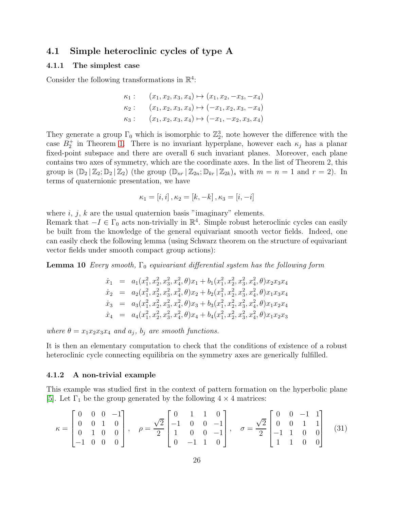## 4.1 Simple heteroclinic cycles of type A

#### 4.1.1 The simplest case

Consider the following transformations in  $\mathbb{R}^4$ :

$$
\kappa_1: \quad (x_1, x_2, x_3, x_4) \mapsto (x_1, x_2, -x_3, -x_4) \n\kappa_2: \quad (x_1, x_2, x_3, x_4) \mapsto (-x_1, x_2, x_3, -x_4) \n\kappa_3: \quad (x_1, x_2, x_3, x_4) \mapsto (-x_1, -x_2, x_3, x_4)
$$

They generate a group  $\Gamma_0$  which is isomorphic to  $\mathbb{Z}_2^3$ , note however the difference with the case  $B_2^+$  in Theorem [1.](#page-5-1) There is no invariant hyperplane, however each  $\kappa_j$  has a planar fixed-point subspace and there are overall 6 such invariant planes. Moreover, each plane contains two axes of symmetry, which are the coordinate axes. In the list of Theorem 2, this group is  $(\mathbb{D}_2 | \mathbb{Z}_2; \mathbb{D}_2 | \mathbb{Z}_2)$  (the group  $(\mathbb{D}_{nr} | \mathbb{Z}_{2n}; \mathbb{D}_{kr} | \mathbb{Z}_{2k})$ , with  $m = n = 1$  and  $r = 2$ ). In terms of quaternionic presentation, we have

$$
\kappa_1 = [i, i], \kappa_2 = [k, -k], \kappa_3 = [i, -i]
$$

where  $i, j, k$  are the usual quaternion basis "imaginary" elements.

Remark that  $-I \in \Gamma_0$  acts non-trivially in  $\mathbb{R}^4$ . Simple robust heteroclinic cycles can easily be built from the knowledge of the general equivariant smooth vector fields. Indeed, one can easily check the following lemma (using Schwarz theorem on the structure of equivariant vector fields under smooth compact group actions):

**Lemma 10** Every smooth,  $\Gamma_0$  equivariant differential system has the following form

$$
\dot{x}_1 = a_1(x_1^2, x_2^2, x_3^2, x_4^2, \theta)x_1 + b_1(x_1^2, x_2^2, x_3^2, x_4^2, \theta)x_2x_3x_4
$$
  
\n
$$
\dot{x}_2 = a_2(x_1^2, x_2^2, x_3^2, x_4^2, \theta)x_2 + b_2(x_1^2, x_2^2, x_3^2, x_4^2, \theta)x_1x_3x_4
$$
  
\n
$$
\dot{x}_3 = a_3(x_1^2, x_2^2, x_3^2, x_4^2, \theta)x_3 + b_3(x_1^2, x_2^2, x_3^2, x_4^2, \theta)x_1x_2x_4
$$
  
\n
$$
\dot{x}_4 = a_4(x_1^2, x_2^2, x_3^2, x_4^2, \theta)x_4 + b_4(x_1^2, x_2^2, x_3^2, x_4^2, \theta)x_1x_2x_3
$$

where  $\theta = x_1 x_2 x_3 x_4$  and  $a_j$ ,  $b_j$  are smooth functions.

It is then an elementary computation to check that the conditions of existence of a robust heteroclinic cycle connecting equilibria on the symmetry axes are generically fulfilled.

#### 4.1.2 A non-trivial example

This example was studied first in the context of pattern formation on the hyperbolic plane [\[5\]](#page-28-9). Let  $\Gamma_1$  be the group generated by the following  $4 \times 4$  matrices:

$$
\kappa = \begin{bmatrix} 0 & 0 & 0 & -1 \\ 0 & 0 & 1 & 0 \\ 0 & 1 & 0 & 0 \\ -1 & 0 & 0 & 0 \end{bmatrix}, \quad \rho = \frac{\sqrt{2}}{2} \begin{bmatrix} 0 & 1 & 1 & 0 \\ -1 & 0 & 0 & -1 \\ 1 & 0 & 0 & -1 \\ 0 & -1 & 1 & 0 \end{bmatrix}, \quad \sigma = \frac{\sqrt{2}}{2} \begin{bmatrix} 0 & 0 & -1 & 1 \\ 0 & 0 & 1 & 1 \\ -1 & 1 & 0 & 0 \\ 1 & 1 & 0 & 0 \end{bmatrix}
$$
(31)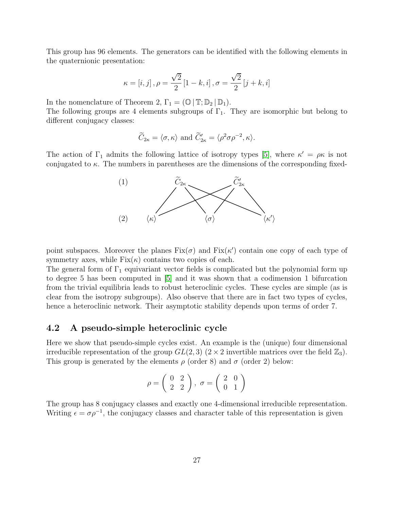This group has 96 elements. The generators can be identified with the following elements in the quaternionic presentation:

$$
\kappa = [i, j], \rho = \frac{\sqrt{2}}{2} [1 - k, i], \sigma = \frac{\sqrt{2}}{2} [j + k, i]
$$

In the nomenclature of Theorem 2,  $\Gamma_1 = (\mathbb{O} \mid \mathbb{T}; \mathbb{D}_2 \mid \mathbb{D}_1).$ 

The following groups are 4 elements subgroups of  $\Gamma_1$ . They are isomorphic but belong to different conjugacy classes:

$$
\widetilde{C}_{2\kappa} = \langle \sigma, \kappa \rangle
$$
 and  $\widetilde{C}'_{2\kappa} = \langle \rho^2 \sigma \rho^{-2}, \kappa \rangle$ .

The action of  $\Gamma_1$  admits the following lattice of isotropy types [\[5\]](#page-28-9), where  $\kappa' = \rho \kappa$  is not conjugated to  $\kappa$ . The numbers in parentheses are the dimensions of the corresponding fixed-



point subspaces. Moreover the planes  $Fix(\sigma)$  and  $Fix(\kappa')$  contain one copy of each type of symmetry axes, while  $Fix(\kappa)$  contains two copies of each.

The general form of  $\Gamma_1$  equivariant vector fields is complicated but the polynomial form up to degree 5 has been computed in [\[5\]](#page-28-9) and it was shown that a codimension 1 bifurcation from the trivial equilibria leads to robust heteroclinic cycles. These cycles are simple (as is clear from the isotropy subgroups). Also observe that there are in fact two types of cycles, hence a heteroclinic network. Their asymptotic stability depends upon terms of order 7.

## <span id="page-26-0"></span>4.2 A pseudo-simple heteroclinic cycle

Here we show that pseudo-simple cycles exist. An example is the (unique) four dimensional irreducible representation of the group  $GL(2,3)$   $(2 \times 2)$  invertible matrices over the field  $\mathbb{Z}_3$ ). This group is generated by the elements  $\rho$  (order 8) and  $\sigma$  (order 2) below:

$$
\rho=\left(\begin{array}{cc} 0 & 2 \\ 2 & 2 \end{array}\right),\ \sigma=\left(\begin{array}{cc} 2 & 0 \\ 0 & 1 \end{array}\right)
$$

The group has 8 conjugacy classes and exactly one 4-dimensional irreducible representation. Writing  $\epsilon = \sigma \rho^{-1}$ , the conjugacy classes and character table of this representation is given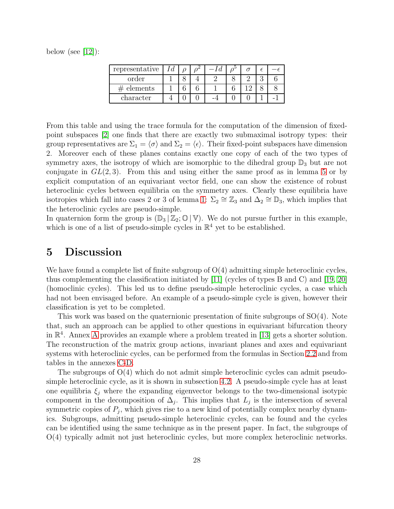below (see  $[12]$ ):

| representative |  |  |  |  |
|----------------|--|--|--|--|
| order          |  |  |  |  |
| elements       |  |  |  |  |
| character      |  |  |  |  |

From this table and using the trace formula for the computation of the dimension of fixedpoint subspaces [\[2\]](#page-28-0) one finds that there are exactly two submaximal isotropy types: their group representatives are  $\Sigma_1 = \langle \sigma \rangle$  and  $\Sigma_2 = \langle \epsilon \rangle$ . Their fixed-point subspaces have dimension 2. Moreover each of these planes contains exactly one copy of each of the two types of symmetry axes, the isotropy of which are isomorphic to the dihedral group  $\mathbb{D}_3$  but are not conjugate in  $GL(2,3)$ . From this and using either the same proof as in lemma [5](#page-13-0) or by explicit computation of an equivariant vector field, one can show the existence of robust heteroclinic cycles between equilibria on the symmetry axes. Clearly these equilibria have isotropies which fall into cases 2 or 3 of lemma [1:](#page-4-0)  $\Sigma_2 \cong \mathbb{Z}_3$  and  $\Delta_2 \cong \mathbb{D}_3$ , which implies that the heteroclinic cycles are pseudo-simple.

In quaternion form the group is  $(\mathbb{D}_3 | \mathbb{Z}_2; \mathbb{O} | \mathbb{V})$ . We do not pursue further in this example, which is one of a list of pseudo-simple cycles in  $\mathbb{R}^4$  yet to be established.

# <span id="page-27-0"></span>5 Discussion

We have found a complete list of finite subgroup of  $O(4)$  admitting simple heteroclinic cycles, thus complementing the classification initiated by [\[11\]](#page-29-2) (cycles of types B and C) and [\[19,](#page-29-0) [20\]](#page-29-1) (homoclinic cycles). This led us to define pseudo-simple heteroclinic cycles, a case which had not been envisaged before. An example of a pseudo-simple cycle is given, however their classification is yet to be completed.

This work was based on the quaternionic presentation of finite subgroups of SO(4). Note that, such an approach can be applied to other questions in equivariant bifurcation theory in  $\mathbb{R}^4$ . [A](#page-30-0)nnex A provides an example where a problem treated in [\[13\]](#page-29-4) gets a shorter solution. The reconstruction of the matrix group actions, invariant planes and axes and equivariant systems with heteroclinic cycles, can be performed from the formulas in Section [2.2](#page-6-0) and from tables in the annexes [C](#page-35-0)[-D.](#page-39-0)

The subgroups of O(4) which do not admit simple heteroclinic cycles can admit pseudosimple heteroclinic cycle, as it is shown in subsection [4.2.](#page-26-0) A pseudo-simple cycle has at least one equilibria  $\xi_j$  where the expanding eigenvector belongs to the two-dimensional isotypic component in the decomposition of  $\Delta_j$ . This implies that  $L_j$  is the intersection of several symmetric copies of  $P_j$ , which gives rise to a new kind of potentially complex nearby dynamics. Subgroups, admitting pseudo-simple heteroclinic cycles, can be found and the cycles can be identified using the same technique as in the present paper. In fact, the subgroups of O(4) typically admit not just heteroclinic cycles, but more complex heteroclinic networks.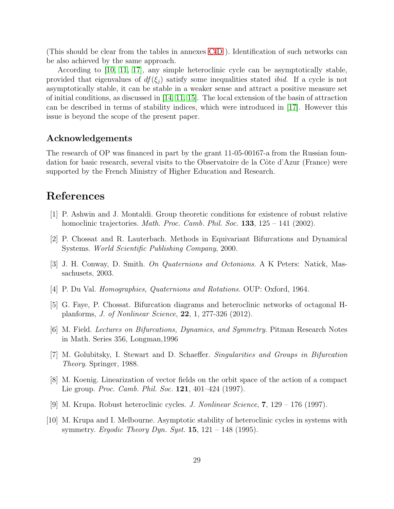(This should be clear from the tables in annexes [C-](#page-35-0)[D](#page-39-0) ). Identification of such networks can be also achieved by the same approach.

According to [\[10,](#page-28-3) [11,](#page-29-2) [17\]](#page-29-7), any simple heteroclinic cycle can be asymptotically stable, provided that eigenvalues of  $df(\xi_i)$  satisfy some inequalities stated *ibid*. If a cycle is not asymptotically stable, it can be stable in a weaker sense and attract a positive measure set of initial conditions, as discussed in  $[14, 11, 15]$  $[14, 11, 15]$  $[14, 11, 15]$ . The local extension of the basin of attraction can be described in terms of stability indices, which were introduced in [\[17\]](#page-29-7). However this issue is beyond the scope of the present paper.

### Acknowledgements

The research of OP was financed in part by the grant 11-05-00167-a from the Russian foundation for basic research, several visits to the Observatoire de la Côte d'Azur (France) were supported by the French Ministry of Higher Education and Research.

# <span id="page-28-7"></span>References

- <span id="page-28-0"></span>[1] P. Ashwin and J. Montaldi. Group theoretic conditions for existence of robust relative homoclinic trajectories. *Math. Proc. Camb. Phil. Soc.*  $133$ ,  $125 - 141$  (2002).
- <span id="page-28-5"></span>[2] P. Chossat and R. Lauterbach. Methods in Equivariant Bifurcations and Dynamical Systems. World Scientific Publishing Company, 2000.
- <span id="page-28-6"></span>[3] J. H. Conway, D. Smith. On Quaternions and Octonions. A K Peters: Natick, Massachusets, 2003.
- <span id="page-28-9"></span>[4] P. Du Val. Homographies, Quaternions and Rotations. OUP: Oxford, 1964.
- [5] G. Faye, P. Chossat. Bifurcation diagrams and heteroclinic networks of octagonal Hplanforms, J. of Nonlinear Science, 22, 1, 277-326 (2012).
- <span id="page-28-4"></span><span id="page-28-2"></span>[6] M. Field. Lectures on Bifurcations, Dynamics, and Symmetry. Pitman Research Notes in Math. Series 356, Longman,1996
- <span id="page-28-8"></span>[7] M. Golubitsky, I. Stewart and D. Schaeffer. Singularities and Groups in Bifurcation Theory. Springer, 1988.
- <span id="page-28-1"></span>[8] M. Koenig. Linearization of vector fields on the orbit space of the action of a compact Lie group. *Proc. Camb. Phil. Soc.* **121**, 401–424 (1997).
- <span id="page-28-3"></span>[9] M. Krupa. Robust heteroclinic cycles. J. Nonlinear Science, 7, 129 – 176 (1997).
- [10] M. Krupa and I. Melbourne. Asymptotic stability of heteroclinic cycles in systems with symmetry. Ergodic Theory Dyn. Syst. 15,  $121 - 148$  (1995).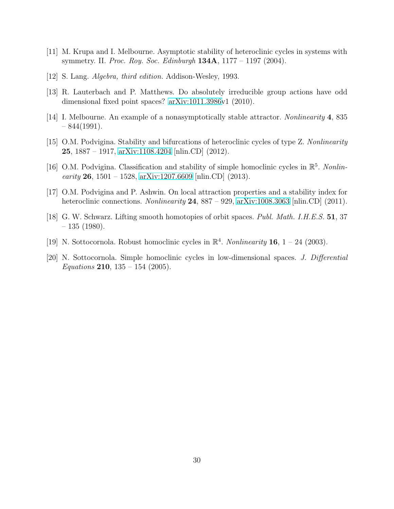- <span id="page-29-6"></span><span id="page-29-2"></span>[11] M. Krupa and I. Melbourne. Asymptotic stability of heteroclinic cycles in systems with symmetry. II. Proc. Roy. Soc. Edinburgh  $134A$ ,  $1177 - 1197$  (2004).
- <span id="page-29-4"></span>[12] S. Lang. Algebra, third edition. Addison-Wesley, 1993.
- <span id="page-29-8"></span>[13] R. Lauterbach and P. Matthews. Do absolutely irreducible group actions have odd dimensional fixed point spaces? [arXiv:1011.3986v](http://arxiv.org/abs/1011.3986)1 (2010).
- <span id="page-29-9"></span>[14] I. Melbourne. An example of a nonasymptotically stable attractor. Nonlinearity 4, 835  $-844(1991)$ .
- <span id="page-29-3"></span>[15] O.M. Podvigina. Stability and bifurcations of heteroclinic cycles of type Z. Nonlinearity 25, 1887 – 1917, [arXiv:1108.4204](http://arxiv.org/abs/1108.4204) [nlin.CD] (2012).
- [16] O.M. Podvigina. Classification and stability of simple homoclinic cycles in  $\mathbb{R}^5$ . Nonlinearity 26, 1501 – 1528, [arXiv:1207.6609](http://arxiv.org/abs/1207.6609) [nlin.CD] (2013).
- <span id="page-29-7"></span><span id="page-29-5"></span>[17] O.M. Podvigina and P. Ashwin. On local attraction properties and a stability index for heteroclinic connections. Nonlinearity  $24$ ,  $887 - 929$ , [arXiv:1008.3063](http://arxiv.org/abs/1008.3063) [nlin.CD] (2011).
- [18] G. W. Schwarz. Lifting smooth homotopies of orbit spaces. Publ. Math. I.H.E.S. 51, 37  $-135$  (1980).
- <span id="page-29-1"></span><span id="page-29-0"></span>[19] N. Sottocornola. Robust homoclinic cycles in  $\mathbb{R}^4$ . *Nonlinearity* **16**, 1 – 24 (2003).
- [20] N. Sottocornola. Simple homoclinic cycles in low-dimensional spaces. J. Differential *Equations* **210**,  $135 - 154$  (2005).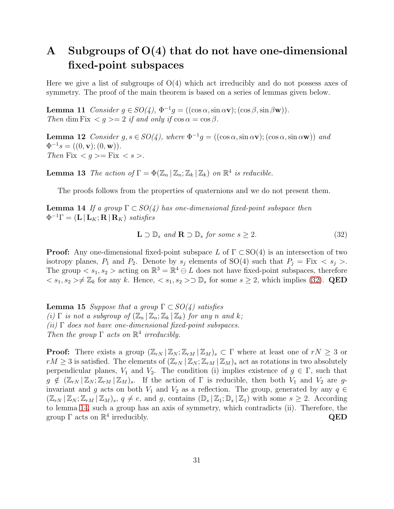# <span id="page-30-0"></span>A Subgroups of  $O(4)$  that do not have one-dimensional fixed-point subspaces

Here we give a list of subgroups of  $O(4)$  which act irreducibly and do not possess axes of symmetry. The proof of the main theorem is based on a series of lemmas given below.

**Lemma 11** Consider  $g \in SO(4)$ ,  $\Phi^{-1}g = ((\cos \alpha, \sin \alpha \mathbf{v}); (\cos \beta, \sin \beta \mathbf{w}))$ . Then dim Fix  $\langle g \rangle = 2$  if and only if  $\cos \alpha = \cos \beta$ .

**Lemma 12** Consider  $g, s \in SO(4)$ , where  $\Phi^{-1}g = ((\cos \alpha, \sin \alpha \mathbf{v}); (\cos \alpha, \sin \alpha \mathbf{w}))$  and  $\Phi^{-1}s = ((0, \mathbf{v}); (0, \mathbf{w})).$ Then Fix  $\langle g \rangle =$  Fix  $\langle s \rangle$ .

**Lemma 13** The action of  $\Gamma = \Phi(\mathbb{Z}_n | \mathbb{Z}_n; \mathbb{Z}_k | \mathbb{Z}_k)$  on  $\mathbb{R}^4$  is reducible.

<span id="page-30-2"></span>The proofs follows from the properties of quaternions and we do not present them.

**Lemma 14** If a group  $\Gamma \subset SO(4)$  has one-dimensional fixed-point subspace then  $\Phi^{-1}\Gamma = (\mathbf{L} \,|\, \mathbf{L}_K; \mathbf{R} \,|\, \mathbf{R}_K)$  satisfies

<span id="page-30-1"></span>
$$
\mathbf{L} \supset \mathbb{D}_s \text{ and } \mathbf{R} \supset \mathbb{D}_s \text{ for some } s \ge 2. \tag{32}
$$

**Proof:** Any one-dimensional fixed-point subspace L of  $\Gamma \subset SO(4)$  is an intersection of two isotropy planes,  $P_1$  and  $P_2$ . Denote by  $s_j$  elements of SO(4) such that  $P_j = Fix < s_j >$ . The group  $\langle s_1, s_2 \rangle$  acting on  $\mathbb{R}^3 = \mathbb{R}^4 \oplus L$  does not have fixed-point subspaces, therefore  $s_1, s_2 \geq \text{\#} \mathbb{Z}_k$  for any k. Hence,  $s_1, s_2 > \text{D} \mathbb{D}_s$  for some  $s \geq 2$ , which implies [\(32\)](#page-30-1). QED

<span id="page-30-3"></span>**Lemma 15** Suppose that a group  $\Gamma \subset SO(4)$  satisfies (i)  $\Gamma$  is not a subgroup of  $(\mathbb{Z}_n | \mathbb{Z}_n; \mathbb{Z}_k | \mathbb{Z}_k)$  for any n and k; (ii)  $\Gamma$  does not have one-dimensional fixed-point subspaces. Then the group  $\Gamma$  acts on  $\mathbb{R}^4$  irreducibly.

**Proof:** There exists a group  $(\mathbb{Z}_{rN} | \mathbb{Z}_N; \mathbb{Z}_{rM} | \mathbb{Z}_M)_s \subset \Gamma$  where at least one of  $rN \geq 3$  or  $rM \geq 3$  is satisfied. The elements of  $(\mathbb{Z}_{rN} | \mathbb{Z}_N; \mathbb{Z}_{rM} | \mathbb{Z}_M)_s$  act as rotations in two absolutely perpendicular planes,  $V_1$  and  $V_2$ . The condition (i) implies existence of  $g \in \Gamma$ , such that  $g \notin (\mathbb{Z}_{rN} | \mathbb{Z}_N; \mathbb{Z}_{rM} | \mathbb{Z}_M)_{s}$ . If the action of  $\Gamma$  is reducible, then both  $V_1$  and  $V_2$  are ginvariant and g acts on both  $V_1$  and  $V_2$  as a reflection. The group, generated by any  $q \in$  $(\mathbb{Z}_{rN} | \mathbb{Z}_N; \mathbb{Z}_{rM} | \mathbb{Z}_M)_{s}, q \neq e$ , and g, contains  $(\mathbb{D}_s | \mathbb{Z}_1; \mathbb{D}_s | \mathbb{Z}_1)$  with some  $s \geq 2$ . According to lemma [14,](#page-30-2) such a group has an axis of symmetry, which contradicts (ii). Therefore, the group  $\Gamma$  acts on  $\mathbb{R}^4$  irreducibly.  $QED$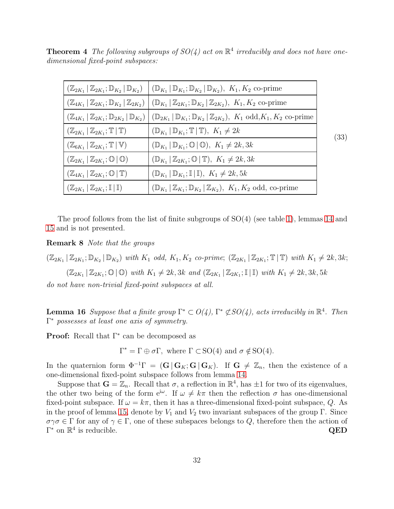**Theorem 4** The following subgroups of  $SO(4)$  act on  $\mathbb{R}^4$  irreducibly and does not have onedimensional fixed-point subspaces:

|                                                                                 | $(\mathbb{Z}_{2K_1}   \mathbb{Z}_{2K_1}; \mathbb{D}_{K_2}   \mathbb{D}_{K_2})$ $ (\mathbb{D}_{K_1}   \mathbb{D}_{K_1}; \mathbb{D}_{K_2}   \mathbb{D}_{K_2}), K_1, K_2$ co-prime |      |
|---------------------------------------------------------------------------------|---------------------------------------------------------------------------------------------------------------------------------------------------------------------------------|------|
| $(\mathbb{Z}_{4K_1}   \mathbb{Z}_{2K_1}; \mathbb{D}_{K_2}   \mathbb{Z}_{2K_2})$ | $(\mathbb{D}_{K_1}   \mathbb{Z}_{2K_1}; \mathbb{D}_{K_2}   \mathbb{Z}_{2K_2}), K_1, K_2$ co-prime                                                                               |      |
| $(\mathbb{Z}_{4K_1}   \mathbb{Z}_{2K_1}; \mathbb{D}_{2K_2}   \mathbb{D}_{K_2})$ | $(\mathbb{D}_{2K_1}   \mathbb{D}_{K_1}; \mathbb{D}_{K_2}   \mathbb{Z}_{2K_2}), K_1 \text{ odd}, K_1, K_2 \text{ co-prime}$                                                      |      |
| $(\mathbb{Z}_{2K_1}   \mathbb{Z}_{2K_1}; \mathbb{T}   \mathbb{T})$              | $(\mathbb{D}_{K_1}   \mathbb{D}_{K_1}; \mathbb{T}   \mathbb{T}), K_1 \neq 2k$                                                                                                   | (33) |
| $(\mathbb{Z}_{6K_1}   \mathbb{Z}_{2K_1}; \mathbb{T}   \mathbb{V})$              | $(\mathbb{D}_{K_1}   \mathbb{D}_{K_1}; \mathbb{O}   \mathbb{O}), K_1 \neq 2k, 3k$                                                                                               |      |
| $(\mathbb{Z}_{2K_1}   \mathbb{Z}_{2K_1}; \mathbb{O}   \mathbb{O})$              | $(\mathbb{D}_{K_1}   \mathbb{Z}_{2K_1}; \mathbb{O}   \mathbb{T}), K_1 \neq 2k, 3k$                                                                                              |      |
| $(\mathbb{Z}_{4K_1}   \mathbb{Z}_{2K_1}; \mathbb{O}   \mathbb{T})$              | $(\mathbb{D}_{K_1}   \mathbb{D}_{K_1}; \mathbb{I}   \mathbb{I}), K_1 \neq 2k, 5k$                                                                                               |      |
| $(\mathbb{Z}_{2K_1}   \mathbb{Z}_{2K_1}; \mathbb{I}   \mathbb{I})$              | $(\mathbb{D}_{K_1}   \mathbb{Z}_{K_1}; \mathbb{D}_{K_2}   \mathbb{Z}_{K_2}), K_1, K_2 \text{ odd, co-prime}$                                                                    |      |

The proof follows from the list of finite subgroups of SO(4) (see table [1\)](#page-8-0), lemmas [14](#page-30-2) and [15](#page-30-3) and is not presented.

Remark 8 Note that the groups

 $(\mathbb{Z}_{2K_1} | \mathbb{Z}_{2K_1}; \mathbb{D}_{K_2} | \mathbb{D}_{K_2})$  with  $K_1$  odd,  $K_1, K_2$  co-prime;  $(\mathbb{Z}_{2K_1} | \mathbb{Z}_{2K_1}; \mathbb{T} | \mathbb{T})$  with  $K_1 \neq 2k, 3k$ ;  $(\mathbb{Z}_{2K_1} | \mathbb{Z}_{2K_1}; \mathbb{O} | \mathbb{O})$  with  $K_1 \neq 2k, 3k$  and  $(\mathbb{Z}_{2K_1} | \mathbb{Z}_{2K_1}; \mathbb{I} | \mathbb{I})$  with  $K_1 \neq 2k, 3k, 5k$ 

do not have non-trivial fixed-point subspaces at all.

**Lemma 16** Suppose that a finite group  $\Gamma^* \subset O(4)$ ,  $\Gamma^* \not\subset SO(4)$ , acts irreducibly in  $\mathbb{R}^4$ . Then Γ <sup>∗</sup> possesses at least one axis of symmetry.

Proof: Recall that  $\Gamma^*$  can be decomposed as

 $\Gamma^* = \Gamma \oplus \sigma \Gamma$ , where  $\Gamma \subset SO(4)$  and  $\sigma \notin SO(4)$ .

In the quaternion form  $\Phi^{-1}\Gamma = (\mathbf{G} | \mathbf{G}_K; \mathbf{G} | \mathbf{G}_K)$ . If  $\mathbf{G} \neq \mathbb{Z}_n$ , then the existence of a one-dimensional fixed-point subspace follows from lemma [14.](#page-30-2)

Suppose that  $G = \mathbb{Z}_n$ . Recall that  $\sigma$ , a reflection in  $\mathbb{R}^4$ , has  $\pm 1$  for two of its eigenvalues, the other two being of the form  $e^{i\omega}$ . If  $\omega \neq k\pi$  then the reflection  $\sigma$  has one-dimensional fixed-point subspace. If  $\omega = k\pi$ , then it has a three-dimensional fixed-point subspace, Q. As in the proof of lemma [15,](#page-30-3) denote by  $V_1$  and  $V_2$  two invariant subspaces of the group Γ. Since  $\sigma\gamma\sigma \in \Gamma$  for any of  $\gamma \in \Gamma$ , one of these subspaces belongs to  $Q$ , therefore then the action of  $\Gamma^*$  on  $\mathbb{R}^4$  is reducible. QED  $\Gamma^*$  on  $\mathbb{R}^4$  is reducible.  $\qquad \qquad \mathbf{QED}$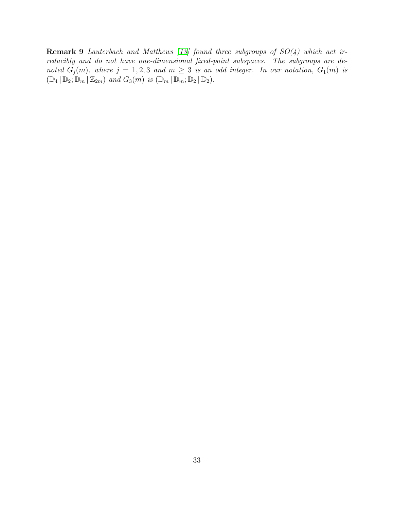**Remark 9** Lauterbach and Matthews [\[13\]](#page-29-4) found three subgroups of  $SO(4)$  which act irreducibly and do not have one-dimensional fixed-point subspaces. The subgroups are denoted  $G_j(m)$ , where  $j = 1, 2, 3$  and  $m \geq 3$  is an odd integer. In our notation,  $G_1(m)$  is  $(\mathbb{D}_4 | \mathbb{D}_2; \mathbb{D}_m | \mathbb{Z}_{2m})$  and  $G_3(m)$  is  $(\mathbb{D}_m | \mathbb{D}_m; \mathbb{D}_2 | \mathbb{D}_2)$ .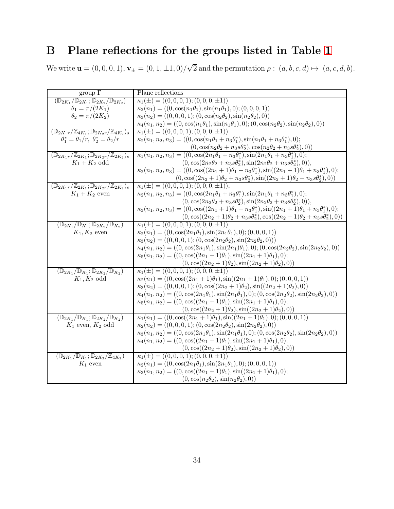# <span id="page-33-0"></span>B Plane reflections for the groups listed in Table [1](#page-8-0)

We write  $\mathbf{u} = (0, 0, 0, 1), \mathbf{v}_{\pm} = (0, 1, \pm 1, 0) / \sqrt{2}$  and the permutation  $\rho : (a, b, c, d) \mapsto (a, c, d, b)$ .

| group $\Gamma$                                                                                   | Plane reflections                                                                                                        |
|--------------------------------------------------------------------------------------------------|--------------------------------------------------------------------------------------------------------------------------|
| $\overline{({\mathbb D}_{2K_1}/{\mathbb D}_{2K_1};{\mathbb D}_{2K_2}/{\mathbb D}_{2K_2})}$       | $\kappa_1(\pm) = ((0,0,0,1);(0,0,0,\pm 1))$                                                                              |
| $\theta_1 = \pi/(2K_1)$                                                                          | $\kappa_2(n_1) = ((0, \cos(n_1\theta_1), \sin(n_1\theta_1), 0); (0, 0, 0, 1))$                                           |
| $\theta_2 = \pi/(2K_2)$                                                                          | $\kappa_3(n_2) = ((0,0,0,1);(0,\cos(n_2\theta_2),\sin(n_2\theta_2),0))$                                                  |
|                                                                                                  | $\kappa_4(n_1, n_2) = ((0, \cos(n_1\theta_1), \sin(n_1\theta_1), 0); (0, \cos(n_2\theta_2), \sin(n_2\theta_2), 0))$      |
| $(\mathbb{D}_{2K_1r}/\mathbb{Z}_{4K_1}; \mathbb{D}_{2K_2r}/\mathbb{Z}_{4K_2})_s$                 | $\kappa_1(\pm) = ((0,0,0,1);(0,0,0,\pm 1))$                                                                              |
| $\theta_1^* = \theta_1/r$ , $\theta_2^* = \theta_2/r$                                            | $\kappa_2(n_1, n_2, n_3) = ((0, \cos(n_1\theta_1 + n_3\theta_1^*), \sin(n_1\theta_1 + n_3\theta_1^*), 0);$               |
|                                                                                                  | $(0, \cos(n_2\theta_2 + n_3s\theta_2^*), \cos(n_2\theta_2 + n_3s\theta_2^*), 0))$                                        |
| $(\mathbb{D}_{2K_1r}/\mathbb{Z}_{2K_1}; \mathbb{D}_{2K_2r}/\mathbb{Z}_{2K_2})_s$                 | $\kappa_1(n_1, n_2, n_3) = ((0, \cos(2n_1\theta_1 + n_3\theta_1^*), \sin(2n_1\theta_1 + n_3\theta_1^*), 0));$            |
| $K_1 + K_2$ odd                                                                                  | $(0, \cos(2n_2\theta_2 + n_3s\theta_2^*), \sin(2n_2\theta_2 + n_3s\theta_2^*), 0)),$                                     |
|                                                                                                  | $\kappa_2(n_1, n_2, n_3) = ((0, \cos((2n_1 + 1)\theta_1 + n_3\theta_1^*), \sin((2n_1 + 1)\theta_1 + n_3\theta_1^*), 0);$ |
|                                                                                                  | $(0, \cos((2n_2+1)\theta_2+n_3s\theta_2^*), \sin((2n_2+1)\theta_2+n_3s\theta_2^*),0))$                                   |
| $(\mathbb{D}_{2K_1r}/\mathbb{Z}_{2K_1}; \mathbb{D}_{2K_2r}/\mathbb{Z}_{2K_2})_s$                 | $\kappa_1(\pm) = ((0,0,0,1);(0,0,0,\pm 1)),$                                                                             |
| $K_1 + K_2$ even                                                                                 | $\kappa_2(n_1, n_2, n_3) = ((0, \cos(2n_1\theta_1 + n_3\theta_1^*), \sin(2n_1\theta_1 + n_3\theta_1^*), 0);$             |
|                                                                                                  | $(0, \cos(2n_2\theta_2 + n_3s\theta_2^*), \sin(2n_2\theta_2 + n_3s\theta_2^*), 0)),$                                     |
|                                                                                                  | $\kappa_3(n_1, n_2, n_3) = ((0, \cos((2n_1 + 1)\theta_1 + n_3\theta_1^*), \sin((2n_1 + 1)\theta_1 + n_3\theta_1^*), 0);$ |
|                                                                                                  | $(0, \cos((2n_2+1)\theta_2+n_3s\theta_2^*), \cos((2n_2+1)\theta_2+n_3s\theta_2^*), 0))$                                  |
| $(\mathbb{D}_{2K_1}/\mathbb{D}_{K_1}; \mathbb{D}_{2K_2}/\mathbb{D}_{K_2})$                       | $\kappa_1(\pm) = ((0,0,0,1);(0,0,0,\pm 1))$                                                                              |
| $K_1, K_2$ even                                                                                  | $\kappa_2(n_1) = ((0, \cos(2n_1\theta_1), \sin(2n_1\theta_1), 0); (0, 0, 0, 1))$                                         |
|                                                                                                  | $\kappa_3(n_2) = ((0,0,0,1);(0,\cos(2n_2\theta_2),\sin(2n_2\theta_2,0)))$                                                |
|                                                                                                  | $\kappa_4(n_1, n_2) = ((0, \cos(2n_1\theta_1), \sin(2n_1)\theta_1), 0); (0, \cos(2n_2\theta_2), \sin(2n_2\theta_2), 0))$ |
|                                                                                                  | $\kappa_5(n_1, n_2) = ((0, \cos((2n_1 + 1)\theta_1), \sin((2n_1 + 1)\theta_1), 0));$                                     |
|                                                                                                  | $(0, \cos((2n_2+1)\theta_2), \sin((2n_2+1)\theta_2), 0))$<br>$\kappa_1(\pm) = ((0,0,0,1);(0,0,0,\pm 1))$                 |
| $(\mathbb{D}_{2K_1}/\mathbb{D}_{K_1}; \mathbb{D}_{2K_2}/\mathbb{D}_{K_2})$<br>$K_1, K_2$ odd     | $\kappa_2(n_1) = ((0, \cos((2n_1 + 1)\theta_1), \sin((2n_1 + 1)\theta_1), 0); (0, 0, 0, 1))$                             |
|                                                                                                  | $\kappa_3(n_2) = ((0,0,0,1);(0,\cos((2n_2+1)\theta_2),\sin((2n_2+1)\theta_2),0))$                                        |
|                                                                                                  | $\kappa_4(n_1, n_2) = ((0, \cos(2n_1\theta_1), \sin(2n_1\theta_1), 0); (0, \cos(2n_2\theta_2), \sin(2n_2\theta_2), 0))$  |
|                                                                                                  | $\kappa_5(n_1, n_2) = ((0, \cos((2n_1 + 1)\theta_1), \sin((2n_1 + 1)\theta_1), 0));$                                     |
|                                                                                                  | $(0,\cos((2n_2+1)\theta_2),\sin((2n_2+1)\theta_2),0))$                                                                   |
| $(\mathbb{D}_{2K_1}/\mathbb{D}_{K_1}; \mathbb{D}_{2K_2}/\mathbb{D}_{K_2})$                       | $\kappa_1(n_1) = ((0, \cos((2n_1 + 1)\theta_1), \sin((2n_1 + 1)\theta_1), 0); (0, 0, 0, 1))$                             |
| $\mathcal{K}_1$ even, $\mathcal{K}_2$ odd                                                        | $\kappa_2(n_2) = ((0,0,0,1);(0,\cos(2n_2\theta_2),\sin(2n_2\theta_2),0))$                                                |
|                                                                                                  | $\kappa_3(n_1, n_2) = ((0, \cos(2n_1\theta_1), \sin(2n_1\theta_1), 0); (0, \cos(2n_2\theta_2), \sin(2n_2\theta_2), 0))$  |
|                                                                                                  | $\kappa_4(n_1, n_2) = ((0, \cos((2n_1 + 1)\theta_1), \sin((2n_1 + 1)\theta_1), 0));$                                     |
|                                                                                                  | $(0, \cos((2n_2+1)\theta_2), \sin((2n_2+1)\theta_2), 0))$                                                                |
| $(\mathbb{D}_{2K_1}/\overline{\mathbb{D}_{K_1}};\overline{\mathbb{D}_{2K_2}/\mathbb{Z}_{4K_2}})$ | $\kappa_1(\pm) = ((0,0,0,1);(0,0,0,\pm 1))$                                                                              |
| $K_1$ even                                                                                       | $\kappa_2(n_1) = ((0, \cos(2n_1\theta_1), \sin(2n_1\theta_1), 0); (0, 0, 0, 1))$                                         |
|                                                                                                  | $\kappa_3(n_1, n_2) = ((0, \cos((2n_1 + 1)\theta_1), \sin((2n_1 + 1)\theta_1), 0));$                                     |
|                                                                                                  | $(0, \cos(n_2\theta_2), \sin(n_2\theta_2), 0))$                                                                          |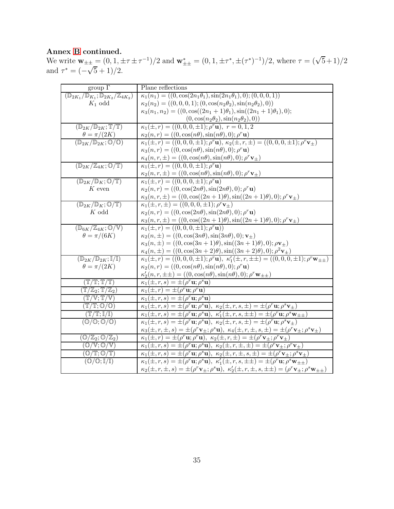### Annex [B](#page-33-0) continued.

We write  $\mathbf{w}_{\pm\pm} = (0, 1, \pm \tau \pm \tau^{-1})/2$  and  $\mathbf{w}_{\pm\pm}^* = (0, 1, \pm \tau^*, \pm (\tau^*)^{-1})/2$ , where  $\tau = (\sqrt{5}+1)/2$ and  $\tau^* = (-\sqrt{5} + 1)/2$ .

| $\overline{\text{group }\Gamma}$                                            | Plane reflections                                                                                                                                                       |
|-----------------------------------------------------------------------------|-------------------------------------------------------------------------------------------------------------------------------------------------------------------------|
| $(\mathbb{D}_{2K_1}/\mathbb{D}_{K_1}; \mathbb{D}_{2K_2}/\mathbb{Z}_{4K_2})$ | $\kappa_1(n_1) = ((0, \cos(2n_1\theta_1), \sin(2n_1\theta_1), 0); (0, 0, 0, 1))$                                                                                        |
| $K_1$ odd                                                                   | $\kappa_2(n_2) = ((0,0,0,1);(0,\cos(n_2\theta_2),\sin(n_2\theta_2),0))$                                                                                                 |
|                                                                             | $\kappa_3(n_1, n_2) = ((0, \cos((2n_1 + 1)\theta_1), \sin((2n_1 + 1)\theta_1), 0));$                                                                                    |
|                                                                             | $(0, \cos(n_2\theta_2), \sin(n_2\theta_2), 0))$                                                                                                                         |
| $(\mathbb{D}_{2K}/\mathbb{D}_{2K}; \mathbb{T}/\mathbb{T})$                  | $\kappa_1(\pm, r) = ((0, 0, 0, \pm 1); \rho^r \mathbf{u}), r = 0, 1, 2$                                                                                                 |
| $\theta = \pi/(2K)$                                                         | $\kappa_2(n,r) = ((0,\cos(n\theta),\sin(n\theta),0); \rho^r \mathbf{u})$                                                                                                |
| $(\mathbb{D}_{2K}/\mathbb{D}_{2K};\mathbb{O}/\mathbb{O})$                   | $\kappa_1(\pm, r) = ((0, 0, 0, \pm 1); \rho^r \mathbf{u}), \kappa_2(\pm, r, \pm) = ((0, 0, 0, \pm 1); \rho^r \mathbf{v}_{\pm})$                                         |
|                                                                             | $\kappa_3(n,r) = ((0,\cos(n\theta),\sin(n\theta),0); \rho^r \mathbf{u})$                                                                                                |
|                                                                             | $\kappa_4(n, r, \pm) = ((0, \cos(n\theta), \sin(n\theta), 0); \rho^r \mathbf{v}_{\pm})$                                                                                 |
| $(\mathbb{D}_{2K}/\mathbb{Z}_{4K};\mathbb{O}/\mathbb{T})$                   | $\kappa_1(\pm, r) = ((0, 0, 0, \pm 1); \rho^r \mathbf{u})$                                                                                                              |
|                                                                             | $\kappa_2(n,r,\pm) = ((0,\cos(n\theta),\sin(n\theta),0); \rho^r \mathbf{v}_{\pm})$                                                                                      |
| $(\mathbb{D}_{2K}/\mathbb{D}_K;\mathbb{O}/\mathbb{T})$                      | $\kappa_1(\pm, r) = ((0, 0, 0, \pm 1); \rho^r \mathbf{u})$                                                                                                              |
| $\boldsymbol{K}$ even                                                       | $\kappa_2(n,r) = ((0,\cos(2n\theta),\sin(2n\theta),0); \rho^r \mathbf{u})$                                                                                              |
|                                                                             | $\kappa_3(n,r,\pm) = ((0,\cos((2n+1)\theta),\sin((2n+1)\theta),0); \rho^r \mathbf{v}_{\pm})$                                                                            |
| $(\mathbb{D}_{2K}/\mathbb{D}_K;\mathbb{O}/\mathbb{T})$                      | $\kappa_1(\pm, r, \pm) = ((0, 0, 0, \pm 1); \rho^r \mathbf{v}_\pm)$                                                                                                     |
| $K$ odd                                                                     | $\kappa_2(n,r) = ((0,\cos(2n\theta),\sin(2n\theta),0); \rho^r\mathbf{u})$                                                                                               |
|                                                                             | $\kappa_3(n,r,\pm) = ((0,\cos((2n+1)\theta),\sin((2n+1)\theta),0); \rho^r \mathbf{v}_{\pm})$                                                                            |
| $(\mathbb{D}_{6K}/\mathbb{Z}_{4K};\mathbb{O}/\mathbb{V})$                   | $\kappa_1(\pm, r) = ((0, 0, 0, \pm 1); \rho^r \mathbf{u}))$                                                                                                             |
| $\theta = \pi/(6K)$                                                         | $\kappa_2(n,\pm) = ((0,\cos(3n\theta),\sin(3n\theta),0); \mathbf{v}_\pm)$                                                                                               |
|                                                                             | $\kappa_3(n, \pm) = ((0, \cos(3n+1)\theta), \sin((3n+1)\theta), 0); \rho \mathbf{v}_{\pm})$                                                                             |
|                                                                             | $\kappa_4(n,\pm) = ((0,\cos(3n+2)\theta),\sin((3n+2)\theta),0); \rho^2 \mathbf{v}_{\pm})$                                                                               |
| $\overline{(\mathbb{D}_{2K}/\mathbb{D}_{2K};\mathbb{I}/\mathbb{I})}$        | $\kappa_1(\pm, r) = ((0, 0, 0, \pm 1); \rho^r \mathbf{u}), \; \kappa'_1(\pm, r, \pm \pm) = ((0, 0, 0, \pm 1); \rho^r \mathbf{w}_{\pm \pm})$                             |
| $\theta = \pi/(2K)$                                                         | $\kappa_2(n,r) = ((0,\cos(n\theta),\sin(n\theta),0); \rho^r \mathbf{u})$                                                                                                |
| $(\mathbb{T}/\mathbb{T}; \mathbb{T}/\mathbb{T})$                            | $\kappa'_2(n,r,\pm\pm) = ((0,\cos(n\theta),\sin(n\theta),0); \rho^r \mathbf{w}_{\pm\pm})$<br>$\kappa_1(\pm, r, s) = \pm (\rho^r \mathbf{u}; \rho^s \mathbf{u})$         |
| $(\mathbb{T}/\mathbb{Z}_2; \mathbb{T}/\mathbb{Z}_2)$                        | $\kappa_1(\pm, r) = \pm \overline{(\rho^r \mathbf{u}; \rho^r \mathbf{u})}$                                                                                              |
| $(T/\mathbb{V}; \mathbb{T}/\mathbb{V})$                                     | $\kappa_1(\pm, r, s) = \pm (\rho^r \mathbf{u}; \rho^s \mathbf{u})$                                                                                                      |
| $(\mathbb{T}/\mathbb{T};\mathbb{O}/\mathbb{O})$                             | $\kappa_1(\pm, r, s) = \pm(\rho^r \mathbf{u}; \rho^s \mathbf{u}), \ \kappa_2(\pm, r, s, \pm) = \pm(\rho^r \mathbf{u}; \rho^s \mathbf{v}_{\pm})$                         |
| $(T/T;1/\overline{1})$                                                      | $\kappa_1(\pm, r, s) = \pm (\rho^r \mathbf{u}; \rho^s \mathbf{u}), \ \kappa'_1(\pm, r, s, \pm \pm) = \pm (\rho^r \mathbf{u}; \rho^s \mathbf{w}_{\pm \pm})$              |
| $(\mathbb{O}/\mathbb{O}; \mathbb{O}/\mathbb{O})$                            | $\kappa_1(\pm, r, s) = \pm(\rho^r \mathbf{u}; \rho^s \mathbf{u}), \ \kappa_2(\pm, r, s, \pm) = \pm(\rho^r \mathbf{u}; \rho^s \mathbf{v}_{\pm})$                         |
|                                                                             | $\kappa_3(\pm, r, \pm, s) = \pm(\rho^r \mathbf{v}_{\pm}; \rho^s \mathbf{u}), \ \kappa_4(\pm, r, \pm, s, \pm) = \pm(\rho^r \mathbf{v}_{\pm}; \rho^s \mathbf{v}_{\pm})$   |
| $(\mathbb{O}/\mathbb{Z}_2;\mathbb{O}/\mathbb{Z}_2)$                         | $\kappa_1(\pm, r) = \pm \overline{(\rho^r \mathbf{u}; \rho^r \mathbf{u}), \ \kappa_2(\pm, r, \pm)} = \pm (\rho^r \mathbf{v}_{\pm}; \rho^r \mathbf{v}_{\pm})$            |
| $(\mathbb{O}/\mathbb{V}; \mathbb{O}/\mathbb{V})$                            | $\kappa_1(\pm, r, s) = \pm(\rho^r \mathbf{u}; \rho^s \mathbf{u}), \ \kappa_2(\pm, r, \pm, \pm) = \pm(\rho^r \mathbf{v}_{\pm}; \rho^r \mathbf{v}_{\pm})$                 |
| $(\mathbb{O}/\mathbb{T}; \mathbb{O}/\mathbb{T})$                            | $\kappa_1(\pm, r, s) = \pm(\rho^r \mathbf{u}; \rho^s \mathbf{u}), \ \kappa_2(\pm, r, \pm, s, \pm) = \pm(\rho^r \mathbf{v}_{\pm}; \rho^s \mathbf{v}_{\pm})$              |
| $(\mathbb{O}/\mathbb{O};\mathbb{I}/\mathbb{I})$                             | $\kappa_1(\pm, r, s) = \pm (\rho^r \mathbf{u}; \rho^s \mathbf{u}), \ \kappa'_1(\pm, r, s, \pm \pm) = \pm (\rho^r \mathbf{u}; \rho^s \mathbf{w}_{\pm \pm})$              |
|                                                                             | $\kappa_2(\pm, r, \pm, s) = \pm(\rho^r \mathbf{v}_\pm; \rho^s \mathbf{u}), \ \kappa_2'(\pm, r, \pm, s, \pm \pm) = (\rho^r \mathbf{v}_\pm; \rho^s \mathbf{w}_{\pm \pm})$ |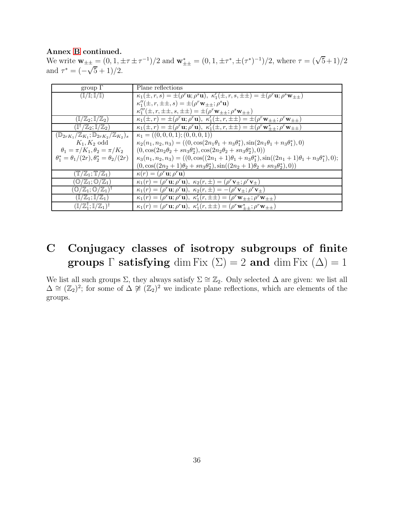#### Annex [B](#page-33-0) continued.

We write  $\mathbf{w}_{\pm\pm} = (0, 1, \pm \tau \pm \tau^{-1})/2$  and  $\mathbf{w}_{\pm\pm}^* = (0, 1, \pm \tau^*, \pm (\tau^*)^{-1})/2$ , where  $\tau = (\sqrt{5}+1)/2$ and  $\tau^* = (-\sqrt{5} + 1)/2$ .

<span id="page-35-1"></span>

| group $\Gamma$                                                                 | Plane reflections                                                                                                                                                |
|--------------------------------------------------------------------------------|------------------------------------------------------------------------------------------------------------------------------------------------------------------|
| $(\mathbb{I}/\mathbb{I}; \mathbb{I}/\mathbb{I})$                               | $\kappa_1(\pm, r, s) = \pm (\rho^r \mathbf{u}; \rho^s \mathbf{u}), \ \kappa'_1(\pm, r, s, \pm \pm) = \pm (\rho^r \mathbf{u}; \rho^s \mathbf{w}_{\pm \pm})$       |
|                                                                                | $\kappa''_1(\pm, r, \pm \pm, s) = \pm (\rho^r \mathbf{w}_{\pm \pm}; \rho^s \mathbf{u})$                                                                          |
|                                                                                | $\kappa_1'''(\pm, r, \pm \pm, s, \pm \pm) = \pm (\rho^r \mathbf{w}_{\pm \pm}; \rho^s \mathbf{w}_{\pm \pm})$                                                      |
| $(\mathbb{I}/\mathbb{Z}_2;\mathbb{I}/\mathbb{Z}_2)$                            | $\kappa_1(\pm, r) = \pm(\rho^r \mathbf{u}; \rho^r \mathbf{u}), \ \kappa'_1(\pm, r, \pm \pm) = \pm(\rho^r \mathbf{w}_{\pm \pm}; \rho^r \mathbf{w}_{\pm \pm})$     |
| $(\mathbb{I}^{\dagger}/\mathbb{Z}_2;\mathbb{I}/\mathbb{Z}_2)$                  | $\kappa_1(\pm, r) = \pm (\rho^r \mathbf{u}; \rho^r \mathbf{u}), \ \kappa'_1(\pm, r, \pm \pm) = \pm (\rho^r \mathbf{w}_{\pm \pm}^*; \rho^r \mathbf{w}_{\pm \pm})$ |
| $(\mathbb{D}_{2rK_1}/\mathbb{Z}_{K_1}; \mathbb{D}_{2rK_2}/\mathbb{Z}_{K_2})_s$ | $\kappa_1 = ((0,0,0,1);(0,0,0,1))$                                                                                                                               |
| $K_1, K_2$ odd                                                                 | $\kappa_2(n_1, n_2, n_3) = ((0, \cos(2n_1\theta_1 + n_3\theta_1^*), \sin(2n_1\theta_1 + n_3\theta_1^*), 0)$                                                      |
| $\theta_1 = \pi/K_1, \theta_2 = \pi/K_2$                                       | $(0, \cos(2n_2\theta_2 + sn_3\theta_2^*), \cos(2n_2\theta_2 + sn_3\theta_2^*), 0))$                                                                              |
| $\theta_1^* = \theta_1/(2r), \theta_2^* = \theta_2/(2r)$                       | $\kappa_3(n_1, n_2, n_3) = ((0, \cos((2n_1 + 1)\theta_1 + n_3\theta_1^*), \sin((2n_1 + 1)\theta_1 + n_3\theta_1^*), 0);$                                         |
|                                                                                | $(0, \cos((2n_2+1)\theta_2 + s n_3\theta_2^*), \sin((2n_2+1)\theta_2 + s n_3\theta_2^*), 0))$                                                                    |
| $(\mathbb{T}/\mathbb{Z}_1; \mathbb{T}/\mathbb{Z}_1)$                           | $\kappa(r) = (\rho^r \mathbf{u}; \rho^r \mathbf{u})$                                                                                                             |
| $(\mathbb{O}/\mathbb{Z}_1;\mathbb{O}/\mathbb{Z}_1)$                            | $\kappa_1(r) = (\rho^r \mathbf{u}; \rho^r \mathbf{u}), \ \kappa_2(r, \pm) = (\rho^r \mathbf{v}_\pm; \rho^r \mathbf{v}_\pm)$                                      |
| $({\mathbb O}/{\mathbb Z}_1;{\mathbb O}/{\mathbb Z}_1)^\dagger$                | $\kappa_1(r) = (\rho^r \mathbf{u}; \rho^r \mathbf{u}), \ \kappa_2(r, \pm) = -(\rho^r \mathbf{v}_{\pm}; \rho^r \mathbf{v}_{\pm})$                                 |
| $(\mathbb{I}/\mathbb{Z}_1;\mathbb{I}/\mathbb{Z}_1)$                            | $\kappa_1(r) = (\rho^r \mathbf{u}; \rho^r \mathbf{u}), \ \kappa'_1(r, \pm \pm) = (\rho^r \mathbf{w}_{\pm \pm}; \rho^r \mathbf{w}_{\pm \pm})$                     |
| $(\mathbb{I}/\mathbb{Z}_1^{\dagger}; \mathbb{I}/\mathbb{Z}_1)^{\dagger}$       | $\kappa_1(r) = (\rho^r \mathbf{u}; \rho^r \mathbf{u}), \ \kappa'_1(r, \pm \pm) = (\rho^r \mathbf{w}_{++}^*; \rho^r \mathbf{w}_{\pm \pm})$                        |

# <span id="page-35-0"></span>C Conjugacy classes of isotropy subgroups of finite groups  $\Gamma$  satisfying dim Fix  $(\Sigma) = 2$  and dim Fix  $(\Delta) = 1$

We list all such groups  $\Sigma$ , they always satisfy  $\Sigma \cong \mathbb{Z}_2$ . Only selected  $\Delta$  are given: we list all  $\Delta \cong (\mathbb{Z}_2)^2$ ; for some of  $\Delta \ncong (\mathbb{Z}_2)^2$  we indicate plane reflections, which are elements of the groups.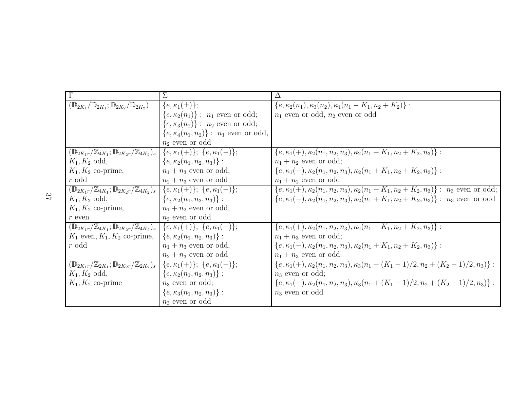|                                                                                                                               | Σ                                              | Δ                                                                                                       |
|-------------------------------------------------------------------------------------------------------------------------------|------------------------------------------------|---------------------------------------------------------------------------------------------------------|
| $(\mathbb{D}_{2K_1}/\mathbb{D}_{2K_1}; \mathbb{D}_{2K_2}/\mathbb{D}_{2K_2})$                                                  | $\{e,\kappa_1(\pm)\};$                         | $\{e, \kappa_2(n_1), \kappa_3(n_2), \kappa_4(n_1 - K_1, n_2 + K_2)\}$ :                                 |
|                                                                                                                               | $\{e, \kappa_2(n_1)\}$ : $n_1$ even or odd;    | $n_1$ even or odd, $n_2$ even or odd                                                                    |
|                                                                                                                               | $\{e, \kappa_3(n_2)\}$ : $n_2$ even or odd;    |                                                                                                         |
|                                                                                                                               | $\{e, \kappa_4(n_1, n_2)\} : n_1$ even or odd, |                                                                                                         |
|                                                                                                                               | $n_2$ even or odd                              |                                                                                                         |
| $(\mathbb{D}_{2K_1r}/\mathbb{Z}_{4K_1}; \mathbb{D}_{2K_2r}/\mathbb{Z}_{4K_2})_s$                                              | ${e, \kappa_1(+)}; \{e, \kappa_1(-)\};$        | $\{e, \kappa_1(+), \kappa_2(n_1, n_2, n_3), \kappa_2(n_1 + K_1, n_2 + K_2, n_3)\}$ :                    |
| $K_1, K_2$ odd,                                                                                                               | $\{e, \kappa_2(n_1, n_2, n_3)\}$ :             | $n_1 + n_2$ even or odd;                                                                                |
| $K_1, K_2$ co-prime,                                                                                                          | $n_1 + n_3$ even or odd,                       | $\{e, \kappa_1(-), \kappa_2(n_1, n_2, n_3), \kappa_2(n_1 + K_1, n_2 + K_2, n_3)\}$ :                    |
| r odd                                                                                                                         | $n_2 + n_3$ even or odd                        | $n_1 + n_2$ even or odd                                                                                 |
| $(\mathbb{D}_{2K_1r}/\mathbb{Z}_{4K_1}; \mathbb{D}_{2K_2r}/\mathbb{Z}_{4K_2})_s$                                              | ${e, \kappa_1(+)}; \{e, \kappa_1(-)\};$        | $\{e, \kappa_1(+), \kappa_2(n_1, n_2, n_3), \kappa_2(n_1 + K_1, n_2 + K_2, n_3)\}$ : $n_3$ even or odd; |
| $K_1, K_2$ odd,                                                                                                               | $\{e, \kappa_2(n_1, n_2, n_3)\}$ :             | $\{e, \kappa_1(-), \kappa_2(n_1, n_2, n_3), \kappa_2(n_1 + K_1, n_2 + K_2, n_3)\}$ : $n_3$ even or odd  |
| $K_1, K_2$ co-prime,                                                                                                          | $n_1 + n_2$ even or odd,                       |                                                                                                         |
| $r$ even                                                                                                                      | $n_3$ even or odd                              |                                                                                                         |
| $(\mathbb{D}_{2K_1r}/\mathbb{Z}_{4K_1}; \mathbb{D}_{2K_2r}/\mathbb{Z}_{4K_2})_s \mid \{e, \kappa_1(+)\}; \{e, \kappa_1(-)\};$ |                                                | $\{e, \kappa_1(+), \kappa_2(n_1, n_2, n_3), \kappa_2(n_1 + K_1, n_2 + K_2, n_3)\}$ :                    |
| $K_1$ even, $K_1, K_2$ co-prime, $ \{e, \kappa_2(n_1, n_2, n_3)\} $ :                                                         |                                                | $n_1 + n_3$ even or odd;                                                                                |
| r odd                                                                                                                         | $n_1 + n_3$ even or odd,                       | $\{e, \kappa_1(-), \kappa_2(n_1, n_2, n_3), \kappa_2(n_1 + K_1, n_2 + K_2, n_3)\}$ :                    |
|                                                                                                                               | $n_2 + n_3$ even or odd                        | $n_1 + n_3$ even or odd                                                                                 |
| $(\mathbb{D}_{2K_1r}/\mathbb{Z}_{2K_1}; \mathbb{D}_{2K_2r}/\mathbb{Z}_{2K_2})_s$                                              | ${e, \kappa_1(+) }; \{e, \kappa_1(-)\};$       | $\{e, \kappa_1(+), \kappa_2(n_1, n_2, n_3), \kappa_3(n_1 + (K_1 - 1)/2, n_2 + (K_2 - 1)/2, n_3)\}$ :    |
| $K_1, K_2$ odd,                                                                                                               | $\{e, \kappa_2(n_1, n_2, n_3)\}$ :             | $n_3$ even or odd;                                                                                      |
| $K_1, K_2$ co-prime                                                                                                           | $n_3$ even or odd;                             | $\{e, \kappa_1(-), \kappa_2(n_1, n_2, n_3), \kappa_3(n_1 + (K_1 - 1)/2, n_2 + (K_2 - 1)/2, n_3)\}$ :    |
|                                                                                                                               | $\{e, \kappa_3(n_1, n_2, n_3)\}$ :             | $n_3$ even or odd                                                                                       |
|                                                                                                                               | $n_3$ even or odd                              |                                                                                                         |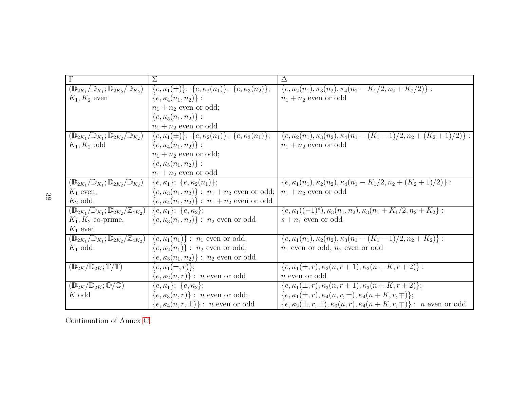|                                                                             | $\Sigma$                                                           | Δ                                                                                 |
|-----------------------------------------------------------------------------|--------------------------------------------------------------------|-----------------------------------------------------------------------------------|
| $(\mathbb{D}_{2K_1}/\mathbb{D}_{K_1}; \mathbb{D}_{2K_2}/\mathbb{D}_{K_2})$  | ${e, \kappa_1(\pm)}; \{e, \kappa_2(n_1)\}; \{e, \kappa_3(n_2)\};$  | $\{e, \kappa_2(n_1), \kappa_3(n_2), \kappa_4(n_1-K_1/2, n_2+K_2/2)\}$ :           |
| $K_1, K_2$ even                                                             | $\{e, \kappa_4(n_1, n_2)\}$ :                                      | $n_1 + n_2$ even or odd                                                           |
|                                                                             | $n_1 + n_2$ even or odd;                                           |                                                                                   |
|                                                                             | $\{e, \kappa_5(n_1, n_2)\}$ :                                      |                                                                                   |
|                                                                             | $n_1 + n_2$ even or odd                                            |                                                                                   |
| $(\mathbb{D}_{2K_1}/\mathbb{D}_{K_1}; \mathbb{D}_{2K_2}/\mathbb{D}_{K_2})$  | $\{e,\kappa_1(\pm)\};\;\{e,\kappa_2(n_1)\};\;\{e,\kappa_3(n_1)\};$ | $\{e,\kappa_2(n_1),\kappa_3(n_2),\kappa_4(n_1-(K_1-1)/2,n_2+(K_2+1)/2)\}$ :       |
| $K_1, K_2$ odd                                                              | $\{e, \kappa_4(n_1, n_2)\}$ :                                      | $n_1 + n_2$ even or odd                                                           |
|                                                                             | $n_1 + n_2$ even or odd;                                           |                                                                                   |
|                                                                             | $\{e, \kappa_5(n_1, n_2)\}$ :                                      |                                                                                   |
|                                                                             | $n_1 + n_2$ even or odd                                            |                                                                                   |
| $(\mathbb{D}_{2K_1}/\mathbb{D}_{K_1}; \mathbb{D}_{2K_2}/\mathbb{D}_{K_2})$  | $\{e, \kappa_1\}; \{e, \kappa_2(n_1)\};$                           | $\{e, \kappa_1(n_1), \kappa_2(n_2), \kappa_4(n_1-K_1/2, n_2+(K_2+1)/2)\}$ :       |
| $K_1$ even,                                                                 | $\{e, \kappa_3(n_1, n_2)\}$ : $n_1 + n_2$ even or odd;             | $n_1 + n_2$ even or odd                                                           |
| $K_2$ odd                                                                   | $\{e, \kappa_4(n_1, n_2)\}$ : $n_1 + n_2$ even or odd              |                                                                                   |
| $(\mathbb{D}_{2K_1}/\mathbb{D}_{K_1}; \mathbb{D}_{2K_2}/\mathbb{Z}_{4K_2})$ | ${e, \kappa_1}; \{e, \kappa_2\};$                                  | $\{e, \kappa_1((-1)^s), \kappa_3(n_1, n_2), \kappa_3(n_1 + K_1/2, n_2 + K_2\):$   |
| $K_1, K_2$ co-prime,                                                        | $\{e, \kappa_3(n_1, n_2)\} : n_2$ even or odd                      | $s + n_1$ even or odd                                                             |
| $K_1$ even                                                                  |                                                                    |                                                                                   |
| $(\mathbb{D}_{2K_1}/\mathbb{D}_{K_1}; \mathbb{D}_{2K_2}/\mathbb{Z}_{4K_2})$ | $\{e,\kappa_1(n_1)\}$ : $n_1$ even or odd;                         | $\{e, \kappa_1(n_1), \kappa_2(n_2), \kappa_3(n_1-(K_1-1)/2, n_2+K_2)\}$ :         |
| $K_1$ odd                                                                   | ${e, \kappa_2(n_1)}: n_2$ even or odd;                             | $n_1$ even or odd, $n_2$ even or odd                                              |
|                                                                             | $\{e, \kappa_3(n_1, n_2)\}$ : $n_2$ even or odd                    |                                                                                   |
| $(\mathbb{D}_{2K}/\mathbb{D}_{2K}; \mathbb{T}/\mathbb{T})$                  | ${e, \kappa_1(\pm, r)};$                                           | $\{e, \kappa_1(\pm, r), \kappa_2(n, r+1), \kappa_2(n+K, r+2)\}$ :                 |
|                                                                             | ${e, \kappa_2(n,r)}$ : <i>n</i> even or odd                        | $n$ even or odd                                                                   |
| $(\mathbb{D}_{2K}/\mathbb{D}_{2K};\mathbb{O}/\mathbb{O})$                   | ${e, \kappa_1}; \{e, \kappa_2\};$                                  | $\{e, \kappa_1(\pm, r), \kappa_3(n, r+1), \kappa_3(n+K, r+2)\};$                  |
| K odd                                                                       | $\{e, \kappa_3(n,r)\}$ : <i>n</i> even or odd;                     | $\{e, \kappa_1(\pm, r), \kappa_4(n, r, \pm), \kappa_4(n + K, r, \mp)\};$          |
|                                                                             | $\{e, \kappa_4(n,r,\pm)\}\,$ : <i>n</i> even or odd                | $\{e,\kappa_2(\pm,r,\pm),\kappa_3(n,r),\kappa_4(n+K,r,\mp)\}$ : $\,n$ even or odd |

Continuation of Annex [C.](#page-35-1)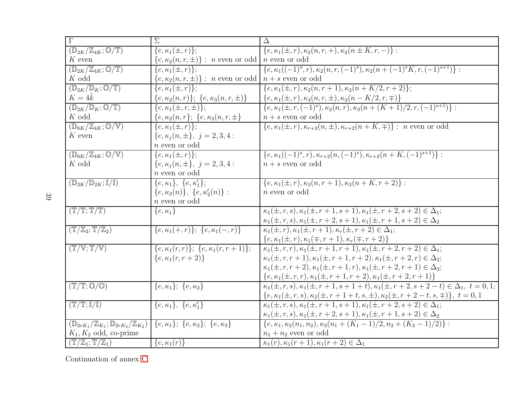| $\overline{\Gamma}$                                                          | $\overline{\Sigma}$                                                          | $\Delta$                                                                                                                                                                  |
|------------------------------------------------------------------------------|------------------------------------------------------------------------------|---------------------------------------------------------------------------------------------------------------------------------------------------------------------------|
| $(\mathbb{D}_{2K}/\mathbb{Z}_{4K};\mathbb{O}/\mathbb{T})$                    | ${e, \kappa_1(\pm, r)};$                                                     | $\{e, \kappa_1(\pm, r), \kappa_2(n, r, +), \kappa_2(n \pm K, r, -)\}$ :                                                                                                   |
| $K$ even                                                                     | ${e, \kappa_2(n, r, \pm)}$ : <i>n</i> even or odd                            | <i>n</i> even or odd                                                                                                                                                      |
| $(\mathbb{D}_{2K}/\mathbb{Z}_{4K};\mathbb{O}/\mathbb{T})$                    | ${e, \kappa_1(\pm, r)};$                                                     | $\{e, \kappa_1((-1)^s, r), \kappa_2(n, r, (-1)^s), \kappa_2(n + (-1)^s K, r, (-1)^{s+1})\}$ :                                                                             |
| $K$ odd                                                                      | $\{e, \kappa_2(n, r, \pm)\}$ : <i>n</i> even or odd $\mid n + s$ even or odd |                                                                                                                                                                           |
| $(\mathbb{D}_{2K}/\mathbb{D}_K;\mathbb{O}/\mathbb{T})$                       | $\overline{\{e,\kappa_1(\pm,r)\}};$                                          | $\{\epsilon,\kappa_1(\pm,r),\kappa_2(n,r+1),\kappa_2(n+K/2,r+2)\};$                                                                                                       |
| $K=4\tilde{k}$                                                               | ${e, \kappa_2(n,r)}; \{e, \kappa_3(n,r,\pm)\}$                               | $\{e, \kappa_1(\pm, r), \kappa_3(n, r, \pm), \kappa_3(n - K/2, r, \mp)\}\$                                                                                                |
| $(\mathbb{D}_{2K}/\mathbb{D}_K;\mathbb{O}/\mathbb{T})$                       | ${e, \kappa_1(\pm, r, \pm)}$ ;                                               | $\{e, \kappa_1(\pm, r, (-1)^s), \kappa_2(n,r), \kappa_3(n+(K+1)/2, r, (-1)^{s+1})\}$ :                                                                                    |
| $K$ odd                                                                      | ${e, \kappa_2(n,r); \{e, \kappa_3(n,r, \pm)\}}$                              | $n + s$ even or odd                                                                                                                                                       |
| $(\mathbb{D}_{6K}/\mathbb{Z}_{4K};\mathbb{O}/\mathbb{V})$                    | $\overline{\{e,\kappa_1(\pm,r)}\};$                                          | $\{e, \kappa_1(\pm, r), \kappa_{r+2}(n, \pm), \kappa_{r+2}(n+K, \mp)\}$ : <i>n</i> even or odd                                                                            |
| $K$ even                                                                     | ${e, \kappa_i(n, \pm)}, j = 2, 3, 4:$                                        |                                                                                                                                                                           |
|                                                                              | $n$ even or odd                                                              |                                                                                                                                                                           |
| $(\mathbb{D}_{6K}/\mathbb{Z}_{4K};\mathbb{O}/\mathbb{V})$                    | ${e, \kappa_1(\pm, r)};$                                                     | $\{e, \kappa_1((-1)^s, r), \kappa_{r+2}(n, (-1)^s), \kappa_{r+2}(n+K, (-1)^{s+1})\}$ :                                                                                    |
| $K$ odd                                                                      | ${e, \kappa_i(n, \pm), j = 2, 3, 4:}$                                        | $n + s$ even or odd                                                                                                                                                       |
|                                                                              | $n$ even or odd                                                              |                                                                                                                                                                           |
| $(\mathbb{D}_{2K}/\mathbb{D}_{2K};\mathbb{I}/\mathbb{I})$                    | $\{e,\kappa_1\},\ \{e,\kappa'_1\};$                                          | $\{e, \kappa_1(\pm, r), \kappa_2(n, r+1), \kappa_2(n+K, r+2)\}$ :                                                                                                         |
|                                                                              | $\{e, \kappa_2(n)\}, \{e, \kappa'_2(n)\}$ :                                  | $n$ even or odd                                                                                                                                                           |
|                                                                              | $n$ even or odd                                                              |                                                                                                                                                                           |
| (T/T;T/T)                                                                    | $\{e,\kappa_1\}$                                                             | $\kappa_1(\pm, r, s), \kappa_1(\pm, \overline{r+1, s+1}), \kappa_1(\pm, r+2, s+2) \in \Delta_1;$                                                                          |
|                                                                              |                                                                              | $\kappa_1(\pm, r, s), \kappa_1(\pm, r+2, s+1), \kappa_1(\pm, r+1, s+2) \in \Delta_2$                                                                                      |
| $(\mathbb{T}/\mathbb{Z}_2; \mathbb{T}/\mathbb{Z}_2)$                         | $\{e,\kappa_1(+,r)\};\;\{e,\kappa_1(-,r)\}\;$                                | $\kappa_1(\pm, r), \kappa_1(\pm, r+1), \kappa_r(\pm, r+2) \in \Delta_1;$                                                                                                  |
|                                                                              |                                                                              | $\frac{\{e, \kappa_1(\pm, r), \kappa_1(\mp, r + 1), \kappa_r(\mp, r + 2)\}}{\kappa_1(\pm, r, r), \kappa_1(\pm, r + 1, r + 1), \kappa_1(\pm, r + 2, r + 2) \in \Delta_1};$ |
| $(T/\mathbb{V}; \mathbb{T}/\mathbb{V})$                                      | $\{\overline{e,\kappa_1(r,r)}\};\ \{e,\kappa_1(r,r+1)\};$                    |                                                                                                                                                                           |
|                                                                              | ${e, \kappa_1(r, r+2)}$                                                      | $\kappa_1(\pm, r, r+1), \kappa_1(\pm, r+1, r+2), \kappa_1(\pm, r+2, r) \in \Delta_2;$                                                                                     |
|                                                                              |                                                                              | $\kappa_1(\pm, r, r+2), \kappa_1(\pm, r+1, r), \kappa_1(\pm, r+2, r+1) \in \Delta_3;$                                                                                     |
|                                                                              |                                                                              | ${e, \kappa_1(\pm, r, r), \kappa_1(\pm, r + 1, r + 2), \kappa_1(\pm, r + 2, r + 1)}$                                                                                      |
| $(T/T; \mathbb{O}/\mathbb{O})$                                               | ${e, \kappa_1}; \{e, \kappa_2\}$                                             | $\kappa_1(\pm, r, s), \kappa_1(\pm, r+1, s+1+t), \kappa_1(\pm, r+2, s+2-t) \in \Delta_1, t = 0, 1;$                                                                       |
|                                                                              |                                                                              | $\{e, \kappa_1(\pm,r,s), \kappa_2(\pm,r+1+t,s,\pm), \kappa_2(\pm,r+2-t,s,\mp)\}, \ t=0,1$                                                                                 |
| $\overline{\mathbb{T}}/\mathbb{T};\mathbb{I}/\mathbb{I})$                    | $\{e, \kappa_1\}, \{e, \kappa'_1\}$                                          | $\kappa_1(\pm, r, s), \kappa_1(\pm, r+1, s+1), \kappa_1(\pm, r+2, s+2) \in \Delta_1;$                                                                                     |
|                                                                              |                                                                              | $\kappa_1(\pm, r, s), \kappa_1(\pm, r+2, s+1), \kappa_1(\pm, r+1, s+2) \in \Delta_2$                                                                                      |
| $(\mathbb{D}_{2rK_1}/\mathbb{Z}_{K_1}; \mathbb{D}_{2rK_2}/\mathbb{Z}_{K_2})$ | ${e, \kappa_1}; \{e, \kappa_2\}; \{e, \kappa_3\}$                            | $\{e, \kappa_1, \kappa_2(n_1, n_2), \kappa_3(n_1 + (K_1 - 1)/2, n_2 + (K_2 - 1)/2)\}$ :                                                                                   |
| $K_1, K_2$ odd, co-prime                                                     |                                                                              | $n_1 + n_2$ even or odd                                                                                                                                                   |
| $(\mathbb{T}/\mathbb{Z}_1;\mathbb{T}/\mathbb{Z}_1)$                          | $\{e,\kappa_1(r)\}\$                                                         | $\kappa_1(r), \kappa_1(r+1), \kappa_1(r+2) \in \Delta_1$                                                                                                                  |

Continuation of annex [C.](#page-35-1)

39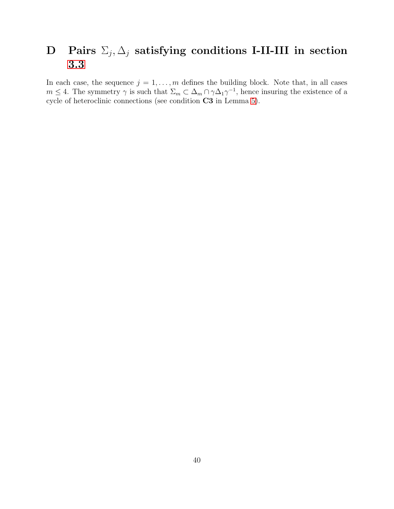# <span id="page-39-1"></span><span id="page-39-0"></span> $\textbf{D} \quad \textbf{Pairs} \; \Sigma_j, \Delta_j \; \textbf{satisfying conditions I-II-III in section}$ [3.3](#page-16-0)

In each case, the sequence  $j = 1, \ldots, m$  defines the building block. Note that, in all cases  $m \leq 4$ . The symmetry  $\gamma$  is such that  $\Sigma_m \subset \Delta_m \cap \gamma \Delta_1 \gamma^{-1}$ , hence insuring the existence of a cycle of heteroclinic connections (see condition C3 in Lemma [5\)](#page-13-0).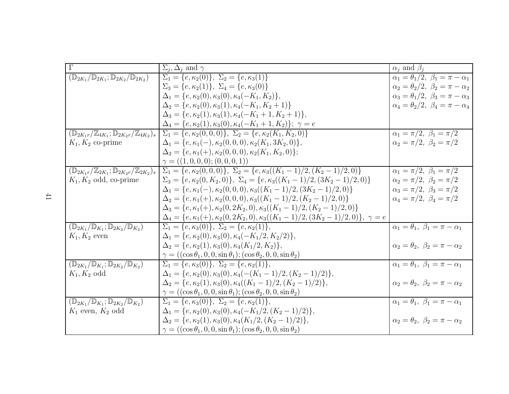| $\Gamma$                                                                         | $\Sigma_i, \Delta_i$ and $\gamma$                                                                           | $\alpha_i$ and $\beta_i$                            |
|----------------------------------------------------------------------------------|-------------------------------------------------------------------------------------------------------------|-----------------------------------------------------|
| $(\mathbb{D}_{2K_1}/\mathbb{D}_{2K_1}; \mathbb{D}_{2K_2}/\mathbb{D}_{2K_2})$     | $\Sigma_1 = \{e, \kappa_2(0)\}, \ \Sigma_2 = \{e, \kappa_3(1)\}\$                                           | $\alpha_1=\theta_1/2, \ \beta_1=\pi-\alpha_1$       |
|                                                                                  | $\Sigma_3 = \{e, \kappa_2(1)\}, \ \Sigma_4 = \{e, \kappa_3(0)\}\$                                           | $\alpha_2 = \theta_2/2, \ \beta_2 = \pi - \alpha_2$ |
|                                                                                  | $\Delta_1 = \{e, \kappa_2(0), \kappa_3(0), \kappa_4(-K_1, K_2)\},\$                                         | $\alpha_3 = \theta_1/2, \ \beta_3 = \pi - \alpha_3$ |
|                                                                                  | $\Delta_2 = \{e, \kappa_2(0), \kappa_3(1), \kappa_4(-K_1, K_2 + 1)\}\$                                      | $\alpha_4 = \theta_2/2, \ \beta_4 = \pi - \alpha_4$ |
|                                                                                  | $\Delta_3 = \{e, \kappa_2(1), \kappa_3(1), \kappa_4(-K_1+1, K_2+1)\},\$                                     |                                                     |
|                                                                                  | $\Delta_4 = \{e, \kappa_2(1), \kappa_3(0), \kappa_4(-K_1+1, K_2)\}; \ \gamma = e$                           |                                                     |
| $(\mathbb{D}_{2K_1r}/\mathbb{Z}_{4K_1}; \mathbb{D}_{2K_2r}/\mathbb{Z}_{4K_2})_s$ | $\Sigma_1 = \{e, \kappa_2(0,0,0)\}, \ \Sigma_2 = \{e, \kappa_2(K_1, K_2,0)\}\$                              | $\overline{\alpha_1} = \pi/2, \ \beta_1 = \pi/2$    |
| $K_1, K_2$ co-prime                                                              | $\Delta_1 = \{e, \kappa_1(-), \kappa_2(0,0,0), \kappa_2(K_1, 3K_2, 0)\},\$                                  | $\alpha_2 = \pi/2, \ \beta_2 = \pi/2$               |
|                                                                                  | $\Delta_2 = \{e, \kappa_1(+), \kappa_2(0,0,0), \kappa_2(K_1, K_2, 0)\};$                                    |                                                     |
|                                                                                  | $\gamma = ((1,0,0,0);(0,0,0,1))$                                                                            |                                                     |
| $(\mathbb{D}_{2K_1r}/\mathbb{Z}_{2K_1}; \mathbb{D}_{2K_2r}/\mathbb{Z}_{2K_2})_s$ | $\Sigma_1 = \{e, \kappa_2(0,0,0)\}, \ \Sigma_2 = \{e, \kappa_3((K_1-1)/2, (K_2-1)/2,0)\}\$                  | $\alpha_1 = \pi/2, \ \beta_1 = \pi/2$               |
| $K_1, K_2$ odd, co-prime                                                         | $\Sigma_3 = \{e, \kappa_2(0, K_2, 0)\}, \ \Sigma_4 = \{e, \kappa_3((K_1 - 1)/2, (3K_2 - 1)/2, 0)\}\$        | $\alpha_2 = \pi/2, \ \beta_2 = \pi/2$               |
|                                                                                  | $\Delta_1 = \{e, \kappa_1(-), \kappa_2(0,0,0), \kappa_3((K_1-1)/2, (3K_2-1)/2, 0)\}\$                       | $\alpha_3 = \pi/2, \ \beta_3 = \pi/2$               |
|                                                                                  | $\Delta_2 = \{e, \kappa_1(+), \kappa_2(0,0,0), \kappa_3((K_1-1)/2, (K_2-1)/2,0)\}\$                         | $\alpha_4 = \pi/2, \ \beta_4 = \pi/2$               |
|                                                                                  | $\Delta_3 = \{e, \kappa_1(+), \kappa_2(0, 2K_2, 0), \kappa_3((K_1-1)/2, (K_2-1)/2, 0)\}\$                   |                                                     |
|                                                                                  | $\Delta_4 = \{e, \kappa_1(+), \kappa_2(0, 2K_2, 0), \kappa_3((K_1 - 1)/2, (3K_2 - 1)/2, 0)\}, \ \gamma = e$ |                                                     |
| $(\mathbb{D}_{2K_1}/\mathbb{D}_{K_1}; \mathbb{D}_{2K_2}/\mathbb{D}_{K_2})$       | $\Sigma_1 = \{e, \kappa_3(0)\}, \ \Sigma_2 = \{e, \kappa_2(1)\},\$                                          | $\alpha_1 = \theta_1, \ \beta_1 = \pi - \alpha_1$   |
| $K_1, K_2$ even                                                                  | $\Delta_1 = \{e, \kappa_2(0), \kappa_3(0), \kappa_4(-K_1/2, K_2/2)\},\$                                     |                                                     |
|                                                                                  | $\Delta_2 = \{e, \kappa_2(1), \kappa_3(0), \kappa_4(K_1/2, K_2)\},\$                                        | $\alpha_2=\theta_2, \ \beta_2=\pi-\alpha_2$         |
|                                                                                  | $\gamma = ((\cos \theta_1, 0, 0, \sin \theta_1); (\cos \theta_2, 0, 0, \sin \theta_2))$                     |                                                     |
| $(\mathbb{D}_{2K_1}/\mathbb{D}_{K_1}; \mathbb{D}_{2K_2}/\mathbb{D}_{K_2})$       | $\Sigma_1 = \{e, \kappa_3(0)\}, \ \Sigma_2 = \{e, \kappa_2(1)\},\$                                          | $\alpha_1 = \theta_1, \ \beta_1 = \pi - \alpha_1$   |
| $K_1, K_2$ odd                                                                   | $\Delta_1 = \{e, \kappa_2(0), \kappa_3(0), \kappa_4(-(K_1-1)/2, (K_2-1)/2)\},\$                             |                                                     |
|                                                                                  | $\Delta_2 = \{e, \kappa_2(1), \kappa_3(0), \kappa_4((K_1-1)/2, (K_2-1)/2)\},\$                              | $\alpha_2=\theta_2, \ \beta_2=\pi-\alpha_2$         |
|                                                                                  | $\gamma = ((\cos \theta_1, 0, 0, \sin \theta_1); (\cos \theta_2, 0, 0, \sin \theta_2))$                     |                                                     |
| $(\mathbb{D}_{2K_1}/\mathbb{D}_{K_1}; \mathbb{D}_{2K_2}/\mathbb{D}_{K_2})$       | $\Sigma_1 = \{e, \kappa_3(0)\}, \ \Sigma_2 = \{e, \kappa_2(1)\},\$                                          | $\alpha_1 = \theta_1, \ \beta_1 = \pi - \alpha_1$   |
| $K_1$ even, $K_2$ odd                                                            | $\Delta_1 = \{e, \kappa_2(0), \kappa_3(0), \kappa_4(-K_1/2, (K_2-1)/2)\},\$                                 |                                                     |
|                                                                                  | $\Delta_2 = \{e, \kappa_2(1), \kappa_3(0), \kappa_4(K_1/2, (K_2-1)/2)\},\$                                  | $\alpha_2=\theta_2, \ \beta_2=\pi-\alpha_2$         |
|                                                                                  | $\gamma = ((\cos \theta_1, 0, 0, \sin \theta_1); (\cos \theta_2, 0, 0, \sin \theta_2))$                     |                                                     |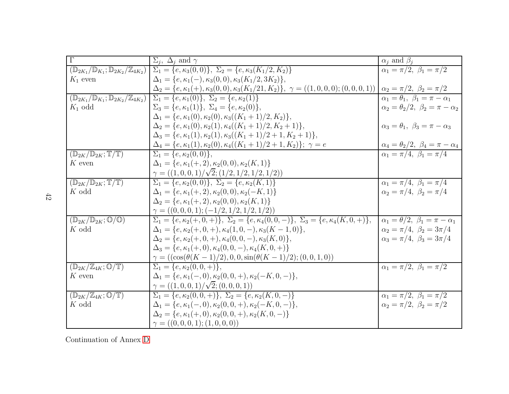| $\overline{\Gamma}$                                                         | $\Sigma_i$ , $\Delta_j$ and $\gamma$                                                                                                             | $\alpha_j$ and $\beta_j$                                                                        |
|-----------------------------------------------------------------------------|--------------------------------------------------------------------------------------------------------------------------------------------------|-------------------------------------------------------------------------------------------------|
| $(\mathbb{D}_{2K_1}/\mathbb{D}_{K_1}; \mathbb{D}_{2K_2}/\mathbb{Z}_{4K_2})$ | $\Sigma_1 = \{e, \kappa_3(0,0)\}, \ \Sigma_2 = \{e, \kappa_3(K_1/2, K_2)\}\$                                                                     | $\alpha_1 = \pi/2, \ \beta_1 = \pi/2$                                                           |
| $K_1$ even                                                                  | $\Delta_1 = \{e, \kappa_1(-), \kappa_3(0,0), \kappa_3(K_1/2, 3K_2)\},\$                                                                          |                                                                                                 |
|                                                                             | $\Delta_2 = \{e, \kappa_1(+), \kappa_3(0,0), \kappa_3(K_1/21, K_2)\}, \ \gamma = ((1,0,0,0);(0,0,0,1)) \mid \alpha_2 = \pi/2, \ \beta_2 = \pi/2$ |                                                                                                 |
| $(\mathbb{D}_{2K_1}/\mathbb{D}_{K_1}; \mathbb{D}_{2K_2}/\mathbb{Z}_{4K_2})$ | $\Sigma_1 = \{e, \kappa_1(0)\}, \ \Sigma_2 = \{e, \kappa_2(1)\}\$                                                                                | $\alpha_1 = \theta_1, \ \beta_1 = \pi - \alpha_1$                                               |
| $K_1$ odd                                                                   | $\Sigma_3 = \{e, \kappa_1(1)\}, \ \Sigma_4 = \{e, \kappa_2(0)\},\$                                                                               | $\alpha_2 = \theta_2/2, \ \beta_2 = \pi - \alpha_2$                                             |
|                                                                             | $\Delta_1 = \{e, \kappa_1(0), \kappa_2(0), \kappa_3((K_1+1)/2, K_2)\},\$                                                                         |                                                                                                 |
|                                                                             | $\Delta_2 = \{e, \kappa_1(0), \kappa_2(1), \kappa_4((K_1+1)/2, K_2+1)\},\$                                                                       | $\alpha_3 = \theta_1, \ \beta_3 = \pi - \alpha_3$                                               |
|                                                                             | $\Delta_3 = \{e, \kappa_1(1), \kappa_2(1), \kappa_3((K_1+1)/2+1, K_2+1)\},\$                                                                     |                                                                                                 |
|                                                                             | $\Delta_4 = \{e, \kappa_1(1), \kappa_2(0), \kappa_4((K_1+1)/2+1, K_2)\}; \ \gamma = e$                                                           | $\frac{\alpha_4 = \theta_2/2, \ \beta_4 = \pi - \alpha_4}{\alpha_1 = \pi/4, \ \beta_1 = \pi/4}$ |
| $(\mathbb{D}_{2K}/\mathbb{D}_{2K}; \mathbb{T}/\mathbb{T})$                  | $\overline{\Sigma_1} = \{e, \kappa_2(0,0)\},\$                                                                                                   |                                                                                                 |
| $K$ even                                                                    | $\Delta_1 = \{e, \kappa_1(+, 2), \kappa_2(0, 0), \kappa_2(K, 1)\}\$                                                                              |                                                                                                 |
|                                                                             | $\gamma = ((1,0,0,1)/\sqrt{2};(1/2,1/2,1/2,1/2))$                                                                                                |                                                                                                 |
| $(\mathbb{D}_{2K}/\mathbb{D}_{2K};\mathbb{T}/\overline{\mathbb{T}})$        | $\Sigma_1 = \{e, \kappa_2(0,0)\}, \ \Sigma_2 = \{e, \kappa_2(K,1)\}\$                                                                            | $\alpha_1 = \pi/4, \ \beta_1 = \pi/4$                                                           |
| K odd                                                                       | $\Delta_1 = \{e, \kappa_1(+, 2), \kappa_2(0, 0), \kappa_2(-K, 1)\}\$                                                                             | $\alpha_2 = \pi/4, \ \beta_2 = \pi/4$                                                           |
|                                                                             | $\Delta_2 = \{e, \kappa_1(+, 2), \kappa_2(0, 0), \kappa_2(K, 1)\}\$                                                                              |                                                                                                 |
|                                                                             | $\gamma = ((0,0,0,1); (-1/2,1/2,1/2,1/2))$                                                                                                       |                                                                                                 |
| $(\mathbb{D}_{2K}/\mathbb{D}_{2K};\mathbb{O}/\mathbb{O})$                   | $\Sigma_1 = \{e, \kappa_2(+,0,+) \}, \ \Sigma_2 = \{e, \kappa_4(0,0,-) \}, \ \Sigma_3 = \{e, \kappa_4(K,0,+) \},$                                | $\alpha_1 = \theta/2, \ \beta_1 = \pi - \alpha_1$                                               |
| K odd                                                                       | $\Delta_1 = \{e, \kappa_2(+,0,+), \kappa_4(1,0,-), \kappa_3(K-1,0)\},\$                                                                          | $\alpha_2 = \pi/4, \ \beta_2 = 3\pi/4$                                                          |
|                                                                             | $\Delta_2 = \{e, \kappa_2(+,0,+), \kappa_4(0,0,-), \kappa_3(K,0)\},\$                                                                            | $\alpha_3 = \pi/4, \ \beta_3 = 3\pi/4$                                                          |
|                                                                             | $\Delta_3 = \{e, \kappa_1(+,0), \kappa_4(0,0,-), \kappa_4(K,0,+)\}\$                                                                             |                                                                                                 |
|                                                                             | $\gamma = ((\cos(\theta(K-1)/2), 0, 0, \sin(\theta(K-1)/2); (0, 0, 1, 0)))$                                                                      |                                                                                                 |
| $\overline{(\mathbb{D}_{2K}/\mathbb{Z}_{4K};\mathbb{O}/\mathbb{T})}$        | $\Sigma_1 = \{e, \kappa_2(0, 0, +)\},\$                                                                                                          | $\alpha_1 = \pi/2, \ \beta_1 = \pi/2$                                                           |
| $K$ even                                                                    | $\Delta_1 = \{e, \kappa_1(-,0), \kappa_2(0,0,+) , \kappa_2(-K,0,-)\},$                                                                           |                                                                                                 |
|                                                                             | $\gamma = ((1,0,0,1)/\sqrt{2};(0,0,0,1))$                                                                                                        |                                                                                                 |
| $(\mathbb{D}_{2K}/\mathbb{Z}_{4K};\mathbb{O}/\mathbb{T})$                   | $\Sigma_1 = \{e, \kappa_2(0,0,+) \}, \overline{\Sigma_2 = \{e, \kappa_2(K,0,-) \}}$                                                              | $\alpha_1 = \pi/2, \ \beta_1 = \pi/2$                                                           |
| $K$ odd                                                                     | $\Delta_1 = \{e, \kappa_1(-,0), \kappa_2(0,0,+) , \kappa_2(-K,0,-)\},\$                                                                          | $\alpha_2 = \pi/2, \ \beta_2 = \pi/2$                                                           |
|                                                                             | $\Delta_2 = \{e, \kappa_1(+,0), \kappa_2(0,0,+) , \kappa_2(K,0,-)\}\$                                                                            |                                                                                                 |
|                                                                             | $\gamma = ((0,0,0,1); (1,0,0,0))$                                                                                                                |                                                                                                 |

Continuation of Annex [D](#page-39-1)